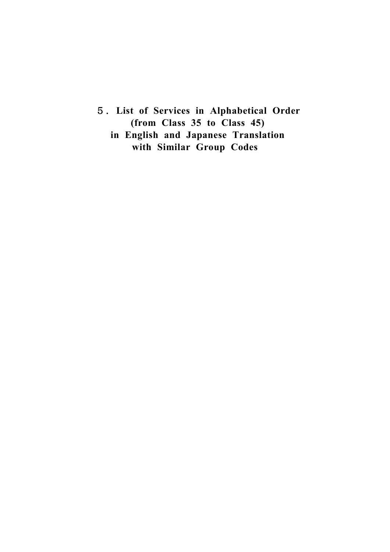5.**List of Services in Alphabetical Order (from Class 35 to Class 45) in English and Japanese Translation with Similar Group Codes**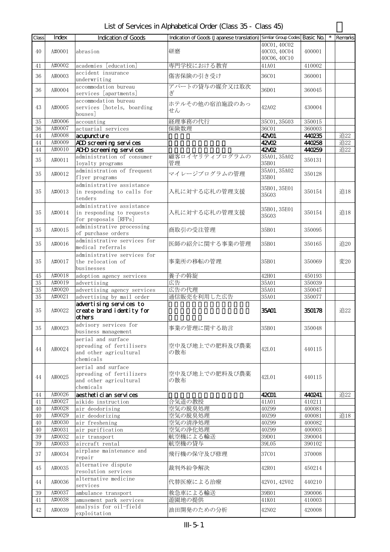## List of Services in Alphabetical Order (Class 35 - Class 45)

| Class | Index  | Indication of Goods         | Indication of Goods (Japanese translation) Similar Group Codes Basic No. |              |        |        | Remarks |  |
|-------|--------|-----------------------------|--------------------------------------------------------------------------|--------------|--------|--------|---------|--|
|       |        |                             |                                                                          | 40C01, 40C02 |        |        |         |  |
| 40    | A#0001 | abrasion                    | 研磨                                                                       | 40C03, 40C04 | 400001 |        |         |  |
|       |        |                             |                                                                          | 40C06, 40C10 |        |        |         |  |
|       |        |                             |                                                                          |              |        |        |         |  |
| 41    | A#0002 | academies [education]       | 専門学校における教育                                                               | 41A01        | 410002 |        |         |  |
| 36    | A#0003 | accident insurance          | 傷害保険の引き受け                                                                | 36C01        | 360001 |        |         |  |
|       |        | underwriting                |                                                                          |              |        |        |         |  |
|       |        | accommodation bureau        | アパートの貸与の媒介又は取次                                                           |              |        |        |         |  |
| 36    | A#0004 | services [apartments]       | ぎ                                                                        | 36D01        | 360045 |        |         |  |
|       |        | accommodation bureau        |                                                                          |              |        |        |         |  |
| 43    | A#0005 | services [hotels, boarding  | ホテルその他の宿泊施設のあっ                                                           | 42A02        | 430004 |        |         |  |
|       |        | houses]                     | せん                                                                       |              |        |        |         |  |
|       |        |                             |                                                                          |              |        |        |         |  |
| 35    | A#0006 | accounting                  | 経理事務の代行                                                                  | 35C01, 35G03 | 350015 |        |         |  |
| 36    | A#0007 | actuarial services          | 保険数理                                                                     | 36C01        | 360003 |        |         |  |
| 44    | A#0008 | acupuncture                 |                                                                          | 42001        | 440235 |        | 追22     |  |
| 44    | A#0009 | ADD screening services      |                                                                          | 42XX         | 440258 |        | 追22     |  |
| 44    | A#0010 | ADHD screening services     |                                                                          | 42XO2        | 440259 |        | 追22     |  |
|       |        | administration of consumer  | 顧客ロイヤリティプログラムの                                                           | 35A01, 35A02 |        |        |         |  |
| 35    | A#0011 | loyalty programs            | 管理                                                                       | 35B01        | 350131 |        |         |  |
|       |        | administration of frequent  |                                                                          | 35A01, 35A02 |        |        |         |  |
| 35    | A#0012 | flyer programs              | マイレージプログラムの管理                                                            | 35B01        | 350128 |        |         |  |
|       |        |                             |                                                                          |              |        |        |         |  |
|       |        | administrative assistance   |                                                                          | 35B01, 35E01 |        |        |         |  |
| 35    | A#0013 | in responding to calls for  | 入札に対する応札の管理支援                                                            | 35G03        | 350154 |        | 追18     |  |
|       |        | tenders                     |                                                                          |              |        |        |         |  |
|       |        | administrative assistance   |                                                                          |              |        |        |         |  |
| 35    | A#0014 | in responding to requests   | 入札に対する応札の管理支援                                                            | 35B01, 35E01 | 350154 |        | 追18     |  |
|       |        | for proposals [RFPs]        |                                                                          | 35G03        |        |        |         |  |
|       |        | administrative processing   |                                                                          |              |        |        |         |  |
| 35    | A#0015 |                             | 商取引の受注管理                                                                 | 35B01        | 350095 |        |         |  |
|       |        | of purchase orders          |                                                                          |              |        |        |         |  |
| 35    | A#0016 | administrative services for | 医師の紹介に関する事業の管理                                                           | 35B01        | 350165 |        | 追20     |  |
|       |        | medical referrals           |                                                                          |              |        |        |         |  |
|       |        | administrative services for |                                                                          |              |        |        |         |  |
| 35    | A#0017 | the relocation of           | 事業所の移転の管理                                                                | 35B01        | 350069 |        | 変20     |  |
|       |        | businesses                  |                                                                          |              |        |        |         |  |
| 45    | A#0018 | adoption agency services    | 養子の斡旋                                                                    | 42H01        | 450193 |        |         |  |
| 35    | A#0019 | advertising                 | 広告                                                                       | 35A01        | 350039 |        |         |  |
|       |        |                             |                                                                          |              |        |        |         |  |
| 35    | A#0020 | advertising agency services | 広告の代理                                                                    | 35A01        | 350047 |        |         |  |
| 35    | A#0021 | advertising by mail order   | 通信販売を利用した広告                                                              | 35A01        | 350077 |        |         |  |
|       |        | advertising services to     |                                                                          |              |        |        |         |  |
| 35    | A#0022 | create brand identity for   |                                                                          | 35401        | 350178 |        | 追22     |  |
|       |        | others                      |                                                                          |              |        |        |         |  |
|       |        | advisory services for       |                                                                          |              |        |        |         |  |
| 35    | A#0023 | business management         | 事業の管理に関する助言                                                              | 35B01        | 350048 |        |         |  |
|       |        | aerial and surface          |                                                                          |              |        |        |         |  |
|       |        | spreading of fertilisers    | 空中及び地上での肥料及び農薬                                                           | 42L01        |        |        |         |  |
| 44    | A#0024 |                             | の散布                                                                      |              |        | 440115 |         |  |
|       |        | and other agricultural      |                                                                          |              |        |        |         |  |
|       |        | chemicals                   |                                                                          |              |        |        |         |  |
|       |        | aerial and surface          |                                                                          |              |        |        |         |  |
|       |        | spreading of fertilizers    | 空中及び地上での肥料及び農薬                                                           |              |        |        |         |  |
| 44    | A#0025 | and other agricultural      | の散布                                                                      | 42L01        | 440115 |        |         |  |
|       |        | chemicals                   |                                                                          |              |        |        |         |  |
| 44    | A#0026 | aesthetici an services      |                                                                          | 42001        | 440241 |        | 追22     |  |
|       | A#0027 |                             |                                                                          |              |        |        |         |  |
| 41    |        | aikido instruction          | 合気道の教授                                                                   | 41A01        | 410211 |        |         |  |
| 40    | A#0028 | air deodorising             | 空気の脱臭処理                                                                  | 40Z99        | 400081 |        |         |  |
| 40    | A#0029 | air deodorizing             | 空気の脱臭処理                                                                  | 40Z99        | 400081 |        | 追18     |  |
| 40    | A#0030 | air freshening              | 空気の清浄処理                                                                  | 40Z99        | 400082 |        |         |  |
| 40    | A#0031 | air purification            | 空気の浄化処理                                                                  | 40Z99        | 400003 |        |         |  |
| 39    | A#0032 | air transport               | 航空機による輸送                                                                 | 39D01        | 390004 |        |         |  |
| 39    | A#0033 | aircraft rental             | 航空機の貸与                                                                   | 39L05        | 390102 |        |         |  |
|       |        | airplane maintenance and    |                                                                          |              |        |        |         |  |
| 37    | A#0034 | repair                      | 飛行機の保守及び修理                                                               | 37C01        | 370008 |        |         |  |
|       |        |                             |                                                                          |              |        |        |         |  |
| 45    | A#0035 | alternative dispute         | 裁判外紛争解決                                                                  | 42R01        | 450214 |        |         |  |
|       |        | resolution services         |                                                                          |              |        |        |         |  |
| 44    | A#0036 | alternative medicine        | 代替医療による治療                                                                | 42V01, 42V02 | 440210 |        |         |  |
|       |        | services                    |                                                                          |              |        |        |         |  |
| 39    | A#0037 | ambulance transport         | 救急車による輸送                                                                 | 39B01        | 390006 |        |         |  |
| 41    | A#0038 | amusement park services     | 遊園地の提供                                                                   | 41K01        | 410003 |        |         |  |
|       |        | analysis for oil-field      |                                                                          |              |        |        |         |  |
| 42    | A#0039 |                             | 油田開発のための分析                                                               | 42N02        | 420008 |        |         |  |
|       |        | exploitation                |                                                                          |              |        |        |         |  |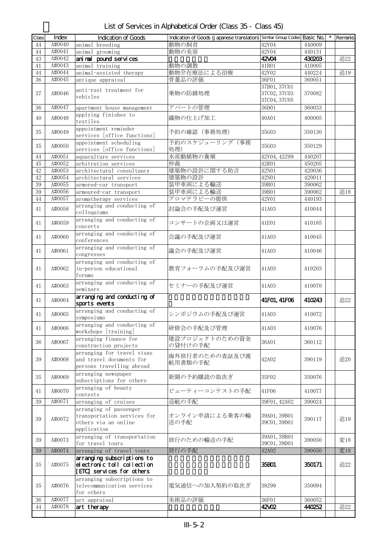| List of Services in Alphabetical Order (Class 35 - Class 45) |  |
|--------------------------------------------------------------|--|
|--------------------------------------------------------------|--|

| Class | Index  | Indication of Goods                                                                          | Indication of Goods (Japanese translation) Similar Group Codes Basic No. |                                              |        | Remarks |
|-------|--------|----------------------------------------------------------------------------------------------|--------------------------------------------------------------------------|----------------------------------------------|--------|---------|
| 44    | A#0040 | animal breeding                                                                              | 動物の飼育                                                                    | 42V04                                        | 440009 |         |
| 44    | A#0041 | animal grooming                                                                              | 動物の美容                                                                    | 42V04                                        | 440131 |         |
| 43    | A#0042 | ani nal pound services                                                                       |                                                                          | 42/04                                        | 430203 | 追22     |
| 41    | A#0043 | animal training                                                                              | 動物の調教                                                                    | 41B01                                        | 410005 |         |
| 44    | A#0044 | animal-assisted therapy                                                                      | 動物介在療法による治療                                                              | 42V02                                        | 440224 | 追19     |
| 36    | A#0045 | antique appraisal                                                                            | 骨董品の評価                                                                   | 36F01                                        | 360051 |         |
| 37    | A#0046 | anti-rust treatment for<br>vehicles                                                          | 乗物の防錆処理                                                                  | 37B01, 37C01<br>37C02, 37C03<br>37C04, 37C05 | 370082 |         |
| 36    | A#0047 | apartment house management                                                                   | アパートの管理                                                                  | 36D01                                        | 360033 |         |
| 40    | A#0048 | applying finishes to<br>textiles                                                             | 織物の仕上げ加工                                                                 | 40A01                                        | 400005 |         |
| 35    | A#0049 | appointment reminder<br>services [office functions]                                          | 予約の確認(事務処理)                                                              | 35G03                                        | 350130 |         |
| 35    | A#0050 | appointment scheduling<br>services [office functions]                                        | 予約のスケジューリング(事務<br>処理)                                                    | 35G03                                        | 350129 |         |
| 44    | A#0051 | aquaculture services                                                                         | 水産動植物の養殖                                                                 | 42V04, 42Z99                                 | 440207 |         |
| 45    | A#0052 | arbitration services                                                                         | 仲裁                                                                       | 42R01                                        | 450205 |         |
| 42    | A#0053 | architectural consultancy                                                                    | 建築物の設計に関する助言                                                             | 42N01                                        | 420036 |         |
| 42    | A#0054 | architectural services                                                                       | 建築物の設計                                                                   | 42N01                                        | 420011 |         |
| 39    | A#0055 | armored-car transport                                                                        | 装甲車両による輸送                                                                | 39B01                                        | 390062 |         |
| 39    | A#0056 | armoured-car transport                                                                       | 装甲車両による輸送                                                                | 39B01                                        | 390062 | 追18     |
| 44    | A#0057 | aromatherapy services                                                                        | アロマテラピーの提供                                                               | 42V01                                        | 440193 |         |
| 41    | A#0058 | arranging and conducting of<br>colloquiums                                                   | 討論会の手配及び運営                                                               | 41A03                                        | 410044 |         |
| 41    | A#0059 | arranging and conducting of<br>concerts                                                      | コンサートの企画又は運営                                                             | 41E01                                        | 410185 |         |
| 41    | A#0060 | arranging and conducting of<br>conferences                                                   | 会議の手配及び運営                                                                | 41A03                                        | 410045 |         |
| 41    | A#0061 | arranging and conducting of<br>congresses                                                    | 議会の手配及び運営                                                                | 41A03                                        | 410046 |         |
| 41    | A#0062 | arranging and conducting of<br>in-person educational<br>forums                               | 教育フォーラムの手配及び運営                                                           | 41A03                                        | 410203 |         |
| 41    | A#0063 | arranging and conducting of<br>seminars                                                      | セミナーの手配及び運営                                                              | 41A03                                        | 410070 |         |
| 41    | A#0064 | arranging and conducting of<br>sports events                                                 |                                                                          | 41FO1, 41FO6                                 | 410243 | 追22     |
| 41    | A#0065 | arranging and conducting of<br>symposiums                                                    | シンポジウムの手配及び運営                                                            | 41A03                                        | 410072 |         |
| 41    | A#0066 | arranging and conducting of<br>workshops [training]                                          | 研修会の手配及び管理                                                               | 41A03                                        | 410076 |         |
| 36    | A#0067 | arranging finance for<br>construction projects                                               | 建設プロジェクトのための資金<br>の貸付けの手配                                                | 36A01                                        | 360112 |         |
| 39    | A#0068 | arranging for travel visas<br>and travel documents for<br>persons travelling abroad          | 海外旅行者のための査証及び渡<br>航用書類の手配                                                | 42A02                                        | 390119 | 追20     |
| 35    | A#0069 | arranging newspaper<br>subscriptions for others                                              | 新聞の予約購読の取次ぎ                                                              | 35F02                                        | 350076 |         |
| 41    | A#0070 | arranging of beauty<br>contests                                                              | ビューティーコンテストの手配                                                           | 41F06                                        | 410077 |         |
| 39    | A#0071 | arranging of cruises                                                                         | 巡航の手配                                                                    | 39F01, 42A02                                 | 390024 |         |
| 39    | A#0072 | arranging of passenger<br>transportation services for<br>others via an online<br>application | オンライン申請による乗客の輸<br>送の手配                                                   | 39A01, 39B01<br>39C01, 39D01                 | 390117 | 追19     |
| 39    | A#0073 | arranging of transportation<br>for travel tours                                              | 旅行のための輸送の手配                                                              | 39A01, 39B01<br>39C01, 39D01                 | 390050 | 変18     |
| 39    | A#0074 | arranging of travel tours                                                                    | 旅行の手配                                                                    | 42A02                                        | 390050 | 変18     |
| 35    | A#0075 | arranging subscriptions to<br>electronic toll collection<br>[ETC] services for others        |                                                                          | 35B01                                        | 350171 | 追22     |
| 35    | A#0076 | arranging subscriptions to<br>telecommunication services<br>for others                       | 電気通信への加入契約の取次ぎ                                                           | 38Z99                                        | 350094 |         |
| 36    | A#0077 | art appraisal                                                                                | 美術品の評価                                                                   | 36F01                                        | 360052 |         |
| 44    | A#0078 | art therapy                                                                                  |                                                                          | 42VO2                                        | 440252 | 追22     |
|       |        |                                                                                              |                                                                          |                                              |        |         |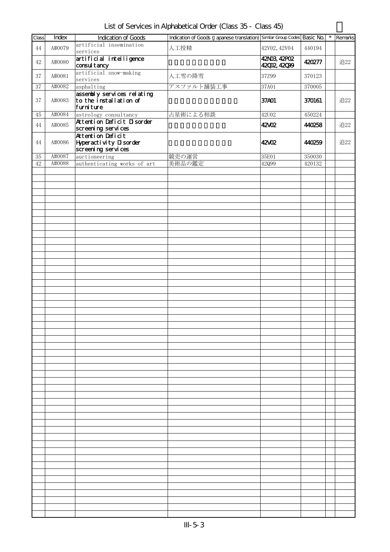List of Services in Alphabetical Order (Class 35 - Class 45)

| Class    | Index  | <b>Indication of Goods</b>                                         | Indication of Goods (Japanese translation) Similar Group Codes Basic No. |                              |            | $\star$ | Remarks |
|----------|--------|--------------------------------------------------------------------|--------------------------------------------------------------------------|------------------------------|------------|---------|---------|
| 44       | A#0079 | artificial insemination<br>services                                | 人工授精                                                                     | 42V02, 42V04                 | 440194     |         |         |
| 42       | A#0080 | artificial intelligence<br>consul tancy                            |                                                                          | 42N03, 42P02<br>42002, 42099 | 420277     |         | 追22     |
| 37       | A#0081 | artificial snow-making<br>services                                 | 人工雪の降雪                                                                   | 37Z99                        | 370123     |         |         |
| 37       | A#0082 | asphalting                                                         | アスファルト舗装工事                                                               | 37A01                        | 370005     |         |         |
| 37       | A#0083 | assentaly services relating<br>to the installation of<br>furniture |                                                                          | 37A01                        | 370161     |         | 追22     |
| $\rm 45$ | A#0084 | astrology consultancy                                              | 占星術による相談                                                                 | <b>42U02</b>                 | 450224     |         |         |
| 44       | A#0085 | Attention Deficit Disorder<br>screening services                   |                                                                          | 42XO2                        | 440258     |         | 追22     |
| 44       | A#0086 | Attention Deficit<br>Hyperactivity Disorder<br>screening services  |                                                                          | 42/02                        | 440259     |         | 追22     |
| $35\,$   | A#0087 | auctioneering                                                      | 競売の運営                                                                    | 35E01                        | $350030\,$ |         |         |
| $42\,$   | A#0088 | authenticating works of art                                        | 美術品の鑑定                                                                   | 42099                        | 420132     |         |         |
|          |        |                                                                    |                                                                          |                              |            |         |         |
|          |        |                                                                    |                                                                          |                              |            |         |         |
|          |        |                                                                    |                                                                          |                              |            |         |         |
|          |        |                                                                    |                                                                          |                              |            |         |         |
|          |        |                                                                    |                                                                          |                              |            |         |         |
|          |        |                                                                    |                                                                          |                              |            |         |         |
|          |        |                                                                    |                                                                          |                              |            |         |         |
|          |        |                                                                    |                                                                          |                              |            |         |         |
|          |        |                                                                    |                                                                          |                              |            |         |         |
|          |        |                                                                    |                                                                          |                              |            |         |         |
|          |        |                                                                    |                                                                          |                              |            |         |         |
|          |        |                                                                    |                                                                          |                              |            |         |         |
|          |        |                                                                    |                                                                          |                              |            |         |         |
|          |        |                                                                    |                                                                          |                              |            |         |         |
|          |        |                                                                    |                                                                          |                              |            |         |         |
|          |        |                                                                    |                                                                          |                              |            |         |         |
|          |        |                                                                    |                                                                          |                              |            |         |         |
|          |        |                                                                    |                                                                          |                              |            |         |         |
|          |        |                                                                    |                                                                          |                              |            |         |         |
|          |        |                                                                    |                                                                          |                              |            |         |         |
|          |        |                                                                    |                                                                          |                              |            |         |         |
|          |        |                                                                    |                                                                          |                              |            |         |         |
|          |        |                                                                    |                                                                          |                              |            |         |         |
|          |        |                                                                    |                                                                          |                              |            |         |         |
|          |        |                                                                    |                                                                          |                              |            |         |         |
|          |        |                                                                    |                                                                          |                              |            |         |         |
|          |        |                                                                    |                                                                          |                              |            |         |         |
|          |        |                                                                    |                                                                          |                              |            |         |         |
|          |        |                                                                    |                                                                          |                              |            |         |         |
|          |        |                                                                    |                                                                          |                              |            |         |         |
|          |        |                                                                    |                                                                          |                              |            |         |         |
|          |        |                                                                    |                                                                          |                              |            |         |         |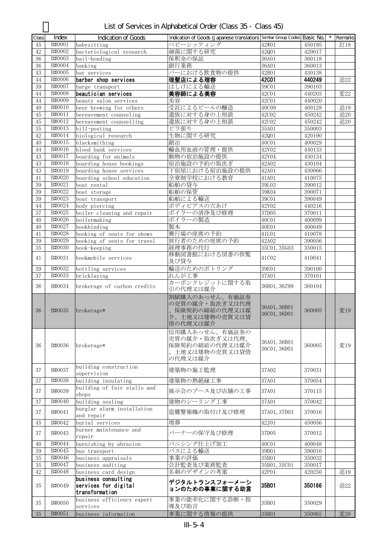| Class    | Index            | Indication of Goods                                           | Indication of Goods (Japanese translation) Similar Group Codes Basic No.        |                              |                  | $\star$<br>Remarks |
|----------|------------------|---------------------------------------------------------------|---------------------------------------------------------------------------------|------------------------------|------------------|--------------------|
| 45       | B#0001           | babysitting                                                   | ベビーシッティング                                                                       | 42W01                        | 450195           | 訂18                |
| 42       | B#0002           | bacteriological research                                      | 細菌に関する研究                                                                        | 42Q01                        | 420017           |                    |
| 36       | B#0003           | bail-bonding                                                  | 保釈金の保証                                                                          | 36A01                        | 360118           |                    |
| 36       | B#0004           | banking                                                       | 銀行業務                                                                            | 36A01                        | 360013           |                    |
| 43       | B#0005           | bar services                                                  | バーにおける飲食物の提供                                                                    | 42B01                        | 430138           |                    |
| 44       | B#0006           | barber shop services                                          | 理髪店による理容                                                                        | <b>42C01</b>                 | 440249           | 追22                |
| 39       | B#0007           | barge transport                                               | はしけによる輸送                                                                        | 39C01                        | 390103           |                    |
| 44<br>44 | B#0008<br>B#0009 | beautician services                                           | 美容師による美容<br>美容                                                                  | 42C01<br>42C01               | 440203<br>440020 | 変22                |
| 40       | B#0010           | beauty salon services<br>beer brewing for others              | 受託によるビールの醸造                                                                     | 40C09                        | 400128           | 追19                |
| $45\,$   | B#0011           | bereavement counseling                                        | 遺族に対する身の上相談                                                                     | 42U02                        | 450242           | 追20                |
| 45       | B#0012           | bereavement counselling                                       | 遺族に対する身の上相談                                                                     | 42U02                        | 450242           | 追20                |
| 35       | B#0013           | bill-posting                                                  | ビラ張り                                                                            | 35A01                        | 350003           |                    |
| 42       | B#0014           | biological research                                           | 生物に関する研究                                                                        | 42Q01                        | 420190           |                    |
| 40       | B#0015           | blacksmithing                                                 | 鍛冶                                                                              | 40C01                        | 400029           |                    |
| 44       | B#0016           | blood bank services                                           | 輸血用血液の管理・提供                                                                     | 42V02                        | 440133           |                    |
| 43       | B#0017           | boarding for animals                                          | 動物の宿泊施設の提供                                                                      | 42V04                        | 430134           |                    |
| 43       | B#0018           | boarding house bookings                                       | 宿泊施設の予約の取次ぎ                                                                     | 42A02                        | 430104           |                    |
| 43       | B#0019           | boarding house services                                       | 下宿屋における宿泊施設の提供                                                                  | 42A01                        | 430066           |                    |
| 41       | B#0020           | boarding school education                                     | 全寮制学校における教育                                                                     | 41A01                        | 410075           |                    |
| 39       | B#0021           | boat rental                                                   | 船舶の貸与                                                                           | 39L03                        | 390012           |                    |
| 39       | B#0022           | boat storage                                                  | 船舶の保管                                                                           | 39K04                        | 390071           |                    |
| 39       | B#0023           | boat transport                                                | 船舶による輸送                                                                         | 39C01                        | 390049           |                    |
| 44<br>37 | B#0024<br>B#0025 | body piercing                                                 | ボディピアスの穴あけ<br>ボイラーの清浄及び修理                                                       | 42V02<br>37D05               | 440216           |                    |
| 40       | B#0026           | boiler cleaning and repair<br>boilermaking                    | ボイラーの製造                                                                         | 40C01                        | 370011<br>400099 |                    |
| 40       | B#0027           | bookbinding                                                   | 製本                                                                              | 40E01                        | 400049           |                    |
| 41       | B#0028           | booking of seats for shows                                    | 興行場の座席の予約                                                                       | 41L01                        | 410078           |                    |
| $39\,$   | B#0029           | booking of seats for travel                                   | 旅行者のための座席の予約                                                                    | 42A02                        | 390056           |                    |
| 35       | B#0030           | book-keeping                                                  | 経理事務の代行                                                                         | 35C01, 35G03                 | 350015           |                    |
|          |                  |                                                               | 移動図書館における図書の供覧                                                                  |                              |                  |                    |
| 41       | B#0031           | bookmobile services                                           | 及び貸与                                                                            | 41C02                        | 410041           |                    |
| 39       | B#0032           | bottling services                                             | 輸送のためのボトリング                                                                     | 39E01                        | 390100           |                    |
| 37       | B#0033           | bricklaying                                                   | れんが工事                                                                           | 37A01                        | 370101           |                    |
| 36       | B#0034           | brokerage of carbon credits                                   | カーボンクレジットに関する取<br>引の代理又は媒介                                                      | 36B01, 36Z99                 | 360104           |                    |
| 36       | B#0035           | brokerage*                                                    | 割賦購入のあっせん、有価証券<br>の売買の媒介・取次ぎ又は代理<br>保険契約の締結の代理又は媒<br>介、土地又は建物の売買又は貸<br>借の代理又は媒介 | 36A01, 36B01<br>36C01, 36D01 | 360005           | 変19                |
| 36       | B#0036           | brokerage*                                                    | 信用購入あっせん、有価証券の<br>売買の媒介・取次ぎ又は代理、<br>保険契約の締結の代理又は媒介<br>、土地又は建物の売買又は貸借<br>の代理又は媒介 | 36A01, 36B01<br>36C01, 36D01 | 360005           | 変19                |
| 37       | B#0037           | building construction<br>supervision                          | 建築物の施工監理                                                                        | 37A02                        | 370031           |                    |
| 37       | B#0038           | building insulating                                           | 建築物の熱絶縁工事                                                                       | 37A01                        | 370054           |                    |
| 37       | B#0039           | building of fair stalls and<br>shops                          | 展示会のブース及び店舗の工事                                                                  | 37A01                        | 370115           |                    |
| 37       | B#0040           | building sealing                                              | 建物のシーリング工事                                                                      | 37A01                        | 370042           |                    |
| 37       | B#0041           | burglar alarm installation<br>and repair                      | 盗難警報機の取付け及び修理                                                                   | 37A01, 37D03                 | 370016           |                    |
| 45       | B#0042           | burial services                                               | 埋葬                                                                              | 42J01                        | 450056           |                    |
| 37       | B#0043           | burner maintenance and<br>repair                              | バーナーの保守及び修理                                                                     | 37D05                        | 370012           |                    |
| 40       | B#0044           | burnishing by abrasion                                        | バニシング仕上げ加工                                                                      | 40C01                        | 400048           |                    |
| 39       | B#0045           | bus transport                                                 | バスによる輸送                                                                         | 39B01                        | 390010           |                    |
| $35\,$   | B#0046           | business appraisals                                           | 事業の評価                                                                           | 35B01                        | 350032           |                    |
| $35\,$   | B#0047           | business auditing                                             | 会計監査及び業務監査                                                                      | 35B01, 35C01                 | 350017           |                    |
| 42       | B#0048           | business card design                                          | 名刺のデザインの考案                                                                      | 42P01                        | 420250           | 追19                |
| 35       | B#0049           | business consulting<br>services for digital<br>transformation | デジタルトランスフォーメーシ<br>ョンのための事業に関する助言                                                | 35B01                        | 350166           | 追22                |
| 35       | B#0050           | business efficiency expert<br>services                        | 事業の能率化に関する診断・指<br>導及び助言                                                         | 35B01                        | 350029           |                    |
| 35       | B#0051           | business information                                          | 事業に関する情報の提供                                                                     | 35B01                        | 350065           | 変20                |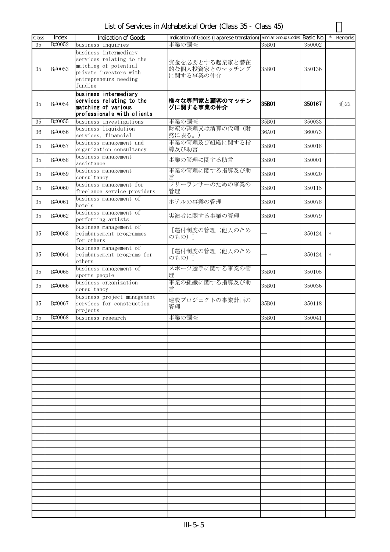List of Services in Alphabetical Order (Class 35 - Class 45)

| Class | Index  | <b>Indication of Goods</b>  | Indication of Goods (Japanese translation) Similar Group Codes Basic No. |       |        |        | Remarks |
|-------|--------|-----------------------------|--------------------------------------------------------------------------|-------|--------|--------|---------|
| 35    | B#0052 | business inquiries          | 事業の調査                                                                    | 35B01 | 350002 |        |         |
|       |        | business intermediary       |                                                                          |       |        |        |         |
|       |        | services relating to the    |                                                                          |       |        |        |         |
|       |        | matching of potential       | 資金を必要とする起業家と潜在                                                           |       |        |        |         |
| 35    | B#0053 | private investors with      | 的な個人投資家とのマッチング                                                           | 35B01 | 350136 |        |         |
|       |        | entrepreneurs needing       | に関する事業の仲介                                                                |       |        |        |         |
|       |        | funding                     |                                                                          |       |        |        |         |
|       |        | business intermediary       |                                                                          |       |        |        |         |
|       |        | services relating to the    | 様々な専門家と顧客のマッチン                                                           |       |        |        |         |
| 35    | B#0054 | matching of various         | グに関する事業の仲介                                                               | 35B01 | 350167 |        | 追22     |
|       |        | professionals with clients  |                                                                          |       |        |        |         |
| 35    | B#0055 | business investigations     | 事業の調査                                                                    | 35B01 | 350033 |        |         |
|       |        | business liquidation        | 財産の整理又は清算の代理(財                                                           |       |        |        |         |
| 36    | B#0056 | services, financial         | 務に限る。)                                                                   | 36A01 | 360073 |        |         |
|       |        | business management and     | 事業の管理及び組織に関する指                                                           |       |        |        |         |
| 35    | B#0057 | organization consultancy    | 導及び助言                                                                    | 35B01 | 350018 |        |         |
|       |        | business management         |                                                                          |       |        |        |         |
| 35    | B#0058 | assistance                  | 事業の管理に関する助言                                                              | 35B01 | 350001 |        |         |
|       |        | business management         | 事業の管理に関する指導及び助                                                           |       |        |        |         |
| 35    | B#0059 | consultancy                 | 言                                                                        | 35B01 | 350020 |        |         |
|       |        | business management for     | フリーランサーのための事業の                                                           |       |        |        |         |
| 35    | B#0060 | freelance service providers | 管理                                                                       | 35B01 | 350115 |        |         |
|       |        | business management of      |                                                                          |       |        |        |         |
| 35    | B#0061 | hotels                      | ホテルの事業の管理                                                                | 35B01 | 350078 |        |         |
|       |        | business management of      |                                                                          |       |        |        |         |
| 35    | B#0062 | performing artists          | 実演者に関する事業の管理                                                             | 35B01 | 350079 |        |         |
|       |        | business management of      |                                                                          |       |        |        |         |
| 35    | B#0063 | reimbursement programmes    | [還付制度の管理(他人のため                                                           |       | 350124 | $\ast$ |         |
|       |        | for others                  | のもの)]                                                                    |       |        |        |         |
|       |        | business management of      |                                                                          |       |        |        |         |
| 35    | B#0064 | reimbursement programs for  | [還付制度の管理(他人のため                                                           |       | 350124 | $\ast$ |         |
|       |        | others                      | のもの)]                                                                    |       |        |        |         |
|       |        | business management of      | スポーツ選手に関する事業の管                                                           |       |        |        |         |
| 35    | B#0065 | sports people               | 理                                                                        | 35B01 | 350105 |        |         |
| 35    | B#0066 | business organization       | 事業の組織に関する指導及び助                                                           | 35B01 | 350036 |        |         |
|       |        | consultancy                 | 言                                                                        |       |        |        |         |
|       |        | business project management | 建設プロジェクトの事業計画の                                                           |       |        |        |         |
| 35    | B#0067 | services for construction   | 管理                                                                       | 35B01 | 350118 |        |         |
|       |        | projects                    |                                                                          |       |        |        |         |
| 35    | B#0068 | business research           | 事業の調査                                                                    | 35B01 | 350041 |        |         |
|       |        |                             |                                                                          |       |        |        |         |
|       |        |                             |                                                                          |       |        |        |         |
|       |        |                             |                                                                          |       |        |        |         |
|       |        |                             |                                                                          |       |        |        |         |
|       |        |                             |                                                                          |       |        |        |         |
|       |        |                             |                                                                          |       |        |        |         |
|       |        |                             |                                                                          |       |        |        |         |
|       |        |                             |                                                                          |       |        |        |         |
|       |        |                             |                                                                          |       |        |        |         |
|       |        |                             |                                                                          |       |        |        |         |
|       |        |                             |                                                                          |       |        |        |         |
|       |        |                             |                                                                          |       |        |        |         |
|       |        |                             |                                                                          |       |        |        |         |
|       |        |                             |                                                                          |       |        |        |         |
|       |        |                             |                                                                          |       |        |        |         |
|       |        |                             |                                                                          |       |        |        |         |
|       |        |                             |                                                                          |       |        |        |         |
|       |        |                             |                                                                          |       |        |        |         |
|       |        |                             |                                                                          |       |        |        |         |
|       |        |                             |                                                                          |       |        |        |         |
|       |        |                             |                                                                          |       |        |        |         |
|       |        |                             |                                                                          |       |        |        |         |
|       |        |                             |                                                                          |       |        |        |         |
|       |        |                             |                                                                          |       |        |        |         |
|       |        |                             |                                                                          |       |        |        |         |
|       |        |                             |                                                                          |       |        |        |         |
|       |        |                             |                                                                          |       |        |        |         |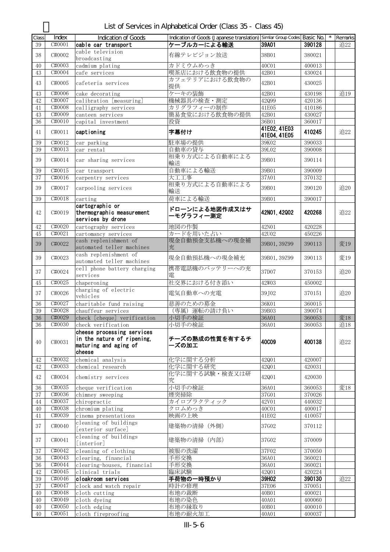| List of Services in Alphabetical Order (Class 35 - Class 45) |
|--------------------------------------------------------------|
|--------------------------------------------------------------|

| Class  | Index  | <b>Indication of Goods</b>  | Indication of Goods (Japanese translation) Similar Group Codes Basic No. |              |        | Remarks |
|--------|--------|-----------------------------|--------------------------------------------------------------------------|--------------|--------|---------|
| 39     | C#0001 | cable car transport         | ケーブルカーによる輸送                                                              | 39A01        | 390128 | 追22     |
|        |        |                             |                                                                          |              |        |         |
| 38     | C#0002 | cable television            | 有線テレビジョン放送                                                               | 38B01        | 380021 |         |
|        |        | broadcasting                |                                                                          |              |        |         |
| 40     | C#0003 | cadmium plating             | カドミウムめっき                                                                 | 40C01        | 400013 |         |
| 43     | C#0004 | cafe services               | 喫茶店における飲食物の提供                                                            | 42B01        | 430024 |         |
| 43     | C#0005 | cafeteria services          | カフェテリアにおける飲食物の                                                           | 42B01        | 430025 |         |
|        |        |                             | 提供                                                                       |              |        |         |
| 43     | C#0006 | cake decorating             | ケーキの装飾                                                                   | 42B01        | 430198 | 追19     |
| 42     | C#0007 | calibration [measuring]     | 機械器具の検査・測定                                                               | 42099        | 420136 |         |
| 41     | C#0008 | calligraphy services        | カリグラフィーの制作                                                               | 41E05        | 410186 |         |
| 43     | C#0009 | canteen services            | 簡易食堂における飲食物の提供                                                           | 42B01        | 430027 |         |
| 36     | C#0010 | capital investment          | 投資                                                                       | 36B01        | 360017 |         |
|        |        |                             |                                                                          | 41E02, 41E03 |        |         |
| 41     | C#0011 | captioning                  | 字幕付け                                                                     | 41E04, 41E05 | 410245 | 追22     |
| 39     | C#0012 |                             | 駐車場の提供                                                                   | 39K02        | 390033 |         |
| 39     | C#0013 | car parking                 | 自動車の貸与                                                                   | 39L02        | 390008 |         |
|        |        | car rental                  |                                                                          |              |        |         |
| 39     | C#0014 | car sharing services        | 相乗り方式による自動車による                                                           | 39B01        | 390114 |         |
|        |        |                             | 輸送                                                                       |              |        |         |
| 39     | C#0015 | car transport               | 自動車による輸送                                                                 | 39B01        | 390009 |         |
| 37     | C#0016 | carpentry services          | 大工工事                                                                     | 37A01        | 370132 |         |
| 39     | C#0017 | carpooling services         | 相乗り方式による自動車による                                                           | 39B01        | 390120 | 追20     |
|        |        |                             | 輸送                                                                       |              |        |         |
| 39     | C#0018 | carting                     | 荷車による輸送                                                                  | 39B01        | 390017 |         |
|        |        | cartographic or             |                                                                          |              |        |         |
| 42     | C#0019 | thermographic measurement   | ドローンによる地図作成又はサ                                                           | 42N01, 42002 | 420268 | 追22     |
|        |        | services by drone           | ーモグラフィー測定                                                                |              |        |         |
| $42\,$ | C#0020 | cartography services        | 地図の作製                                                                    | 42N01        | 420228 |         |
| 45     | C#0021 | cartomancy services         | カードを用いた占い                                                                | 42U02        | 450226 |         |
|        |        | cash replenishment of       | 現金自動預金支払機への現金補                                                           |              |        |         |
| 39     | C#0022 |                             |                                                                          | 39B01, 39Z99 | 390113 | 変19     |
|        |        | automated teller machines   | 充                                                                        |              |        |         |
| 39     | C#0023 | cash replenishment of       | 現金自動預払機への現金補充                                                            | 39B01, 39Z99 | 390113 | 変19     |
|        |        | automated teller machines   |                                                                          |              |        |         |
| 37     | C#0024 | cell phone battery charging | 携帯電話機のバッテリーへの充                                                           | 37D07        | 370153 | 追20     |
|        |        | services                    | 雷                                                                        |              |        |         |
| 45     | C#0025 | chaperoning                 | 社交界における付き添い                                                              | 42W03        | 450002 |         |
| 37     | C#0026 | charging of electric        | 電気自動車への充電                                                                | 39, J02      | 370151 | 追20     |
|        |        | vehicles                    |                                                                          |              |        |         |
| 36     | C#0027 | charitable fund raising     | 慈善のための募金                                                                 | 36K01        | 360015 |         |
| 39     | C#0028 | chauffeur services          | (専属) 運転の請け負い                                                             | 39B03        | 390074 |         |
| 36     | C#0029 | check [cheque] verification | 小切手の検証                                                                   | 36A01        | 360053 | 変18     |
| $36\,$ | C#0030 | check verification          | 小切手の検証                                                                   | 36A01        | 360053 | 追18     |
|        |        | cheese processing services  |                                                                          |              |        |         |
|        |        | in the nature of ripening,  | チーズの熟成の性質を有するチ                                                           |              |        |         |
| 40     | C#0031 | maturing and aging of       | ーズの加工                                                                    | <b>40C09</b> | 400138 | 追22     |
|        |        | cheese                      |                                                                          |              |        |         |
|        |        |                             |                                                                          |              |        |         |
| 42     | C#0032 | chemical analysis           | 化学に関する分析                                                                 | 42Q01        | 420007 |         |
| 42     | C#0033 | chemical research           | 化学に関する研究                                                                 | 42Q01        | 420031 |         |
| 42     | C#0034 | chemistry services          | 化学に関する試験・検査又は研                                                           | 42Q01        | 420030 |         |
|        |        |                             | 究                                                                        |              |        |         |
| 36     | C#0035 | cheque verification         | 小切手の検証                                                                   | 36A01        | 360053 | 変18     |
| 37     | C#0036 | chimney sweeping            | 煙突掃除                                                                     | 37G01        | 370026 |         |
| 44     | C#0037 | chiropractic                | カイロプラクティック                                                               | 42V01        | 440032 |         |
| 40     | C#0038 | chromium plating            | クロムめっき                                                                   | 40C01        | 400017 |         |
| 41     | C#0039 | cinema presentations        | 映画の上映                                                                    | 41E02        | 410057 |         |
|        |        | cleaning of buildings       |                                                                          |              |        |         |
| 37     | C#0040 | [exterior surface]          | 建築物の清掃 (外側)                                                              | 37G02        | 370112 |         |
|        |        | cleaning of buildings       |                                                                          |              |        |         |
| 37     | C#0041 | [interior]                  | 建築物の清掃 (内部)                                                              | 37G02        | 370009 |         |
| 37     | C#0042 | cleaning of clothing        | 被服の洗濯                                                                    | 37F02        | 370050 |         |
| 36     | C#0043 | clearing, financial         | 手形交換                                                                     | 36A01        | 360021 |         |
|        |        |                             |                                                                          |              |        |         |
| 36     | C#0044 | clearing-houses, financial  | 手形交換                                                                     | 36A01        | 360021 |         |
| 42     | C#0045 | clinical trials             | 臨床試験                                                                     | 42Q01        | 420224 |         |
| 39     | C#0046 | cloakroom services          | 手荷物の一時預かり                                                                | 39H02        | 390130 | 追22     |
| 37     | C#0047 | clock and watch repair      | 時計の修理                                                                    | 37E06        | 370051 |         |
| 40     | C#0048 | cloth cutting               | 布地の裁断                                                                    | 40B01        | 400021 |         |
| 40     | C#0049 | cloth dyeing                | 布地の染色                                                                    | 40A01        | 400060 |         |
| 40     | C#0050 | cloth edging                | 布地の縁取り                                                                   | 40B01        | 400010 |         |
| 40     | C#0051 | cloth fireproofing          | 布地の耐火加工                                                                  | 40A01        | 400037 |         |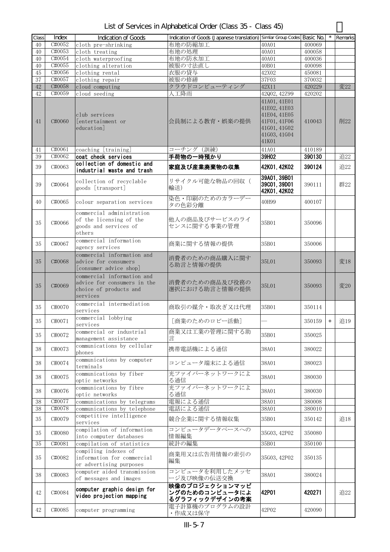| List of Services in Alphabetical Order (Class 35 - Class 45) |  |  |  |
|--------------------------------------------------------------|--|--|--|
|--------------------------------------------------------------|--|--|--|

| Class    | Index            | <b>Indication of Goods</b>                                                                      | Indication of Goods (Japanese translation) Similar Group Codes Basic No. |                                                                                                       |                  |        | Remarks |
|----------|------------------|-------------------------------------------------------------------------------------------------|--------------------------------------------------------------------------|-------------------------------------------------------------------------------------------------------|------------------|--------|---------|
| 40       | C#0052           | cloth pre-shrinking                                                                             | 布地の防縮加工                                                                  | 40A01                                                                                                 | 400069           |        |         |
| 40       | C#0053           | cloth treating                                                                                  | 布地の処理                                                                    | 40A01                                                                                                 | 400058           |        |         |
| 40       | C#0054           | cloth waterproofing                                                                             | 布地の防水加工                                                                  | 40A01                                                                                                 | 400036           |        |         |
| 40       | C#0055           | clothing alteration                                                                             | 被服の寸法直し                                                                  | 40B01                                                                                                 | 400098           |        |         |
| 45       | C#0056           | clothing rental                                                                                 | 衣服の貸与                                                                    | 42X02                                                                                                 | 450081           |        |         |
| 37<br>42 | C#0057<br>C#0058 | clothing repair                                                                                 | 被服の修繕<br>クラウドコンピューティング                                                   | 37F03<br>42X11                                                                                        | 370032           |        | 変22     |
| 42       | C#0059           | cloud computing<br>cloud seeding                                                                | 人工降雨                                                                     | 42Q02, 42Z99                                                                                          | 420229<br>420202 |        |         |
| 41       | C#0060           | club services<br>[entertainment or<br>education]                                                | 会員制による教育・娯楽の提供                                                           | 41A01, 41E01<br>41E02, 41E03<br>41E04, 41E05<br>41F01, 41F06<br>41601, 41602<br>41G03, 41G04<br>41K01 | 410043           |        | 削22     |
| 41       | C#0061           | coaching [training]                                                                             | コーチング (訓練)                                                               | 41A01                                                                                                 | 410189           |        |         |
| 39       | C#0062           | coat check services<br>collection of domestic and                                               | 手荷物の一時預かり                                                                | 39H02                                                                                                 | 390130           |        | 追22     |
| 39       | C#0063           | industrial waste and trash                                                                      | 家庭及び産業廃棄物の収集                                                             | 42K01, 42K02                                                                                          | 390124           |        | 追22     |
| 39       | C#0064           | collection of recyclable<br>goods [transport]                                                   | リサイクル可能な物品の回収(<br>輸送)                                                    | 39A01, 39B01<br>39C01.39D01<br>42K01, 42K02                                                           | 390111           |        | 群22     |
| 40       | C#0065           | colour separation services                                                                      | 染色・印刷のためのカラーデー<br>タの色彩分離                                                 | 40H99                                                                                                 | 400107           |        |         |
| 35       | C#0066           | commercial administration<br>of the licensing of the<br>goods and services of<br>others         | 他人の商品及びサービスのライ<br>センスに関する事業の管理                                           | 35B01                                                                                                 | 350096           |        |         |
| 35       | C#0067           | commercial information<br>agency services                                                       | 商業に関する情報の提供                                                              | 35B01                                                                                                 | 350006           |        |         |
| 35       | C#0068           | commercial information and<br>advice for consumers<br>[consumer advice shop]                    | 消費者のための商品購入に関す<br>る助言と情報の提供                                              | 35L01                                                                                                 | 350093           |        | 変18     |
| 35       | C#0069           | commercial information and<br>advice for consumers in the<br>choice of products and<br>services | 消費者のための商品及び役務の<br>選択における助言と情報の提供                                         | 35L01                                                                                                 | 350093           |        | 変20     |
| 35       | C#0070           | commercial intermediation<br>services                                                           | 商取引の媒介・取次ぎ又は代理                                                           | 35B01                                                                                                 | 350114           |        |         |
| 35       | C#0071           | commercial lobbying<br>services                                                                 | 「商業のためのロビー活動]                                                            |                                                                                                       | 350159           | $\ast$ | 追19     |
| 35       | C#0072           | commercial or industrial<br>management assistance                                               | 商業又は工業の管理に関する助                                                           | 35B01                                                                                                 | 350025           |        |         |
| 38       | C#0073           | communications by cellular<br>phones                                                            | 携帯電話機による通信                                                               | 38A01                                                                                                 | 380022           |        |         |
| 38       | C#0074           | communications by computer<br>terminals                                                         | コンピュータ端末による通信                                                            | 38A01                                                                                                 | 380023           |        |         |
| 38       | C#0075           | communications by fiber<br>optic networks                                                       | 光ファイバーネットワークによ<br>る通信                                                    | 38A01                                                                                                 | 380030           |        |         |
| 38       | C#0076           | communications by fibre<br>optic networks                                                       | 光ファイバーネットワークによ<br>る通信                                                    | 38A01                                                                                                 | 380030           |        |         |
| 38<br>38 | C#0077<br>C#0078 | communications by telegrams<br>communications by telephone                                      | 電報による通信<br>電話による通信                                                       | 38A01<br>38A01                                                                                        | 380008<br>380010 |        |         |
| 35       | C#0079           | competitive intelligence<br>services                                                            | 競合企業に関する情報収集                                                             | 35B01                                                                                                 | 350142           |        | 追18     |
| 35       | C#0080           | compilation of information<br>into computer databases                                           | コンピュータデータベースへの<br>情報編集                                                   | 35G03, 42P02                                                                                          | 350080           |        |         |
| 35       | C#0081           | compilation of statistics<br>compiling indexes of                                               | 統計の編集                                                                    | 35B01                                                                                                 | 350100           |        |         |
| 35       | C#0082           | information for commercial<br>or advertising purposes                                           | 商業用又は広告用情報の索引の<br>編集                                                     | 35G03, 42P02                                                                                          | 350135           |        |         |
| 38       | C#0083           | computer aided transmission<br>of messages and images                                           | コンピュータを利用したメッセ<br>ージ及び映像の伝送交換                                            | 38A01                                                                                                 | 380024           |        |         |
| 42       | C#0084           | computer graphic design for<br>video projection mapping                                         | 映像のプロジェクションマッピ<br>ングのためのコンピュータによ<br>るグラフィックデザインの考案                       | 42P01                                                                                                 | 420271           |        | 追22     |
| 42       | C#0085           | computer programming                                                                            | 電子計算機のプログラムの設計<br>・作成又は保守                                                | 42P02                                                                                                 | 420090           |        |         |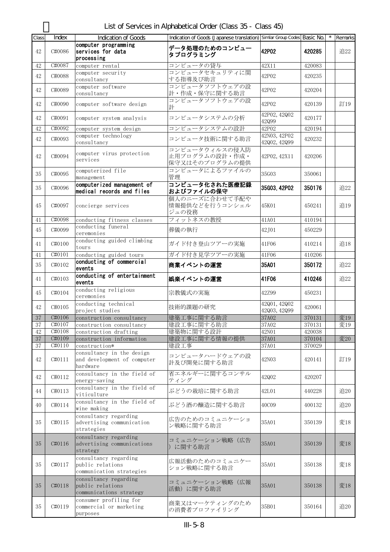List of Services in Alphabetical Order (Class 35 - Class 45)

| Class           | Index                       | Indication of Goods         | Indication of Goods (Japanese translation) Similar Group Codes Basic No. |              |        | Remarks |
|-----------------|-----------------------------|-----------------------------|--------------------------------------------------------------------------|--------------|--------|---------|
|                 |                             | computer programming        |                                                                          |              |        |         |
| 42              | C#0086                      | services for data           | データ処理のためのコンピュー                                                           | 42P02        | 420285 | 追22     |
|                 |                             | processing                  | タプログラミング                                                                 |              |        |         |
| 42              | C#0087                      | computer rental             | コンピュータの貸与                                                                | 42X11        | 420083 |         |
|                 |                             | computer security           | コンピュータセキュリティに関                                                           |              |        |         |
| 42              | C#0088                      | consultancy                 | する指導及び助言                                                                 | 42P02        | 420235 |         |
|                 |                             |                             |                                                                          |              |        |         |
| 42              | C#0089                      | computer software           | コンピュータソフトウェアの設                                                           | 42P02        | 420204 |         |
|                 |                             | consultancy                 | 計・作成・保守に関する助言                                                            |              |        |         |
| 42              | C#0090                      | computer software design    | コンピュータソフトウェアの設                                                           | 42P02        | 420139 | 訂19     |
|                 |                             |                             | 計                                                                        |              |        |         |
|                 |                             |                             |                                                                          | 42P02, 42Q02 |        |         |
| 42              | C#0091                      | computer system analysis    | コンピュータシステムの分析                                                            | 42Q99        | 420177 |         |
| 42              | C#0092                      | computer system design      | コンピュータシステムの設計                                                            | 42P02        | 420194 |         |
|                 |                             | computer technology         |                                                                          | 42N03, 42P02 |        |         |
| 42              | C#0093                      | consultancy                 | コンピュータ技術に関する助言                                                           | 42Q02, 42Q99 | 420232 |         |
|                 |                             |                             | コンピュータウィルスの侵入防                                                           |              |        |         |
| 42              | C#0094                      | computer virus protection   | 止用プログラムの設計・作成・                                                           | 42P02, 42X11 | 420206 |         |
|                 |                             | services                    | 保守又はそのプログラムの提供                                                           |              |        |         |
|                 |                             |                             |                                                                          |              |        |         |
| 35              | C#0095                      | computerized file           | コンピュータによるファイルの                                                           | 35G03        | 350061 |         |
|                 |                             | management                  | 管理                                                                       |              |        |         |
| 35              | C#0096                      | computerized management of  | コンピュータ化された医療記録                                                           | 35G03, 42P02 | 350176 | 追22     |
|                 |                             | medical records and files   | およびファイルの保守                                                               |              |        |         |
|                 |                             |                             | 個人のニーズに合わせて手配や                                                           |              |        |         |
| 45              | C#0097                      | concierge services          | 情報提供などを行うコンシェル                                                           | 45K01        | 450241 | 追19     |
|                 |                             |                             | ジュの役務                                                                    |              |        |         |
| 41              | C#0098                      | conducting fitness classes  | フィットネスの教授                                                                | 41A01        | 410194 |         |
|                 |                             | conducting funeral          |                                                                          |              |        |         |
| 45              | C#0099                      | ceremonies                  | 葬儀の執行                                                                    | 42J01        | 450229 |         |
|                 |                             |                             |                                                                          |              |        |         |
| 41              | C#0100                      | conducting guided climbing  | ガイド付き登山ツアーの実施                                                            | 41F06        | 410214 | 追18     |
|                 |                             | tours                       |                                                                          |              |        |         |
| 41              | C#0101                      | conducting guided tours     | ガイド付き見学ツアーの実施                                                            | 41F06        | 410206 |         |
| 35              | C#0102                      | conducting of commercial    | 商業イベントの運営                                                                | 35A01        | 350172 | 追22     |
|                 |                             | events                      |                                                                          |              |        |         |
|                 |                             | conducting of entertainment | 娯楽イベントの運営                                                                | 41F06        | 410246 |         |
| 41              | C#0103                      | events                      |                                                                          |              |        | 追22     |
|                 |                             | conducting religious        |                                                                          |              |        |         |
| 45              | C#0104                      | ceremonies                  | 宗教儀式の実施                                                                  | 42Z99        | 450231 |         |
|                 |                             | conducting technical        |                                                                          | 42Q01, 42Q02 |        |         |
| 42              | C#0105                      | project studies             | 技術的課題の研究                                                                 | 42Q03, 42Q99 | 420061 |         |
| 37              | $\overline{\text{C}\#0}106$ |                             | 建築工事に関する助言                                                               | 37A02        | 370131 | 変19     |
|                 |                             | construction consultancy    |                                                                          |              |        |         |
| $\overline{37}$ | C#0107                      | construction consultancy    | 建設工事に関する助言                                                               | 37A02        | 370131 | 変19     |
| 42              | C#0108                      | construction drafting       | 建築物に関する設計                                                                | 42N01        | 420038 |         |
| 37              | C#0109                      | construction information    | 建設工事に関する情報の提供                                                            | 37A01        | 370104 | 変20     |
| 37              | C#0110                      | construction*               | 建設工事                                                                     | 37A01        | 370029 |         |
|                 |                             | consultancy in the design   | コンピュータハードウェアの設                                                           |              |        |         |
| 42              | C#0111                      | and development of computer |                                                                          | 42N03        | 420141 | 訂19     |
|                 |                             | hardware                    | 計及び開発に関する助言                                                              |              |        |         |
|                 |                             | consultancy in the field of | 省エネルギーに関するコンサル                                                           |              |        |         |
| 42              | C#0112                      | energy-saving               | ティング                                                                     | 42Q02        | 420207 |         |
|                 |                             | consultancy in the field of |                                                                          |              |        |         |
| 44              | C#0113                      | viticulture                 | ぶどうの栽培に関する助言                                                             | 42L01        | 440228 | 追20     |
|                 |                             |                             |                                                                          |              |        |         |
| 40              | C#0114                      | consultancy in the field of | ぶどう酒の醸造に関する助言                                                            | 40C09        | 400132 | 追20     |
|                 |                             | wine making                 |                                                                          |              |        |         |
|                 |                             | consultancy regarding       | 広告のためのコミュニケーショ                                                           |              |        |         |
| 35              | C#0115                      | advertising communication   | ン戦略に関する助言                                                                | 35A01        | 350139 | 変18     |
|                 |                             | strategies                  |                                                                          |              |        |         |
|                 |                             | consultancy regarding       |                                                                          |              |        |         |
| 35              | C#0116                      | advertising communications  | コミュニケーション戦略(広告                                                           | 35A01        | 350139 | 変18     |
|                 |                             | strategy                    | )に関する助言                                                                  |              |        |         |
|                 |                             | consultancy regarding       |                                                                          |              |        |         |
| 35              | C#0117                      | public relations            | 広報活動のためのコミュニケー                                                           | 35A01        | 350138 | 変18     |
|                 |                             |                             | ション戦略に関する助言                                                              |              |        |         |
|                 |                             | communication strategies    |                                                                          |              |        |         |
|                 |                             | consultancy regarding       | コミュニケーション戦略(広報                                                           |              |        |         |
| 35              | C#0118                      | public relations            | 活動)に関する助言                                                                | 35A01        | 350138 | 変18     |
|                 |                             | communications strategy     |                                                                          |              |        |         |
|                 |                             | consumer profiling for      | 商業又はマーケティングのため                                                           |              |        |         |
| 35              | C#0119                      | commercial or marketing     | の消費者プロファイリング                                                             | 35B01        | 350164 | 追20     |
|                 |                             | purposes                    |                                                                          |              |        |         |
|                 |                             |                             |                                                                          |              |        |         |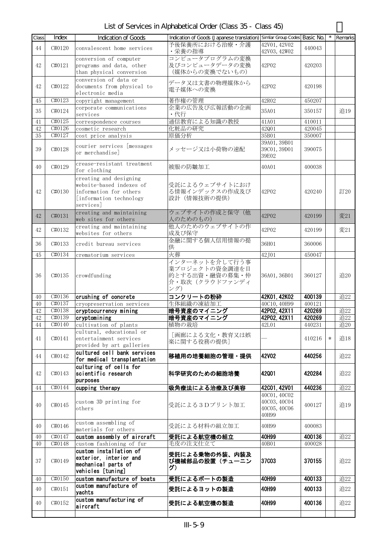List of Services in Alphabetical Order (Class 35 - Class 45)

| Class    | Index            | <b>Indication of Goods</b>                                                                                           | Indication of Goods (Japanese translation) Similar Group Codes Basic No.         |                                                       |                  |        | Remarks |
|----------|------------------|----------------------------------------------------------------------------------------------------------------------|----------------------------------------------------------------------------------|-------------------------------------------------------|------------------|--------|---------|
| 44       | C#0120           | convalescent home services                                                                                           | 予後保養所における治療・介護<br>・栄養の指導                                                         | 42V01, 42V02<br>42V03, 42W02                          | 440043           |        |         |
| 42       | C#0121           | conversion of computer<br>programs and data, other<br>than physical conversion                                       | コンピュータプログラムの変換<br>及びコンピュータデータの変換<br>(媒体からの変換でないもの)                               | 42P02                                                 | 420203           |        |         |
| 42       | C#0122           | conversion of data or<br>documents from physical to<br>electronic media                                              | データ又は文書の物理媒体から<br>電子媒体への変換                                                       | 42P02                                                 | 420198           |        |         |
| 45       | C#0123           | copyright management                                                                                                 | 著作権の管理                                                                           | 42R02                                                 | 450207           |        |         |
| 35       | C#0124           | corporate communications<br>services                                                                                 | 企業の広告及び広報活動の企画<br>・代行                                                            | 35A01                                                 | 350157           |        | 追19     |
| 41       | C#0125           | correspondence courses                                                                                               | 通信教育による知識の教授                                                                     | 41A01                                                 | 410011           |        |         |
| 42       | C#0126           | cosmetic research                                                                                                    | 化粧品の研究                                                                           | 42Q01                                                 | 420045           |        |         |
| 35       | C#0127           | cost price analysis                                                                                                  | 原価分析                                                                             | 35B01                                                 | 350007           |        |         |
| 39       | C#0128           | courier services [messages<br>or merchandise]                                                                        | メッセージ又は小荷物の速配                                                                    | 39A01, 39B01<br>39C01, 39D01<br>39E02                 | 390075           |        |         |
| 40       | C#0129           | crease-resistant treatment<br>for clothing                                                                           | 被服の防皺加工                                                                          | 40A01                                                 | 400038           |        |         |
| 42       | C#0130           | creating and designing<br>website-based indexes of<br>information for others<br>[information technology<br>services] | 受託によるウェブサイトにおけ<br>る情報インデックスの作成及び<br>設計 (情報技術の提供)                                 | 42P02                                                 | 420240           |        | 訂20     |
| 42       | C#0131           | creating and maintaining<br>web sites for others                                                                     | ウェブサイトの作成と保守(他<br>人のためのもの)                                                       | 42P02                                                 | 420199           |        | 変21     |
| 42       | C#0132           | creating and maintaining<br>websites for others                                                                      | 他人のためのウェブサイトの作<br>成及び保守                                                          | 42P02                                                 | 420199           |        | 変21     |
| 36       | C#0133           | credit bureau services                                                                                               | 金融に関する個人信用情報の提<br>供                                                              | 36H01                                                 | 360006           |        |         |
| 45       | C#0134           | crematorium services                                                                                                 | 火葬                                                                               | 42J01                                                 | 450047           |        |         |
| 36       | C#0135           | crowdfunding                                                                                                         | -<br>インターネットを介して行う事<br>業プロジェクトの資金調達を目<br>的とする出資・融資の募集・仲<br>介・取次(クラウドファンディ<br>ング) | 36A01, 36B01                                          | 360127           |        | 追20     |
| 40<br>40 | C#0136<br>C#0137 | crushing of concrete<br>cryopreservation services                                                                    | コンクリートの粉砕<br>生体組織の凍結加工                                                           | 42K01, 42K02<br>40C10, 40H99                          | 400139<br>400121 |        | 追22     |
| 42       | C#0138           | cryptocurrency mining                                                                                                | 暗号資産のマイニング                                                                       | 42P02, 42X11                                          | 420269           |        | 追22     |
| 42       | C#0139           | cryptomining                                                                                                         | 暗号資産のマイニング                                                                       | 42P02, 42X11                                          | 420269           |        | 追22     |
| $\rm 44$ | C#0140           | cultivation of plants                                                                                                | 植物の栽培                                                                            | 42L01                                                 | 440231           |        | 追20     |
| 41       | C#0141           | cultural, educational or<br>entertainment services<br>provided by art galleries                                      | [画廊による文化・教育又は娯<br>楽に関する役務の提供]                                                    |                                                       | 410216           | $\ast$ | 追18     |
| 44       | C#0142           | cultured cell bank services<br>for medical transplantation                                                           | 移植用の培養細胞の管理・提供                                                                   | 42V02                                                 | 440256           |        | 追22     |
| 42       | C#0143           | culturing of cells for<br>scientific research<br>purposes                                                            | 科学研究のための細胞培養                                                                     | 42001                                                 | 420284           |        | 追22     |
| 44       | C#0144           | cupping therapy                                                                                                      | 吸角療法による治療及び美容                                                                    | 42001, 42V01                                          | 440236           |        | 追22     |
| 40       | C#0145           | custom 3D printing for<br>others                                                                                     | 受託による3Dプリント加工                                                                    | 40C01, 40C02<br>40C03, 40C04<br>40C05, 40C06<br>40H99 | 400127           |        | 追19     |
| 40       | C#0146           | custom assembling of<br>materials for others                                                                         | 受託による材料の組立加工                                                                     | 40H99                                                 | 400083           |        |         |
| 40       | C#0147           | custom assembly of aircraft                                                                                          | 受託による航空機の組立                                                                      | 40H99                                                 | 400136           |        | 追22     |
| 40       | C#0148           | custom fashioning of fur                                                                                             | 毛皮の注文仕立て                                                                         | 40B01                                                 | 400028           |        |         |
| 37       | C#0149           | custom installation of<br>exterior, interior and<br>mechanical parts of<br>vehicles [tuning]                         | 受託による乗物の外装、内装及<br>び機械部品の設置(チューニン<br>グ)                                           | 37C03                                                 | 370155           |        | 追22     |
| 40       | C#0150           | custom manufacture of boats                                                                                          | 受託によるボートの製造                                                                      | 40H99                                                 | 400133           |        | 追22     |
| 40       | C#0151           | custom manufacture of<br>yachts                                                                                      | 受託によるヨットの製造                                                                      | 40H99                                                 | 400133           |        | 追22     |
| 40       | C#0152           | custom manufacturing of<br>aircraft                                                                                  | 受託による航空機の製造                                                                      | 40H99                                                 | 400136           |        | 追22     |
|          |                  |                                                                                                                      |                                                                                  |                                                       |                  |        |         |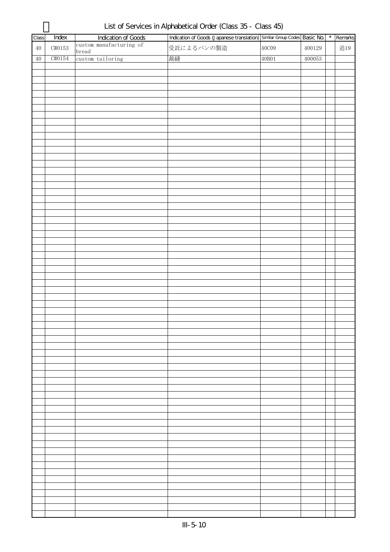| Class  | Index              | <b>Indication of Goods</b> | Indication of Goods (Japanese translation) Similar Group Codes Basic No. |       |        | $\star$ | Remarks |
|--------|--------------------|----------------------------|--------------------------------------------------------------------------|-------|--------|---------|---------|
| $40\,$ | $\texttt{C}\#0153$ | custom manufacturing of    | 受託によるパンの製造                                                               | 40C09 | 400129 |         | 追19     |
|        |                    | bread                      |                                                                          |       |        |         |         |
| $40$   | C#0154             | custom tailoring           | 裁縫                                                                       | 40B01 | 400053 |         |         |
|        |                    |                            |                                                                          |       |        |         |         |
|        |                    |                            |                                                                          |       |        |         |         |
|        |                    |                            |                                                                          |       |        |         |         |
|        |                    |                            |                                                                          |       |        |         |         |
|        |                    |                            |                                                                          |       |        |         |         |
|        |                    |                            |                                                                          |       |        |         |         |
|        |                    |                            |                                                                          |       |        |         |         |
|        |                    |                            |                                                                          |       |        |         |         |
|        |                    |                            |                                                                          |       |        |         |         |
|        |                    |                            |                                                                          |       |        |         |         |
|        |                    |                            |                                                                          |       |        |         |         |
|        |                    |                            |                                                                          |       |        |         |         |
|        |                    |                            |                                                                          |       |        |         |         |
|        |                    |                            |                                                                          |       |        |         |         |
|        |                    |                            |                                                                          |       |        |         |         |
|        |                    |                            |                                                                          |       |        |         |         |
|        |                    |                            |                                                                          |       |        |         |         |
|        |                    |                            |                                                                          |       |        |         |         |
|        |                    |                            |                                                                          |       |        |         |         |
|        |                    |                            |                                                                          |       |        |         |         |
|        |                    |                            |                                                                          |       |        |         |         |
|        |                    |                            |                                                                          |       |        |         |         |
|        |                    |                            |                                                                          |       |        |         |         |
|        |                    |                            |                                                                          |       |        |         |         |
|        |                    |                            |                                                                          |       |        |         |         |
|        |                    |                            |                                                                          |       |        |         |         |
|        |                    |                            |                                                                          |       |        |         |         |
|        |                    |                            |                                                                          |       |        |         |         |
|        |                    |                            |                                                                          |       |        |         |         |
|        |                    |                            |                                                                          |       |        |         |         |
|        |                    |                            |                                                                          |       |        |         |         |
|        |                    |                            |                                                                          |       |        |         |         |
|        |                    |                            |                                                                          |       |        |         |         |
|        |                    |                            |                                                                          |       |        |         |         |
|        |                    |                            |                                                                          |       |        |         |         |
|        |                    |                            |                                                                          |       |        |         |         |
|        |                    |                            |                                                                          |       |        |         |         |
|        |                    |                            |                                                                          |       |        |         |         |
|        |                    |                            |                                                                          |       |        |         |         |
|        |                    |                            |                                                                          |       |        |         |         |
|        |                    |                            |                                                                          |       |        |         |         |
|        |                    |                            |                                                                          |       |        |         |         |
|        |                    |                            |                                                                          |       |        |         |         |
|        |                    |                            |                                                                          |       |        |         |         |
|        |                    |                            |                                                                          |       |        |         |         |
|        |                    |                            |                                                                          |       |        |         |         |
|        |                    |                            |                                                                          |       |        |         |         |
|        |                    |                            |                                                                          |       |        |         |         |
|        |                    |                            |                                                                          |       |        |         |         |
|        |                    |                            |                                                                          |       |        |         |         |
|        |                    |                            |                                                                          |       |        |         |         |
|        |                    |                            |                                                                          |       |        |         |         |
|        |                    |                            |                                                                          |       |        |         |         |
|        |                    |                            |                                                                          |       |        |         |         |
|        |                    |                            |                                                                          |       |        |         |         |
|        |                    |                            |                                                                          |       |        |         |         |
|        |                    |                            |                                                                          |       |        |         |         |
|        |                    |                            |                                                                          |       |        |         |         |
|        |                    |                            |                                                                          |       |        |         |         |
|        |                    |                            |                                                                          |       |        |         |         |

List of Services in Alphabetical Order (Class 35 - Class 45)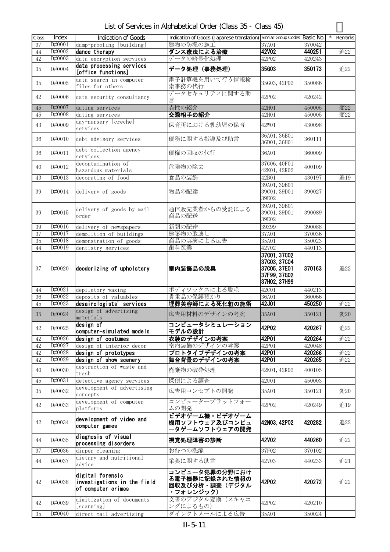List of Services in Alphabetical Order (Class 35 - Class 45)

| Class    | Index                | Indication of Goods                                                   | Indication of Goods (Japanese translation) Similar Group Codes Basic No. |                                                                              |                  | Remarks    |
|----------|----------------------|-----------------------------------------------------------------------|--------------------------------------------------------------------------|------------------------------------------------------------------------------|------------------|------------|
| 37       | D#0001               | damp-proofing [building]                                              | 建物の防湿の施工                                                                 | 37A01                                                                        | 370042           |            |
| 44       | D#0002               | dance therapy                                                         | ダンス療法による治療                                                               | <b>42V02</b>                                                                 | 440251           | 追22        |
| 42       | D#0003               | data encryption services                                              | データの暗号化処理                                                                | 42P02                                                                        | 420243           |            |
| 35       | D#0004               | data processing services<br>[office functions]                        | データ処理(事務処理)                                                              | 35G03                                                                        | 350173           | 追22        |
| 35       | D#0005               | data search in computer<br>files for others                           | 電子計算機を用いて行う情報検<br>索事務の代行                                                 | 35G03, 42P02                                                                 | 350086           |            |
| 42       | D#0006               | data security consultancy                                             | データセキュリティに関する助<br>言                                                      | 42P02                                                                        | 420242           |            |
| $45\,$   | D#0007               | dating services                                                       | 異性の紹介                                                                    | 42H01                                                                        | 450005           | 変22        |
| 45       | D#0008               | dating services                                                       | 交際相手の紹介                                                                  | 42H01                                                                        | 450005           | 変22        |
| 43       | D#0009               | day-nursery [creche]<br>services                                      | 保育所における乳幼児の保育                                                            | 42W01                                                                        | 430098           |            |
| 36       | D#0010               | debt advisory services                                                | 債務に関する指導及び助言                                                             | 36A01, 36B01<br>36D01, 36H01                                                 | 360111           |            |
| 36       | D#0011               | debt collection agency<br>services                                    | 債権の回収の代行                                                                 | 36A01                                                                        | 360009           |            |
| 40       | D#0012               | decontamination of<br>hazardous materials                             | 危険物の除去                                                                   | 37G06, 40F01<br>42K01, 42K02                                                 | 400109           |            |
| 43       | D#0013               | decorating of food                                                    | 食品の装飾                                                                    | 42B01                                                                        | 430197           | 追19        |
|          |                      |                                                                       |                                                                          | 39A01, 39B01                                                                 |                  |            |
| 39       | D#0014               | delivery of goods                                                     | 物品の配達                                                                    | 39C01, 39D01<br>39E02                                                        | 390027           |            |
| 39       | D#0015               | delivery of goods by mail<br>order                                    | 通信販売業者からの受託による<br>商品の配送                                                  | 39A01, 39B01<br>39C01, 39D01<br>39E02                                        | 390089           |            |
| 39       | D#0016               | delivery of newspapers                                                | 新聞の配達                                                                    | 39Z99                                                                        | 390088           |            |
| 37       | D#0017               | demolition of buildings                                               | 建築物の取壊し                                                                  | 37A01                                                                        | 370036           |            |
| 35       | D#0018               | demonstration of goods                                                | 商品の実演による広告                                                               | 35A01                                                                        | 350023           |            |
| 44       | D#0019               | dentistry services                                                    | 歯科医業                                                                     | 42V02                                                                        | 440113           |            |
| 37       | D#0020               | deodorizing of upholstery                                             | 室内装飾品の脱臭                                                                 | 37001, 37002<br>37003, 37004<br>37C05, 37E01<br>37F99, 37G02<br>37H02, 37H99 | 370163           | 追22        |
| 44       | $\overline{D}$ #0021 | depilatory waxing                                                     | ボディワックスによる脱毛                                                             | 42C01                                                                        | 440213           |            |
| 36       | D#0022               | deposits of valuables                                                 | 貴重品の保護預かり                                                                | 36A01                                                                        | 360066           |            |
| 45       | D#0023               | desairologists' services                                              | 埋葬美容師による死化粧の施術                                                           | 42J01                                                                        | 450250           | 追22        |
| 35       | D#0024               | design of advertising<br>materials                                    | 広告用材料のデザインの考案                                                            | 35A01                                                                        | 350121           | 変20        |
| 42       | D#0025               | design of<br>computer-simulated models                                | コンピュータシミュレーション<br>モデルの設計                                                 | 42P02                                                                        | 420267           | 追22        |
| 42       | D#0026               | design of costumes                                                    | 衣装のデザインの考案                                                               | 42P01                                                                        | 420264           | 追22        |
| 42       | D#0027               | design of interior decor                                              | 室内装飾のデザインの考案                                                             | 42P01                                                                        | 420048<br>420266 |            |
| 42<br>42 | D#0028<br>D#0029     | design of prototypes<br>design of show scenery                        | プロトタイプデザインの考案                                                            | 42P01<br>42P01                                                               | 420265           | 追22<br>追22 |
| 40       | D#0030               | destruction of waste and                                              | 舞台背景のデザインの考案<br>廃棄物の破砕処理                                                 | 42K01, 42K02                                                                 | 400105           |            |
| 45       | D#0031               | trash<br>detective agency services                                    | 探偵による調査                                                                  | 42U01                                                                        | 450003           |            |
| 35       | D#0032               | development of advertising                                            | 広告用コンセプトの開発                                                              | 35A01                                                                        | 350121           | 変20        |
| 42       | D#0033               | concepts<br>development of computer                                   | コンピュータープラットフォー                                                           | 42P02                                                                        | 420249           | 追19        |
|          |                      | platforms<br>development of video and                                 | ムの開発<br>ビデオゲーム機・ビデオゲーム                                                   |                                                                              |                  |            |
| 42       | D#0034               | computer games                                                        | 機用ソフトウェア及びコンピュ<br>ータゲームソフトウェアの開発                                         | 42N03, 42P02                                                                 | 420282           | 追22        |
| 44       | D#0035               | diagnosis of visual<br>processing disorders                           | 視覚処理障害の診断                                                                | 42V02                                                                        | 440260           | 追22        |
| 37       | D#0036               | diaper cleaning                                                       | おむつの洗濯                                                                   | 37F02                                                                        | 370102           |            |
| 44       | D#0037               | dietary and nutritional<br>advice                                     | 栄養に関する助言                                                                 | 42V03                                                                        | 440233           | 追21        |
| 42       | D#0038               | digital forensic<br>investigations in the field<br>of computer crimes | コンピュータ犯罪の分野におけ<br>る電子機器に記録された情報の<br>回収及び分析・調査(デジタル<br>・フォレンジック)          | 42P02                                                                        | 420272           | 追22        |
| 42       | D#0039               | digitization of documents<br>[scanning]                               | 文書のデジタル変換(スキャニ<br>ングによるもの)                                               | 42P02                                                                        | 420210           |            |
| 35       | D#0040               | direct mail advertising                                               | ダイレクトメールによる広告                                                            | 35A01                                                                        | 350024           |            |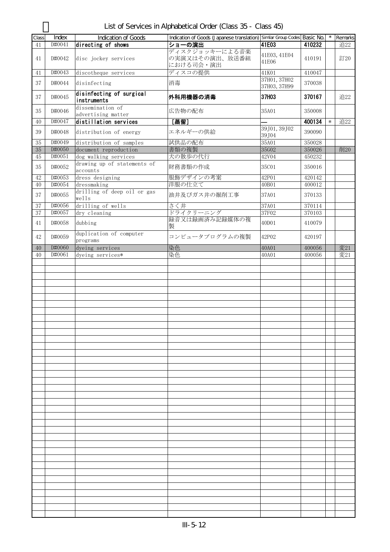| Class  | Index  | Indication of Goods                     | Indication of Goods (Japanese translation) Similar Group Codes Basic No. |                              |        |        | Remarks |
|--------|--------|-----------------------------------------|--------------------------------------------------------------------------|------------------------------|--------|--------|---------|
| 41     | D#0041 | directing of shows                      | ショーの演出                                                                   | 41E03                        | 410232 |        | 追22     |
| 41     | D#0042 | disc jockey services                    | ディスクジョッキーによる音楽<br>の実演又はその演出、放送番組<br>における司会・演出                            | 41E03, 41E04<br>41E06        | 410191 |        | 訂20     |
| 41     | D#0043 | discotheque services                    | ディスコの提供                                                                  | 41K01                        | 410047 |        |         |
| 37     | D#0044 | disinfecting                            | 消毒                                                                       | 37H01, 37H02<br>37H03, 37H99 | 370038 |        |         |
| 37     | D#0045 | disinfecting of surgical<br>instruments | 外科用機器の消毒                                                                 | 37H03                        | 370167 |        | 追22     |
| 35     | D#0046 | dissemination of<br>advertising matter  | 広告物の配布                                                                   | 35A01                        | 350008 |        |         |
| 40     | D#0047 | distillation services                   | [蒸留]                                                                     |                              | 400134 | $\ast$ | 追22     |
| 39     | D#0048 | distribution of energy                  | エネルギーの供給                                                                 | 39J01, 39J02<br>39J04        | 390090 |        |         |
| 35     | D#0049 | distribution of samples                 | 試供品の配布                                                                   | 35A01                        | 350028 |        |         |
| $35\,$ | D#0050 | document reproduction                   | 書類の複製                                                                    | 35G02                        | 350026 |        | 削20     |
| 45     | D#0051 | dog walking services                    | 犬の散歩の代行                                                                  | 42V04                        | 450232 |        |         |
| 35     | D#0052 | drawing up of statements of<br>accounts | 財務書類の作成                                                                  | 35C01                        | 350016 |        |         |
| 42     | D#0053 | dress designing                         | 服飾デザインの考案                                                                | 42P01                        | 420142 |        |         |
| 40     | D#0054 | dressmaking                             | 洋服の仕立て                                                                   | 40B01                        | 400012 |        |         |
| 37     | D#0055 | drilling of deep oil or gas<br>wells    | 油井及びガス井の掘削工事                                                             | 37A01                        | 370133 |        |         |
| 37     | D#0056 | drilling of wells                       | さく井                                                                      | 37A01                        | 370114 |        |         |
| 37     | D#0057 | dry cleaning                            | ドライクリーニング                                                                | 37F02                        | 370103 |        |         |
| 41     | D#0058 | dubbing                                 | 録音又は録画済み記録媒体の複<br>製                                                      | 40D01                        | 410079 |        |         |
| 42     | D#0059 | duplication of computer<br>programs     | コンピュータプログラムの複製                                                           | 42P02                        | 420197 |        |         |
| 40     | D#0060 | dyeing services                         | 染色                                                                       | 40A01                        | 400056 |        | 変21     |
| 40     | D#0061 | dyeing services*                        | 染色                                                                       | 40A01                        | 400056 |        | 変21     |
|        |        |                                         |                                                                          |                              |        |        |         |
|        |        |                                         |                                                                          |                              |        |        |         |
|        |        |                                         |                                                                          |                              |        |        |         |
|        |        |                                         |                                                                          |                              |        |        |         |
|        |        |                                         |                                                                          |                              |        |        |         |
|        |        |                                         |                                                                          |                              |        |        |         |
|        |        |                                         |                                                                          |                              |        |        |         |
|        |        |                                         |                                                                          |                              |        |        |         |
|        |        |                                         |                                                                          |                              |        |        |         |
|        |        |                                         |                                                                          |                              |        |        |         |
|        |        |                                         |                                                                          |                              |        |        |         |
|        |        |                                         |                                                                          |                              |        |        |         |
|        |        |                                         |                                                                          |                              |        |        |         |
|        |        |                                         |                                                                          |                              |        |        |         |
|        |        |                                         |                                                                          |                              |        |        |         |
|        |        |                                         |                                                                          |                              |        |        |         |
|        |        |                                         |                                                                          |                              |        |        |         |
|        |        |                                         |                                                                          |                              |        |        |         |
|        |        |                                         |                                                                          |                              |        |        |         |
|        |        |                                         |                                                                          |                              |        |        |         |
|        |        |                                         |                                                                          |                              |        |        |         |
|        |        |                                         |                                                                          |                              |        |        |         |
|        |        |                                         |                                                                          |                              |        |        |         |
|        |        |                                         |                                                                          |                              |        |        |         |

List of Services in Alphabetical Order (Class 35 - Class 45)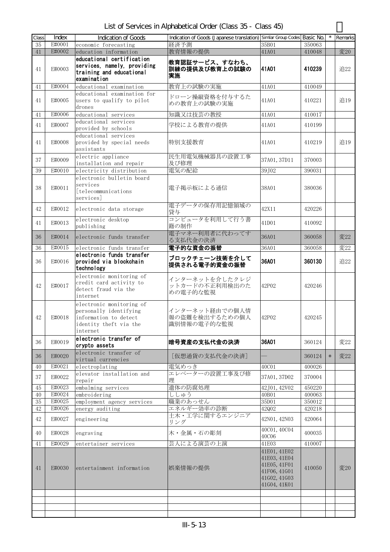List of Services in Alphabetical Order (Class 35 - Class 45)

| Class        | Index            | <b>Indication of Goods</b>                                                                                        | Indication of Goods (Japanese translation) Similar Group Codes Basic No. |                                                                                              |                  | $\star$ | Remarks |
|--------------|------------------|-------------------------------------------------------------------------------------------------------------------|--------------------------------------------------------------------------|----------------------------------------------------------------------------------------------|------------------|---------|---------|
| 35           | E#0001           | economic forecasting                                                                                              | 経済予測                                                                     | 35B01                                                                                        | 350063           |         |         |
| 41           | E#0002           | education information                                                                                             | 教育情報の提供                                                                  | 41A01                                                                                        | 410048           |         | 変20     |
| 41           | E#0003           | educational certification<br>services, namely, providing<br>training and educational<br>examination               | 教育認証サービス、すなわち、<br>訓練の提供及び教育上の試験の<br>実施                                   | 41A01                                                                                        | 410239           |         | 追22     |
| 41           | E#0004           | educational examination                                                                                           | 教育上の試験の実施                                                                | 41A01                                                                                        | 410049           |         |         |
| 41           | E#0005           | educational examination for<br>users to qualify to pilot<br>drones                                                | ドローン操縦資格を付与するた<br>めの教育上の試験の実施                                            | 41A01                                                                                        | 410221           |         | 追19     |
| 41           | E#0006           | educational services                                                                                              | 知識又は技芸の教授                                                                | 41A01                                                                                        | 410017           |         |         |
| 41           | E#0007           | educational services<br>provided by schools                                                                       | 学校による教育の提供                                                               | 41A01                                                                                        | 410199           |         |         |
| 41           | E#0008           | educational services<br>provided by special needs<br>assistants                                                   | 特別支援教育                                                                   | 41A01                                                                                        | 410219           |         | 追19     |
| 37           | E#0009           | electric appliance<br>installation and repair                                                                     | 民生用電気機械器具の設置工事<br>及び修理                                                   | 37A01, 37D11                                                                                 | 370003           |         |         |
| 39           | E#0010           | electricity distribution                                                                                          | 電気の配給                                                                    | 39J02                                                                                        | 390031           |         |         |
| 38           | E#0011           | electronic bulletin board<br>services<br>[telecommunications<br>services]                                         | 電子掲示板による通信                                                               | 38A01                                                                                        | 380036           |         |         |
| 42           | E#0012           | electronic data storage                                                                                           | 電子データの保存用記憶領域の<br>貸与                                                     | 42X11                                                                                        | 420226           |         |         |
| 41           | E#0013           | electronic desktop<br>publishing                                                                                  | コンピュータを利用して行う書<br>籍の制作                                                   | 41D01                                                                                        | 410092           |         |         |
| 36           | E#0014           | electronic funds transfer                                                                                         | 電子マネー利用者に代わってす<br>る支払代金の決済                                               | 36A01                                                                                        | 360058           |         | 変22     |
| 36           | E#0015           | electronic funds transfer                                                                                         | 電子的な資金の振替                                                                | 36A01                                                                                        | 360058           |         | 変22     |
| 36           | E#0016           | electronic funds transfer<br>provided via blockchain<br>technology                                                | ブロックチェーン技術を介して<br>提供される電子的資金の振替                                          | 36A01                                                                                        | 360130           |         | 追22     |
| 42           | E#0017           | electronic monitoring of<br>credit card activity to<br>detect fraud via the<br>internet                           | インターネットを介したクレジ<br>ットカードの不正利用検出のた<br>めの電子的な監視                             | 42P02                                                                                        | 420246           |         |         |
| 42           | E#0018           | electronic monitoring of<br>personally identifying<br>information to detect<br>identity theft via the<br>internet | インターネット経由での個人情<br>報の盗難を検出するための個人<br>識別情報の電子的な監視                          | 42P02                                                                                        | 420245           |         |         |
| 36           | E#0019           | electronic transfer of<br>crypto assets                                                                           | 暗号資産の支払代金の決済                                                             | 36A01                                                                                        | 360124           |         | 変22     |
| 36           | E#0020           | electronic transfer of<br>virtual currencies                                                                      | [仮想通貨の支払代金の決済]                                                           |                                                                                              | 360124           | $\ast$  | 変22     |
| 40           | E#0021           | electroplating<br>elevator installation and                                                                       | 電気めっき<br>エレベーターの設置工事及び修                                                  | 40C01                                                                                        | 400026           |         |         |
| 37           | E#0022           | repair                                                                                                            | 理                                                                        | 37A01, 37D02                                                                                 | 370004           |         |         |
| 45           | E#0023           | embalming services                                                                                                | 遺体の防腐処理                                                                  | 42J01, 42V02                                                                                 | 450220           |         |         |
| 40           | E#0024           | embroidering                                                                                                      | ししゅう                                                                     | 40B01                                                                                        | 400063           |         |         |
| $35\,$<br>42 | E#0025<br>E#0026 | employment agency services                                                                                        | 職業のあっせん<br>エネルギー効率の診断                                                    | 35D01<br>42Q02                                                                               | 350012<br>420218 |         |         |
|              |                  | energy auditing                                                                                                   | 土木・工学に関するエンジニア                                                           |                                                                                              |                  |         |         |
| 42           | E#0027           | engineering                                                                                                       | リング                                                                      | 42N01, 42N03<br>40C01, 40C04                                                                 | 420064           |         |         |
| 40           | E#0028           | engraving                                                                                                         | 木・金属・石の彫刻                                                                | 40C06                                                                                        | 400035           |         |         |
| 41           | E#0029           | entertainer services                                                                                              | 芸人による演芸の上演                                                               | 41E03                                                                                        | 410007           |         |         |
| 41           | E#0030           | entertainment information                                                                                         | 娯楽情報の提供                                                                  | 41E01, 41E02<br>41E03, 41E04<br>41E05, 41F01<br>41F06, 41G01<br>41602, 41603<br>41G04, 41K01 | 410050           |         | 変20     |
|              |                  |                                                                                                                   |                                                                          |                                                                                              |                  |         |         |
|              |                  |                                                                                                                   |                                                                          |                                                                                              |                  |         |         |
|              |                  |                                                                                                                   |                                                                          |                                                                                              |                  |         |         |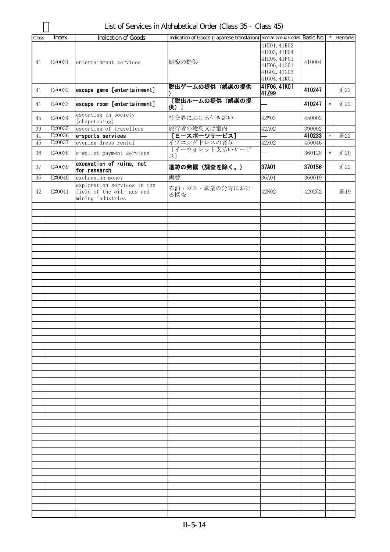List of Services in Alphabetical Order (Class 35 - Class 45)

|       |              |                                                                               |                                                                          |                                                                                              |        | $\star$ |         |
|-------|--------------|-------------------------------------------------------------------------------|--------------------------------------------------------------------------|----------------------------------------------------------------------------------------------|--------|---------|---------|
| Class | <b>Index</b> | <b>Indication of Goods</b>                                                    | Indication of Goods (Japanese translation) Similar Group Codes Basic No. |                                                                                              |        |         | Remarks |
| 41    | E#0031       | entertainment services                                                        | 娯楽の提供                                                                    | 41E01, 41E02<br>41E03, 41E04<br>41E05, 41F01<br>41F06, 41G01<br>41602, 41603<br>41G04, 41K01 | 410004 |         |         |
| 41    | E#0032       | escape game [entertainment]                                                   | 脱出ゲームの提供(娯楽の提供                                                           | 41F06, 41K01<br>41Z99                                                                        | 410247 |         | 追22     |
| 41    | E#0033       | escape room [entertainment]                                                   | [脱出ルームの提供 (娯楽の提<br>供)]                                                   |                                                                                              | 410247 | $\ast$  | 追22     |
| 45    | E#0034       | escorting in society<br>[chaperoning]                                         | 社交界における付き添い                                                              | 42W03                                                                                        | 450002 |         |         |
| 39    | E#0035       | escorting of travellers                                                       | 旅行者の添乗又は案内                                                               | 42A02                                                                                        | 390002 |         |         |
| 41    | E#0036       | e-sports services                                                             | [E-スポーツサービス]                                                             |                                                                                              | 410233 | $\ast$  | 追22     |
| 45    | E#0037       | evening dress rental                                                          | イブニングドレスの貸与                                                              | 42X02                                                                                        | 450046 |         |         |
| 36    | E#0038       | e-wallet payment services                                                     | 「イーウォレット支払いサービ<br>ス]                                                     |                                                                                              | 360128 | $\ast$  | 追20     |
| 37    | E#0039       | excavation of ruins, not<br>for research                                      | 遺跡の発掘 (調査を除く。)                                                           | 37A01                                                                                        | 370156 |         | 追22     |
| 36    | E#0040       | exchanging money                                                              | 両替                                                                       | 36A01                                                                                        | 360019 |         |         |
| 42    | E#0041       | exploration services in the<br>field of the oil, gas and<br>mining industries | 石油・ガス・鉱業の分野におけ<br>る探査                                                    | 42N02                                                                                        | 420252 |         | 追19     |
|       |              |                                                                               |                                                                          |                                                                                              |        |         |         |
|       |              |                                                                               |                                                                          |                                                                                              |        |         |         |
|       |              |                                                                               |                                                                          |                                                                                              |        |         |         |
|       |              |                                                                               |                                                                          |                                                                                              |        |         |         |
|       |              |                                                                               |                                                                          |                                                                                              |        |         |         |
|       |              |                                                                               |                                                                          |                                                                                              |        |         |         |
|       |              |                                                                               |                                                                          |                                                                                              |        |         |         |
|       |              |                                                                               |                                                                          |                                                                                              |        |         |         |
|       |              |                                                                               |                                                                          |                                                                                              |        |         |         |
|       |              |                                                                               |                                                                          |                                                                                              |        |         |         |
|       |              |                                                                               |                                                                          |                                                                                              |        |         |         |
|       |              |                                                                               |                                                                          |                                                                                              |        |         |         |
|       |              |                                                                               |                                                                          |                                                                                              |        |         |         |
|       |              |                                                                               |                                                                          |                                                                                              |        |         |         |
|       |              |                                                                               |                                                                          |                                                                                              |        |         |         |
|       |              |                                                                               |                                                                          |                                                                                              |        |         |         |
|       |              |                                                                               |                                                                          |                                                                                              |        |         |         |
|       |              |                                                                               |                                                                          |                                                                                              |        |         |         |
|       |              |                                                                               |                                                                          |                                                                                              |        |         |         |
|       |              |                                                                               |                                                                          |                                                                                              |        |         |         |
|       |              |                                                                               |                                                                          |                                                                                              |        |         |         |
|       |              |                                                                               |                                                                          |                                                                                              |        |         |         |
|       |              |                                                                               |                                                                          |                                                                                              |        |         |         |
|       |              |                                                                               |                                                                          |                                                                                              |        |         |         |
|       |              |                                                                               |                                                                          |                                                                                              |        |         |         |
|       |              |                                                                               |                                                                          |                                                                                              |        |         |         |
|       |              |                                                                               |                                                                          |                                                                                              |        |         |         |
|       |              |                                                                               |                                                                          |                                                                                              |        |         |         |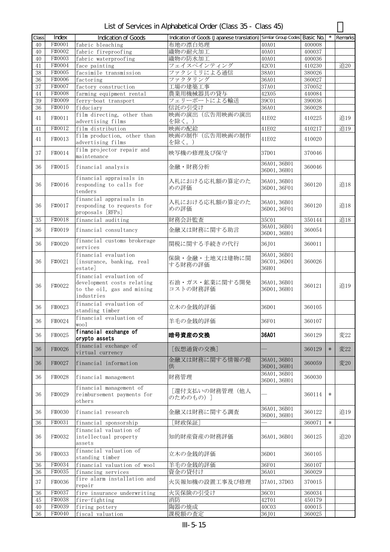| List of Services in Alphabetical Order (Class 35 - Class 45) |  |  |
|--------------------------------------------------------------|--|--|
|--------------------------------------------------------------|--|--|

| Class | Index  | Indication of Goods                                                                               | Indication of Goods (Japanese translation) Similar Group Codes |                                       | Basic No. |        | Remarks |
|-------|--------|---------------------------------------------------------------------------------------------------|----------------------------------------------------------------|---------------------------------------|-----------|--------|---------|
| 40    | F#0001 | fabric bleaching                                                                                  | 布地の漂白処理                                                        | 40A01                                 | 400008    |        |         |
| 40    | F#0002 | fabric fireproofing                                                                               | 織物の耐火加工                                                        | 40A01                                 | 400037    |        |         |
|       | F#0003 |                                                                                                   |                                                                |                                       |           |        |         |
| 40    |        | fabric waterproofing                                                                              | 織物の防水加工                                                        | 40A01                                 | 400036    |        |         |
| 41    | F#0004 | face painting                                                                                     | フェイスペインティング                                                    | 42C01                                 | 410230    |        | 追20     |
| 38    | F#0005 | facsimile transmission                                                                            | ファクシミリによる通信                                                    | 38A01                                 | 380026    |        |         |
| 36    | F#0006 | factoring                                                                                         | ファクタリング                                                        | 36A01                                 | 360027    |        |         |
| 37    | F#0007 | factory construction                                                                              | 工場の建築工事                                                        | 37A01                                 | 370052    |        |         |
| 44    | F#0008 | farming equipment rental                                                                          | 農業用機械器具の貸与                                                     | 42X05                                 | 440084    |        |         |
| 39    | F#0009 | ferry-boat transport                                                                              | フェリーボートによる輸送                                                   | 39C01                                 | 390036    |        |         |
| 36    | F#0010 | fiduciary                                                                                         | 信託の引受け                                                         | 36A01                                 | 360028    |        |         |
| 41    | F#0011 | film directing, other than<br>advertising films                                                   | 映画の演出(広告用映画の演出<br>を除く。)                                        | 41E02                                 | 410225    |        | 追19     |
| 41    | F#0012 | film distribution                                                                                 | 映画の配給                                                          | 41E02                                 | 410217    |        | 追19     |
| 41    | F#0013 | film production, other than<br>advertising films                                                  | 映画の制作(広告用映画の制作<br>を除く。)                                        | 41E02                                 | 410020    |        |         |
| 37    | F#0014 | film projector repair and<br>maintenance                                                          | 映写機の修理及び保守                                                     | 37D01                                 | 370046    |        |         |
| 36    | F#0015 | financial analysis                                                                                | 金融·財務分析                                                        | 36A01, 36B01<br>36D01, 36H01          | 360046    |        |         |
| 36    | F#0016 | financial appraisals in<br>responding to calls for<br>tenders                                     | 入札における応札額の算定のた<br>めの評価                                         | 36A01, 36B01<br>36D01, 36F01          | 360120    |        | 追18     |
| 36    | F#0017 | financial appraisals in<br>responding to requests for<br>proposals [RFPs]                         | 入札における応札額の算定のた<br>めの評価                                         | 36A01, 36B01<br>36D01, 36F01          | 360120    |        | 追18     |
| 35    | F#0018 | financial auditing                                                                                | 財務会計監査                                                         | 35C01                                 | 350144    |        | 追18     |
|       |        |                                                                                                   |                                                                | 36A01, 36B01                          |           |        |         |
| 36    | F#0019 | financial consultancy<br>financial customs brokerage                                              | 金融又は財務に関する助言                                                   | 36D01, 36H01                          | 360054    |        |         |
| 36    | F#0020 | services                                                                                          | 関税に関する手続きの代行                                                   | 36, J01                               | 360011    |        |         |
| 36    | F#0021 | financial evaluation<br>[insurance, banking, real<br>estate]                                      | 保険・金融・土地又は建物に関<br>する財務の評価                                      | 36A01, 36B01<br>36C01, 36D01<br>36H01 | 360026    |        |         |
| 36    | F#0022 | financial evaluation of<br>development costs relating<br>to the oil, gas and mining<br>industries | 石油・ガス・鉱業に関する開発<br>コストの財務評価                                     | 36A01, 36B01<br>36D01, 36H01          | 360121    |        | 追19     |
| 36    | F#0023 | financial evaluation of<br>standing timber                                                        | 立木の金銭的評価                                                       | 36D01                                 | 360105    |        |         |
| 36    | F#0024 | financial evaluation of<br>wool                                                                   | 羊毛の金銭的評価                                                       | 36F01                                 | 360107    |        |         |
| 36    | F#0025 | financial exchange of<br>crypto assets                                                            | 暗号資産の交換                                                        | 36A01                                 | 360129    |        | 変22     |
| 36    | F#0026 | financial exchange of<br>virtual currency                                                         | [仮想通貨の交換]                                                      |                                       | 360129    | $\ast$ | 変22     |
| 36    | F#0027 | financial information                                                                             | 金融又は財務に関する情報の提<br>供                                            | 36A01, 36B01<br>36D01, 36H01          | 360059    |        | 変20     |
| 36    | F#0028 | financial management                                                                              | 財務管理                                                           | 36A01, 36B01<br>36D01, 36H01          | 360030    |        |         |
| 36    | F#0029 | financial management of<br>reimbursement payments for<br>others                                   | [還付支払いの財務管理(他人<br>のためのもの)]                                     |                                       | 360114    | $\ast$ |         |
| 36    | F#0030 | financial research                                                                                | 金融又は財務に関する調査                                                   | 36A01, 36B01<br>36D01, 36H01          | 360122    |        | 追19     |
| 36    | F#0031 | financial sponsorship                                                                             | [財政保証]                                                         |                                       | 360071    | $\ast$ |         |
|       |        | financial valuation of                                                                            |                                                                |                                       |           |        |         |
| 36    | F#0032 | intellectual property<br>assets                                                                   | 知的財産資産の財務評価                                                    | 36A01, 36B01                          | 360125    |        | 追20     |
| 36    | F#0033 | financial valuation of<br>standing timber                                                         | 立木の金銭的評価                                                       | 36D01                                 | 360105    |        |         |
| 36    | F#0034 | financial valuation of wool                                                                       | 羊毛の金銭的評価                                                       | 36F01                                 | 360107    |        |         |
| 36    | F#0035 | financing services                                                                                | 資金の貸付け                                                         | 36A01                                 | 360029    |        |         |
| 37    | F#0036 | fire alarm installation and<br>repair                                                             | 火災報知機の設置工事及び修理                                                 | 37A01, 37D03                          | 370015    |        |         |
| 36    | F#0037 | fire insurance underwriting                                                                       | 火災保険の引受け                                                       | 36C01                                 | 360034    |        |         |
| 45    | F#0038 | fire-fighting                                                                                     | 消防                                                             | 42T01                                 | 450179    |        |         |
| 40    | F#0039 | firing pottery                                                                                    | 陶器の焼成                                                          | 40C03                                 | 400015    |        |         |
| 36    | F#0040 | fiscal valuation                                                                                  | 課税額の査定                                                         | 36J01                                 | 360025    |        |         |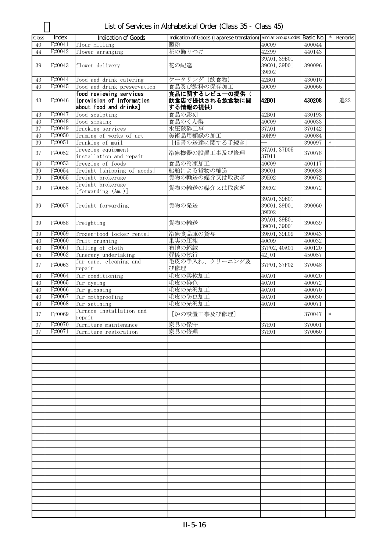| Class | Index  | Indication of Goods                                  | Indication of Goods (Japanese translation) Similar Group Codes Basic No. |                                       |        | $\star$ | Remarks |
|-------|--------|------------------------------------------------------|--------------------------------------------------------------------------|---------------------------------------|--------|---------|---------|
| 40    | F#0041 | flour milling                                        | 製粉                                                                       | 40C09                                 | 400044 |         |         |
| 44    | F#0042 | flower arranging                                     | 花の飾りつけ                                                                   | 42Z99                                 | 440143 |         |         |
|       |        |                                                      |                                                                          | 39A01, 39B01                          |        |         |         |
| 39    | F#0043 | flower delivery                                      | 花の配達                                                                     | 39C01, 39D01<br>39E02                 | 390096 |         |         |
| 43    | F#0044 | food and drink catering                              | ケータリング (飲食物)                                                             | 42B01                                 | 430010 |         |         |
| 40    | F#0045 | food and drink preservation                          | 食品及び飲料の保存加工                                                              | 40C09                                 | 400066 |         |         |
| 43    | F#0046 | food reviewing services<br>[provision of information | 食品に関するレビューの提供(<br>飲食店で提供される飲食物に関                                         | 42B01                                 | 430208 |         | 追22     |
|       |        | about food and drinks]                               | する情報の提供)                                                                 |                                       |        |         |         |
| 43    | F#0047 | food sculpting                                       | 食品の彫刻                                                                    | 42B01                                 | 430193 |         |         |
| 40    | F#0048 | food smoking                                         | 食品のくん製                                                                   | 40C09                                 | 400033 |         |         |
| 37    | F#0049 | fracking services                                    | 水圧破砕工事                                                                   | 37A01                                 | 370142 |         |         |
| 40    | F#0050 | framing of works of art                              | 美術品用額縁の加工                                                                | 40H99                                 | 400084 |         |         |
| 39    | F#0051 | franking of mail                                     | [信書の送達に関する手続き]                                                           | $\overline{\phantom{0}}$              | 390097 | $\ast$  |         |
| 37    | F#0052 | freezing equipment<br>installation and repair        | 冷凍機器の設置工事及び修理                                                            | 37A01, 37D05<br>37D11                 | 370078 |         |         |
| 40    | F#0053 | freezing of foods                                    | 食品の冷凍加工                                                                  | 40C09                                 | 400117 |         |         |
| 39    | F#0054 | freight [shipping of goods]                          | 船舶による貨物の輸送                                                               | 39C01                                 | 390038 |         |         |
| 39    | F#0055 | freight brokerage                                    | 貨物の輸送の媒介又は取次ぎ                                                            | 39E02                                 | 390072 |         |         |
|       |        | freight brokerage                                    | 貨物の輸送の媒介又は取次ぎ                                                            |                                       | 390072 |         |         |
| 39    | F#0056 | [forwarding (Am.)]                                   |                                                                          | 39E02                                 |        |         |         |
| 39    | F#0057 | freight forwarding                                   | 貨物の発送                                                                    | 39A01, 39B01<br>39C01, 39D01<br>39E02 | 390060 |         |         |
| 39    | F#0058 | freighting                                           | 貨物の輸送                                                                    | 39A01, 39B01<br>39C01, 39D01          | 390039 |         |         |
| 39    | F#0059 | frozen-food locker rental                            | 冷凍食品庫の貸与                                                                 | 39K01, 39L09                          | 390043 |         |         |
| 40    | F#0060 | fruit crushing                                       | 果実の圧搾                                                                    | <b>40C09</b>                          | 400032 |         |         |
| 40    | F#0061 | fulling of cloth                                     | 布地の縮絨                                                                    | 37F02, 40A01                          | 400120 |         |         |
| 45    | F#0062 | funerary undertaking                                 | 葬儀の執行                                                                    | 42J01                                 | 450057 |         |         |
| 37    | F#0063 | fur care, cleaning and<br>repair                     | 毛皮の手入れ、クリーニング及<br>び修理                                                    | 37F01, 37F02                          | 370048 |         |         |
| 40    | F#0064 | fur conditioning                                     | 毛皮の柔軟加工                                                                  | 40A01                                 | 400020 |         |         |
| 40    | F#0065 | fur dyeing                                           | 毛皮の染色                                                                    | 40A01                                 | 400072 |         |         |
| 40    | F#0066 | fur glossing                                         | 毛皮の光沢加工                                                                  | 40A01                                 | 400070 |         |         |
| 40    | F#0067 | fur mothproofing                                     | 毛皮の防虫加工                                                                  | 40A01                                 | 400030 |         |         |
| 40    | F#0068 | fur satining                                         | 毛皮の光沢加工                                                                  | 40A01                                 | 400071 |         |         |
|       |        | furnace installation and                             |                                                                          |                                       |        |         |         |
| 37    | F#0069 | repair                                               | [炉の設置工事及び修理]                                                             |                                       | 370047 | $\ast$  |         |
| 37    | F#0070 | furniture maintenance                                | 家具の保守                                                                    | 37E01                                 | 370001 |         |         |
| 37    | F#0071 | furniture restoration                                | 家具の修理                                                                    | 37E01                                 | 370060 |         |         |
|       |        |                                                      |                                                                          |                                       |        |         |         |
|       |        |                                                      |                                                                          |                                       |        |         |         |
|       |        |                                                      |                                                                          |                                       |        |         |         |
|       |        |                                                      |                                                                          |                                       |        |         |         |
|       |        |                                                      |                                                                          |                                       |        |         |         |
|       |        |                                                      |                                                                          |                                       |        |         |         |
|       |        |                                                      |                                                                          |                                       |        |         |         |
|       |        |                                                      |                                                                          |                                       |        |         |         |
|       |        |                                                      |                                                                          |                                       |        |         |         |
|       |        |                                                      |                                                                          |                                       |        |         |         |
|       |        |                                                      |                                                                          |                                       |        |         |         |
|       |        |                                                      |                                                                          |                                       |        |         |         |
|       |        |                                                      |                                                                          |                                       |        |         |         |
|       |        |                                                      |                                                                          |                                       |        |         |         |
|       |        |                                                      |                                                                          |                                       |        |         |         |
|       |        |                                                      |                                                                          |                                       |        |         |         |
|       |        |                                                      |                                                                          |                                       |        |         |         |
|       |        |                                                      |                                                                          |                                       |        |         |         |
|       |        |                                                      |                                                                          |                                       |        |         |         |
|       |        |                                                      |                                                                          |                                       |        |         |         |
|       |        |                                                      |                                                                          |                                       |        |         |         |

## List of Services in Alphabetical Order (Class 35 - Class 45)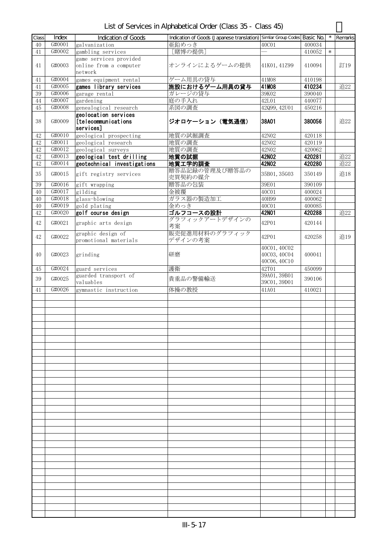| List of Services in Alphabetical Order (Class 35 - Class 45) |  |  |  |
|--------------------------------------------------------------|--|--|--|
|--------------------------------------------------------------|--|--|--|

|       |        |                             | Indication of Goods (Japanese translation) Similar Group Codes Basic No. |              |        | $\star$ |         |
|-------|--------|-----------------------------|--------------------------------------------------------------------------|--------------|--------|---------|---------|
| Class | Index  | <b>Indication of Goods</b>  |                                                                          |              |        |         | Remarks |
| 40    | G#0001 | galvanization               | 亜鉛めっき                                                                    | 40C01        | 400034 |         |         |
| 41    | G#0002 | gambling services           | [賭博の提供]                                                                  |              | 410052 | $\ast$  |         |
|       |        | game services provided      |                                                                          |              |        |         |         |
| 41    | G#0003 | online from a computer      | オンラインによるゲームの提供                                                           | 41K01, 41Z99 | 410094 |         | 訂19     |
|       |        | network                     |                                                                          |              |        |         |         |
| 41    | G#0004 | games equipment rental      | ゲーム用具の貸与                                                                 | 41M08        | 410198 |         |         |
| 41    | G#0005 | games library services      | 施設におけるゲーム用具の貸与                                                           | 41M08        | 410234 |         | 追22     |
|       | G#0006 |                             |                                                                          |              |        |         |         |
| 39    |        | garage rental               | ガレージの貸与                                                                  | 39K02        | 390040 |         |         |
| 44    | G#0007 | gardening                   | 庭の手入れ                                                                    | 42L01        | 440077 |         |         |
| 45    | G#0008 | genealogical research       | 系図の調査                                                                    | 42099, 42001 | 450216 |         |         |
|       |        | geolocation services        |                                                                          |              |        |         |         |
| 38    | G#0009 | [telecommunications         | ジオロケーション (電気通信)                                                          | 38A01        | 380056 |         | 追22     |
|       |        | services]                   |                                                                          |              |        |         |         |
| 42    | G#0010 | geological prospecting      | 地質の試掘調査                                                                  | 42N02        | 420118 |         |         |
|       | G#0011 |                             |                                                                          |              |        |         |         |
| 42    |        | geological research         | 地質の調査                                                                    | 42N02        | 420119 |         |         |
| 42    | G#0012 | geological surveys          | 地質の調査                                                                    | 42N02        | 420062 |         |         |
| 42    | G#0013 | geological test drilling    | 地質の試掘                                                                    | 42N02        | 420281 |         | 追22     |
| 42    | G#0014 | geotechnical investigations | 地質工学的調査                                                                  | 42N02        | 420280 |         | 追22     |
|       |        |                             | 贈答品記録の管理及び贈答品の                                                           |              |        |         |         |
| 35    | G#0015 | gift registry services      | 売買契約の媒介                                                                  | 35B01, 35G03 | 350149 |         | 追18     |
| 39    | G#0016 | gift wrapping               | 贈答品の包装                                                                   | 39E01        | 390109 |         |         |
|       | G#0017 |                             | 金被覆                                                                      | 40C01        |        |         |         |
| 40    |        | gilding                     |                                                                          |              | 400024 |         |         |
| 40    | G#0018 | glass-blowing               | ガラス器の製造加工                                                                | 40H99        | 400062 |         |         |
| 40    | G#0019 | gold plating                | 金めっき                                                                     | 40C01        | 400085 |         |         |
| 42    | G#0020 | golf course design          | ゴルフコースの設計                                                                | 42N01        | 420288 |         | 追22     |
|       |        |                             | グラフィックアートデザインの                                                           |              |        |         |         |
| 42    | G#0021 | graphic arts design         | 考案                                                                       | 42P01        | 420144 |         |         |
|       |        | graphic design of           | 販売促進用材料のグラフィック                                                           |              |        |         |         |
| 42    | G#0022 | promotional materials       | デザインの考案                                                                  | 42P01        | 420258 |         | 追19     |
|       |        |                             |                                                                          |              |        |         |         |
|       |        |                             |                                                                          | 40C01, 40C02 |        |         |         |
| 40    | G#0023 | grinding                    | 研磨                                                                       | 40C03, 40C04 | 400041 |         |         |
|       |        |                             |                                                                          | 40C06, 40C10 |        |         |         |
| 45    | G#0024 | guard services              | 護衛                                                                       | 42T01        | 450099 |         |         |
|       |        | guarded transport of        |                                                                          | 39A01, 39B01 |        |         |         |
| 39    | G#0025 |                             | 貴重品の警備輸送                                                                 |              | 390106 |         |         |
|       |        | valuables                   |                                                                          | 39C01, 39D01 |        |         |         |
| 41    | G#0026 | gymnastic instruction       | 体操の教授                                                                    | 41A01        | 410021 |         |         |
|       |        |                             |                                                                          |              |        |         |         |
|       |        |                             |                                                                          |              |        |         |         |
|       |        |                             |                                                                          |              |        |         |         |
|       |        |                             |                                                                          |              |        |         |         |
|       |        |                             |                                                                          |              |        |         |         |
|       |        |                             |                                                                          |              |        |         |         |
|       |        |                             |                                                                          |              |        |         |         |
|       |        |                             |                                                                          |              |        |         |         |
|       |        |                             |                                                                          |              |        |         |         |
|       |        |                             |                                                                          |              |        |         |         |
|       |        |                             |                                                                          |              |        |         |         |
|       |        |                             |                                                                          |              |        |         |         |
|       |        |                             |                                                                          |              |        |         |         |
|       |        |                             |                                                                          |              |        |         |         |
|       |        |                             |                                                                          |              |        |         |         |
|       |        |                             |                                                                          |              |        |         |         |
|       |        |                             |                                                                          |              |        |         |         |
|       |        |                             |                                                                          |              |        |         |         |
|       |        |                             |                                                                          |              |        |         |         |
|       |        |                             |                                                                          |              |        |         |         |
|       |        |                             |                                                                          |              |        |         |         |
|       |        |                             |                                                                          |              |        |         |         |
|       |        |                             |                                                                          |              |        |         |         |
|       |        |                             |                                                                          |              |        |         |         |
|       |        |                             |                                                                          |              |        |         |         |
|       |        |                             |                                                                          |              |        |         |         |
|       |        |                             |                                                                          |              |        |         |         |
|       |        |                             |                                                                          |              |        |         |         |
|       |        |                             |                                                                          |              |        |         |         |
|       |        |                             |                                                                          |              |        |         |         |
|       |        |                             |                                                                          |              |        |         |         |
|       |        |                             |                                                                          |              |        |         |         |
|       |        |                             |                                                                          |              |        |         |         |
|       |        |                             |                                                                          |              |        |         |         |
|       |        |                             |                                                                          |              |        |         |         |
|       |        |                             |                                                                          |              |        |         |         |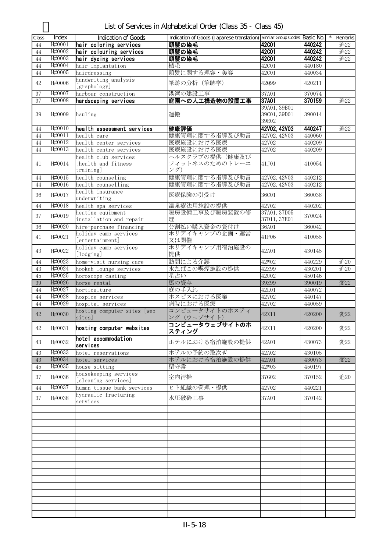List of Services in Alphabetical Order (Class 35 - Class 45)

| Class  | Index  | Indication of Goods                          | Indication of Goods (Japanese translation) Similar Group Codes Basic No. |                       |        | Remarks |
|--------|--------|----------------------------------------------|--------------------------------------------------------------------------|-----------------------|--------|---------|
| 44     | H#0001 | hair coloring services                       | 頭髪の染毛                                                                    | <b>42C01</b>          | 440242 | 追22     |
| 44     | H#0002 | hair colouring services                      | 頭髪の染毛                                                                    | <b>42C01</b>          | 440242 | 追22     |
| 44     | H#0003 | hair dyeing services                         | 頭髪の染毛                                                                    | <b>42001</b>          | 440242 | 追22     |
| 44     | H#0004 | hair implantation                            | 植毛                                                                       | 42C01                 | 440180 |         |
| 44     | H#0005 | hairdressing                                 | 頭髪に関する理容・美容                                                              | 42C01                 | 440034 |         |
| 42     | H#0006 | handwriting analysis<br>[graphology]         | 筆跡の分析 (筆跡学)                                                              | 42099                 | 420211 |         |
| 37     | H#0007 | harbour construction                         | 港湾の建設工事                                                                  | 37A01                 | 370074 |         |
| 37     | H#0008 | hardscaping services                         | 庭園への人工構造物の設置工事                                                           | 37A01                 | 370159 | 追22     |
|        |        |                                              |                                                                          | 39A01, 39B01          |        |         |
| 39     | H#0009 | hauling                                      | 運搬                                                                       | 39C01, 39D01<br>39E02 | 390014 |         |
| 44     | H#0010 | health assessment services                   | 健康評価                                                                     | 42V02, 42V03          | 440247 | 追22     |
| 44     | H#0011 | health care                                  | 健康管理に関する指導及び助言                                                           | 42V02, 42V03          | 440060 |         |
| 44     | H#0012 | health center services                       | 医療施設における医療                                                               | 42V02                 | 440209 |         |
| 44     | H#0013 | health centre services                       | 医療施設における医療                                                               | 42V02                 | 440209 |         |
|        |        | health club services                         | ヘルスクラブの提供(健康及び                                                           |                       |        |         |
| 41     | H#0014 | [health and fitness<br>training]             | フィットネスのためのトレーニ<br>ング)                                                    | 41J01                 | 410054 |         |
| 44     | H#0015 | health counseling                            | 健康管理に関する指導及び助言                                                           | 42V02, 42V03          | 440212 |         |
| 44     | H#0016 | health counselling                           | 健康管理に関する指導及び助言                                                           | 42V02, 42V03          | 440212 |         |
|        |        | health insurance                             |                                                                          |                       |        |         |
| 36     | H#0017 | underwriting                                 | 医療保険の引受け                                                                 | 36C01                 | 360038 |         |
| 44     | H#0018 | health spa services                          | 温泉療法用施設の提供                                                               | 42V02                 | 440202 |         |
|        |        | heating equipment                            | 暖房設備工事及び暖房装置の修                                                           | 37A01, 37D05          |        |         |
| 37     | H#0019 | installation and repair                      | 理                                                                        | 37D11, 37E01          | 370024 |         |
| 36     | H#0020 | hire-purchase financing                      | 分割払い購入資金の貸付け                                                             | 36A01                 | 360042 |         |
|        |        | holiday camp services                        | ホリデイキャンプの企画・運営                                                           |                       |        |         |
| 41     | H#0021 | [entertainment]                              | 又は開催                                                                     | 41F06                 | 410055 |         |
| 43     | H#0022 | holiday camp services<br>[lodging]           | ホリデイキャンプ用宿泊施設の<br>提供                                                     | 42A01                 | 430145 |         |
| 44     | H#0023 | home-visit nursing care                      | 訪問による介護                                                                  | 42W02                 | 440229 | 追20     |
| $43\,$ | H#0024 | hookah lounge services                       | 水たばこの喫煙施設の提供                                                             | 42Z99                 | 430201 | 追20     |
| 45     | H#0025 | horoscope casting                            | 星占い                                                                      | 42U02                 | 450146 |         |
| 39     | H#0026 | horse rental                                 | 馬の貸与                                                                     | 39Z99                 | 390019 | 変22     |
| 44     | H#0027 | horticulture                                 | 庭の手入れ                                                                    | 42L01                 | 440072 |         |
| 44     | H#0028 | hospice services                             | ホスピスにおける医業                                                               | 42V02                 | 440147 |         |
| 44     | H#0029 | hospital services                            | 病院における医療                                                                 | 42V02                 | 440059 |         |
| $42\,$ | H#0030 | hosting computer sites [web<br>sites]        | コンピュータサイトのホスティ<br>ング (ウェブサイト)                                            | 42X11                 | 420200 | 変22     |
| 42     | H#0031 | hosting computer websites                    | コンピュータウェブサイトのホ<br>スティング                                                  | 42X11                 | 420200 | 変22     |
| 43     | H#0032 | hotel accommodation<br>services              | ホテルにおける宿泊施設の提供                                                           | 42A01                 | 430073 | 変22     |
| 43     | H#0033 | hotel reservations                           | ホテルの予約の取次ぎ                                                               | 42A02                 | 430105 |         |
| $43\,$ | H#0034 | hotel services                               | ホテルにおける宿泊施設の提供                                                           | 42A01                 | 430073 | 変22     |
| 45     | H#0035 | house sitting                                | 留守番                                                                      | 42W03                 | 450197 |         |
| 37     | H#0036 | housekeeping services<br>[cleaning services] | 室内清掃                                                                     | 37G02                 | 370152 | 追20     |
| 44     | H#0037 | human tissue bank services                   | ヒト組織の管理・提供                                                               | 42V02                 | 440221 |         |
| 37     | H#0038 | hydraulic fracturing                         | 水圧破砕工事                                                                   | 37A01                 | 370142 |         |
|        |        | services                                     |                                                                          |                       |        |         |
|        |        |                                              |                                                                          |                       |        |         |
|        |        |                                              |                                                                          |                       |        |         |
|        |        |                                              |                                                                          |                       |        |         |
|        |        |                                              |                                                                          |                       |        |         |
|        |        |                                              |                                                                          |                       |        |         |
|        |        |                                              |                                                                          |                       |        |         |
|        |        |                                              |                                                                          |                       |        |         |
|        |        |                                              |                                                                          |                       |        |         |
|        |        |                                              |                                                                          |                       |        |         |
|        |        |                                              |                                                                          |                       |        |         |
|        |        |                                              |                                                                          |                       |        |         |
|        |        |                                              |                                                                          |                       |        |         |
|        |        |                                              |                                                                          |                       |        |         |
|        |        |                                              |                                                                          |                       |        |         |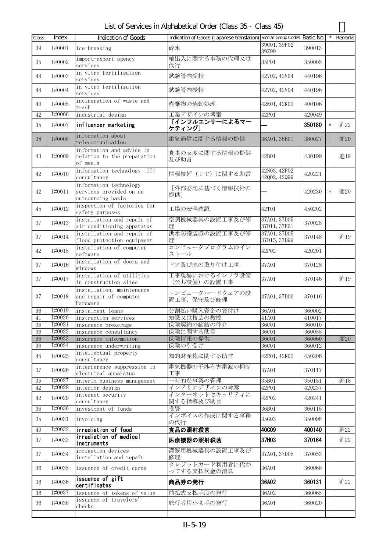| List of Services in Alphabetical Order (Class 35 - Class 45) |  |  |
|--------------------------------------------------------------|--|--|
|--------------------------------------------------------------|--|--|

| Class    | Index            | Indication of Goods                                                    | Indication of Goods (Japanese translation) Similar Group Codes Basic No. |                              |                  | $\star$ | Remarks |
|----------|------------------|------------------------------------------------------------------------|--------------------------------------------------------------------------|------------------------------|------------------|---------|---------|
| 39       | I#0001           | ice-breaking                                                           | 砕氷                                                                       | 39C01, 39F02<br>39Z99        | 390013           |         |         |
| 35       | I#0002           | import-export agency<br>services                                       | 輸出入に関する事務の代理又は<br>代行                                                     | 35F01                        | 350005           |         |         |
| 44       | I#0003           | in vitro fertilisation<br>services                                     | 試験管内受精                                                                   | 42V02, 42V04                 | 440196           |         |         |
| 44       | I#0004           | in vitro fertilization<br>services                                     | 試験管内授精                                                                   | 42V02, 42V04                 | 440196           |         |         |
| $40\,$   | I#0005           | incineration of waste and<br>trash                                     | 廃棄物の焼却処理                                                                 | 42K01, 42K02                 | 400106           |         |         |
| 42       | I#0006           | industrial design                                                      | 工業デザインの考案                                                                | 42P01                        | 420049           |         |         |
| 35       | T#0007           | influencer marketing                                                   | [インフルエンサーによるマー<br>ケティング]                                                 |                              | 350180           | $\ast$  | 追22     |
| 38       | I#0008           | information about<br>telecommunication                                 | 電気通信に関する情報の提供                                                            | 38A01, 38B01                 | 380027           |         | 変20     |
| 43       | I#0009           | information and advice in<br>relation to the preparation<br>of meals   | 食事の支度に関する情報の提供<br>及び助言                                                   | 42B01                        | 430199           |         | 追19     |
| 42       | I#0010           | information technology [IT]<br>consultancy                             | 情報技術 (IT) に関する助言                                                         | 42N03, 42P02<br>42002, 42099 | 420221           |         |         |
| 42       | I#0011           | information technology<br>services provided on an<br>outsourcing basis | [外部委託に基づく情報技術の<br>提供】                                                    |                              | 420230           | $\ast$  | 変20     |
| 45       | T#0012           | inspection of factories for<br>safety purposes                         | 工場の安全確認                                                                  | 42T01                        | 450202           |         |         |
| 37       | I#0013           | installation and repair of<br>air-conditioning apparatus               | 空調機械器具の設置工事及び修<br>理                                                      | 37A01, 37D05<br>37D11, 37E01 | 370028           |         |         |
| 37       | I#0014           | installation and repair of<br>flood protection equipment               | 洪水防護装置の設置工事及び修<br>琕                                                      | 37A01, 37D05<br>37D15, 37D99 | 370148           |         | 追19     |
| 42       | I#0015           | installation of computer<br>software                                   | コンピュータプログラムのイン<br>ストール                                                   | 42P02                        | 420201           |         |         |
| 37       | I#0016           | installation of doors and<br>windows                                   | ドア及び窓の取り付け工事                                                             | 37A01                        | 370128           |         |         |
| 37       | I#0017           | installation of utilities<br>in construction sites                     | 工事現場におけるインフラ設備<br>(公共設備)の設置工事                                            | 37A01                        | 370146           |         | 追19     |
| 37       | T#0018           | installation, maintenance<br>and repair of computer<br>hardware        | コンピュータハードウェアの設<br>置工事、保守及び修理                                             | 37A01, 37D06                 | 370116           |         |         |
| 36       | I#0019           | instalment loans                                                       | 分割払い購入資金の貸付け                                                             | 36A01                        | 360002           |         |         |
| 41       | I#0020           | instruction services                                                   | 知識又は技芸の教授                                                                | 41A01                        | 410017           |         |         |
| 36       | I#0021           | insurance brokerage                                                    | 保険契約の締結の仲介                                                               | 36C01                        | 360010           |         |         |
| 36       | I#0022           | insurance consultancy                                                  | 保険に関する助言                                                                 | 36C01                        | 360055           |         |         |
| 36       | I#0023           | insurance information                                                  | 保険情報の提供                                                                  | <b>36C01</b>                 | 360060           |         | 変20     |
| 36       | I#0024           | insurance underwriting                                                 | 保険の引受け                                                                   | 36C01                        | 360012           |         |         |
| 45       | I#0025           | intellectual property<br>consultancy                                   | 知的財産権に関する助言                                                              | 42R01, 42R02                 | 450206           |         |         |
| 37       | I#0026           | interference suppression in<br>electrical apparatus                    | 電気機器の干渉有害電波の抑制<br>工事                                                     | 37A01                        | 370117           |         |         |
| 35<br>42 | I#0027<br>I#0028 | interim business management<br>interior design                         | 一時的な事業の管理<br>インテリアデザインの考案                                                | 35B01<br>42P01               | 350151<br>420237 |         | 追18     |
| 42       | I#0029           | internet security<br>consultancy                                       | インターネットセキュリティに<br>関する指導及び助言                                              | 42P02                        | 420241           |         |         |
| 36       | I#0030           | investment of funds                                                    | 投資                                                                       | 36B01                        | 360115           |         |         |
| 35       | I#0031           | invoicing                                                              | インボイスの作成に関する事務<br>の代行                                                    | 35G03                        | 350098           |         |         |
| 40       | I#0032           | irradiation of food                                                    | 食品の照射殺菌                                                                  | <b>40C09</b>                 | 400140           |         | 追22     |
| 37       | I#0033           | irradiation of medical<br>instruments                                  | 医療機器の照射殺菌                                                                | 37H03                        | 370164           |         | 追22     |
| 37       | I#0034           | irrigation devices<br>installation and repair                          | 灌漑用機械器具の設置工事及び<br>修理                                                     | 37A01, 37D05                 | 370053           |         |         |
| 36       | I#0035           | issuance of credit cards                                               | クレジットカード利用者に代わ<br>ってする支払代金の清算                                            | 36A01                        | 360068           |         |         |
| 36       | I#0036           | issuance of gift<br>certificates                                       | 商品券の発行                                                                   | 36A02                        | 360131           |         | 追22     |
| 36       | I#0037           | issuance of tokens of value                                            | 前払式支払手段の発行                                                               | 36A02                        | 360065           |         |         |
| 36       | I#0038           | issuance of travelers'<br>checks                                       | 旅行者用小切手の発行                                                               | 36A01                        | 360020           |         |         |
|          |                  |                                                                        |                                                                          |                              |                  |         |         |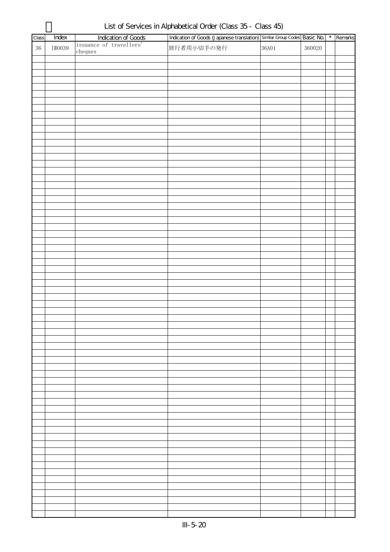| Class  | Index  | Indication of Goods<br>issuance of travellers' | Indication of Goods (Japanese translation) Similar Group Codes Basic No.   *   Remarks |       |        |  |
|--------|--------|------------------------------------------------|----------------------------------------------------------------------------------------|-------|--------|--|
| $36\,$ | I#0039 |                                                | 旅行者用小切手の発行                                                                             | 36A01 | 360020 |  |
|        |        | $_{\rm{cheques}}$                              |                                                                                        |       |        |  |
|        |        |                                                |                                                                                        |       |        |  |
|        |        |                                                |                                                                                        |       |        |  |
|        |        |                                                |                                                                                        |       |        |  |
|        |        |                                                |                                                                                        |       |        |  |
|        |        |                                                |                                                                                        |       |        |  |
|        |        |                                                |                                                                                        |       |        |  |
|        |        |                                                |                                                                                        |       |        |  |
|        |        |                                                |                                                                                        |       |        |  |
|        |        |                                                |                                                                                        |       |        |  |
|        |        |                                                |                                                                                        |       |        |  |
|        |        |                                                |                                                                                        |       |        |  |
|        |        |                                                |                                                                                        |       |        |  |
|        |        |                                                |                                                                                        |       |        |  |
|        |        |                                                |                                                                                        |       |        |  |
|        |        |                                                |                                                                                        |       |        |  |
|        |        |                                                |                                                                                        |       |        |  |
|        |        |                                                |                                                                                        |       |        |  |
|        |        |                                                |                                                                                        |       |        |  |
|        |        |                                                |                                                                                        |       |        |  |
|        |        |                                                |                                                                                        |       |        |  |
|        |        |                                                |                                                                                        |       |        |  |
|        |        |                                                |                                                                                        |       |        |  |
|        |        |                                                |                                                                                        |       |        |  |
|        |        |                                                |                                                                                        |       |        |  |
|        |        |                                                |                                                                                        |       |        |  |
|        |        |                                                |                                                                                        |       |        |  |
|        |        |                                                |                                                                                        |       |        |  |
|        |        |                                                |                                                                                        |       |        |  |
|        |        |                                                |                                                                                        |       |        |  |
|        |        |                                                |                                                                                        |       |        |  |
|        |        |                                                |                                                                                        |       |        |  |
|        |        |                                                |                                                                                        |       |        |  |
|        |        |                                                |                                                                                        |       |        |  |
|        |        |                                                |                                                                                        |       |        |  |
|        |        |                                                |                                                                                        |       |        |  |
|        |        |                                                |                                                                                        |       |        |  |
|        |        |                                                |                                                                                        |       |        |  |
|        |        |                                                |                                                                                        |       |        |  |
|        |        |                                                |                                                                                        |       |        |  |
|        |        |                                                |                                                                                        |       |        |  |
|        |        |                                                |                                                                                        |       |        |  |
|        |        |                                                |                                                                                        |       |        |  |
|        |        |                                                |                                                                                        |       |        |  |
|        |        |                                                |                                                                                        |       |        |  |
|        |        |                                                |                                                                                        |       |        |  |
|        |        |                                                |                                                                                        |       |        |  |
|        |        |                                                |                                                                                        |       |        |  |
|        |        |                                                |                                                                                        |       |        |  |
|        |        |                                                |                                                                                        |       |        |  |
|        |        |                                                |                                                                                        |       |        |  |
|        |        |                                                |                                                                                        |       |        |  |
|        |        |                                                |                                                                                        |       |        |  |
|        |        |                                                |                                                                                        |       |        |  |
|        |        |                                                |                                                                                        |       |        |  |
|        |        |                                                |                                                                                        |       |        |  |
|        |        |                                                |                                                                                        |       |        |  |
|        |        |                                                |                                                                                        |       |        |  |
|        |        |                                                |                                                                                        |       |        |  |
|        |        |                                                |                                                                                        |       |        |  |

List of Services in Alphabetical Order (Class 35 - Class 45)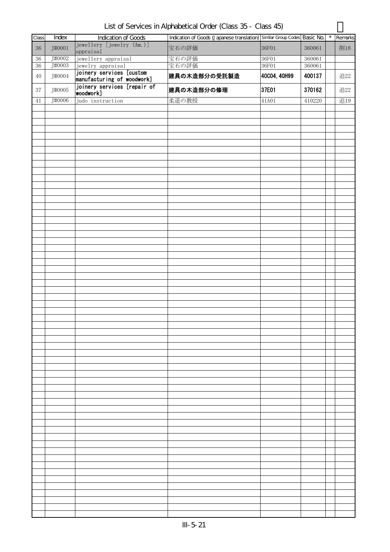| List of Services in Alphabetical Order (Class 35 - Class 45) |  |
|--------------------------------------------------------------|--|
|--------------------------------------------------------------|--|

| Class  | Index  | <b>Indication of Goods</b>                             | Indication of Goods (Japanese translation) Similar Group Codes Basic No. |              |        | $\star$ | Remarks |
|--------|--------|--------------------------------------------------------|--------------------------------------------------------------------------|--------------|--------|---------|---------|
|        |        | jewellery [jewelry (Am.)]                              |                                                                          |              |        |         |         |
| $36\,$ | J#0001 | appraisal                                              | 宝石の評価                                                                    | 36F01        | 360061 |         | 削18     |
| $36\,$ | J#0002 | jewellery appraisal                                    | 宝石の評価                                                                    | 36F01        | 360061 |         |         |
| 36     | J#0003 | jewelry appraisal                                      | 宝石の評価                                                                    | 36F01        | 360061 |         |         |
| $40\,$ | J#0004 | joinery services [custom<br>manufacturing of woodwork] | 建具の木造部分の受託製造                                                             | 40C04, 40H99 | 400137 |         | 追22     |
| 37     | J#0005 | joinery services [repair of<br>woodwork]               | 建具の木造部分の修理                                                               | 37E01        | 370162 |         | 追22     |
| 41     | J#0006 | judo instruction                                       | 柔道の教授                                                                    | 41A01        | 410220 |         | 追19     |
|        |        |                                                        |                                                                          |              |        |         |         |
|        |        |                                                        |                                                                          |              |        |         |         |
|        |        |                                                        |                                                                          |              |        |         |         |
|        |        |                                                        |                                                                          |              |        |         |         |
|        |        |                                                        |                                                                          |              |        |         |         |
|        |        |                                                        |                                                                          |              |        |         |         |
|        |        |                                                        |                                                                          |              |        |         |         |
|        |        |                                                        |                                                                          |              |        |         |         |
|        |        |                                                        |                                                                          |              |        |         |         |
|        |        |                                                        |                                                                          |              |        |         |         |
|        |        |                                                        |                                                                          |              |        |         |         |
|        |        |                                                        |                                                                          |              |        |         |         |
|        |        |                                                        |                                                                          |              |        |         |         |
|        |        |                                                        |                                                                          |              |        |         |         |
|        |        |                                                        |                                                                          |              |        |         |         |
|        |        |                                                        |                                                                          |              |        |         |         |
|        |        |                                                        |                                                                          |              |        |         |         |
|        |        |                                                        |                                                                          |              |        |         |         |
|        |        |                                                        |                                                                          |              |        |         |         |
|        |        |                                                        |                                                                          |              |        |         |         |
|        |        |                                                        |                                                                          |              |        |         |         |
|        |        |                                                        |                                                                          |              |        |         |         |
|        |        |                                                        |                                                                          |              |        |         |         |
|        |        |                                                        |                                                                          |              |        |         |         |
|        |        |                                                        |                                                                          |              |        |         |         |
|        |        |                                                        |                                                                          |              |        |         |         |
|        |        |                                                        |                                                                          |              |        |         |         |
|        |        |                                                        |                                                                          |              |        |         |         |
|        |        |                                                        |                                                                          |              |        |         |         |
|        |        |                                                        |                                                                          |              |        |         |         |
|        |        |                                                        |                                                                          |              |        |         |         |
|        |        |                                                        |                                                                          |              |        |         |         |
|        |        |                                                        |                                                                          |              |        |         |         |
|        |        |                                                        |                                                                          |              |        |         |         |
|        |        |                                                        |                                                                          |              |        |         |         |
|        |        |                                                        |                                                                          |              |        |         |         |
|        |        |                                                        |                                                                          |              |        |         |         |
|        |        |                                                        |                                                                          |              |        |         |         |
|        |        |                                                        |                                                                          |              |        |         |         |
|        |        |                                                        |                                                                          |              |        |         |         |
|        |        |                                                        |                                                                          |              |        |         |         |
|        |        |                                                        |                                                                          |              |        |         |         |
|        |        |                                                        |                                                                          |              |        |         |         |
|        |        |                                                        |                                                                          |              |        |         |         |
|        |        |                                                        |                                                                          |              |        |         |         |
|        |        |                                                        |                                                                          |              |        |         |         |
|        |        |                                                        |                                                                          |              |        |         |         |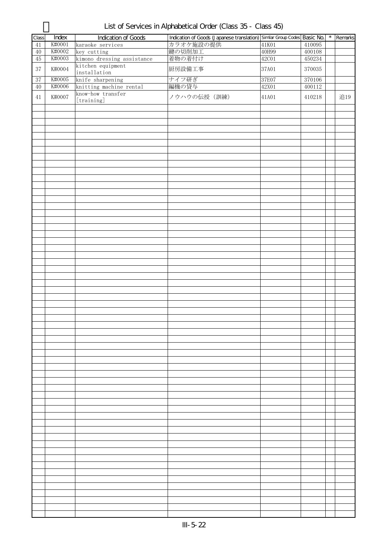| List of Services in Alphabetical Order (Class 35 - Class 45) |  |  |
|--------------------------------------------------------------|--|--|
|--------------------------------------------------------------|--|--|

| Class           | Index  | <b>Indication of Goods</b> | Indication of Goods (Japanese translation) Similar Group Codes Basic No. |       |        | $\star$ | Remarks |
|-----------------|--------|----------------------------|--------------------------------------------------------------------------|-------|--------|---------|---------|
|                 |        |                            |                                                                          |       |        |         |         |
| 41              | K#0001 | karaoke services           | カラオケ施設の提供                                                                | 41K01 | 410095 |         |         |
| $40\,$          | K#0002 | key cutting                | 鍵の切削加工                                                                   | 40H99 | 400108 |         |         |
| $\overline{45}$ | K#0003 | kimono dressing assistance | 着物の着付け                                                                   | 42C01 | 450234 |         |         |
| $37\,$          | K#0004 | kitchen equipment          | 厨房設備工事                                                                   | 37A01 | 370035 |         |         |
|                 |        | installation               |                                                                          |       |        |         |         |
| 37              | K#0005 | knife sharpening           | ナイフ研ぎ                                                                    | 37E07 | 370106 |         |         |
| $40\,$          | K#0006 | knitting machine rental    | 編機の貸与                                                                    | 42X01 | 400112 |         |         |
|                 |        | know-how transfer          |                                                                          |       |        |         |         |
| 41              | K#0007 | [training]                 | ノウハウの伝授 (訓練)                                                             | 41A01 | 410218 |         | 追19     |
|                 |        |                            |                                                                          |       |        |         |         |
|                 |        |                            |                                                                          |       |        |         |         |
|                 |        |                            |                                                                          |       |        |         |         |
|                 |        |                            |                                                                          |       |        |         |         |
|                 |        |                            |                                                                          |       |        |         |         |
|                 |        |                            |                                                                          |       |        |         |         |
|                 |        |                            |                                                                          |       |        |         |         |
|                 |        |                            |                                                                          |       |        |         |         |
|                 |        |                            |                                                                          |       |        |         |         |
|                 |        |                            |                                                                          |       |        |         |         |
|                 |        |                            |                                                                          |       |        |         |         |
|                 |        |                            |                                                                          |       |        |         |         |
|                 |        |                            |                                                                          |       |        |         |         |
|                 |        |                            |                                                                          |       |        |         |         |
|                 |        |                            |                                                                          |       |        |         |         |
|                 |        |                            |                                                                          |       |        |         |         |
|                 |        |                            |                                                                          |       |        |         |         |
|                 |        |                            |                                                                          |       |        |         |         |
|                 |        |                            |                                                                          |       |        |         |         |
|                 |        |                            |                                                                          |       |        |         |         |
|                 |        |                            |                                                                          |       |        |         |         |
|                 |        |                            |                                                                          |       |        |         |         |
|                 |        |                            |                                                                          |       |        |         |         |
|                 |        |                            |                                                                          |       |        |         |         |
|                 |        |                            |                                                                          |       |        |         |         |
|                 |        |                            |                                                                          |       |        |         |         |
|                 |        |                            |                                                                          |       |        |         |         |
|                 |        |                            |                                                                          |       |        |         |         |
|                 |        |                            |                                                                          |       |        |         |         |
|                 |        |                            |                                                                          |       |        |         |         |
|                 |        |                            |                                                                          |       |        |         |         |
|                 |        |                            |                                                                          |       |        |         |         |
|                 |        |                            |                                                                          |       |        |         |         |
|                 |        |                            |                                                                          |       |        |         |         |
|                 |        |                            |                                                                          |       |        |         |         |
|                 |        |                            |                                                                          |       |        |         |         |
|                 |        |                            |                                                                          |       |        |         |         |
|                 |        |                            |                                                                          |       |        |         |         |
|                 |        |                            |                                                                          |       |        |         |         |
|                 |        |                            |                                                                          |       |        |         |         |
|                 |        |                            |                                                                          |       |        |         |         |
|                 |        |                            |                                                                          |       |        |         |         |
|                 |        |                            |                                                                          |       |        |         |         |
|                 |        |                            |                                                                          |       |        |         |         |
|                 |        |                            |                                                                          |       |        |         |         |
|                 |        |                            |                                                                          |       |        |         |         |
|                 |        |                            |                                                                          |       |        |         |         |
|                 |        |                            |                                                                          |       |        |         |         |
|                 |        |                            |                                                                          |       |        |         |         |
|                 |        |                            |                                                                          |       |        |         |         |
|                 |        |                            |                                                                          |       |        |         |         |
|                 |        |                            |                                                                          |       |        |         |         |
|                 |        |                            |                                                                          |       |        |         |         |
|                 |        |                            |                                                                          |       |        |         |         |
|                 |        |                            |                                                                          |       |        |         |         |
|                 |        |                            |                                                                          |       |        |         |         |
|                 |        |                            |                                                                          |       |        |         |         |
|                 |        |                            |                                                                          |       |        |         |         |
|                 |        |                            |                                                                          |       |        |         |         |
|                 |        |                            |                                                                          |       |        |         |         |
|                 |        |                            |                                                                          |       |        |         |         |
|                 |        |                            |                                                                          |       |        |         |         |
|                 |        |                            |                                                                          |       |        |         |         |
|                 |        |                            |                                                                          |       |        |         |         |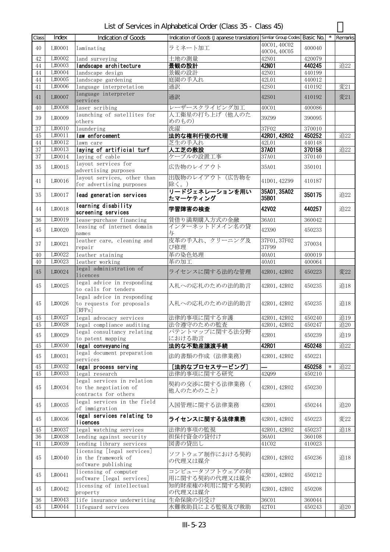| List of Services in Alphabetical Order (Class 35 - Class 45) |  |
|--------------------------------------------------------------|--|
|--------------------------------------------------------------|--|

| Class  | Index  | <b>Indication of Goods</b>                                                  | Indication of Goods (Japanese translation) Similar Group Codes Basic No. |                       |        | $\star$ | Remarks |
|--------|--------|-----------------------------------------------------------------------------|--------------------------------------------------------------------------|-----------------------|--------|---------|---------|
|        |        |                                                                             |                                                                          | 40C01.40C02           |        |         |         |
| 40     | L#0001 | laminating                                                                  | ラミネート加工                                                                  | 40C04, 40C05          | 400040 |         |         |
| 42     | L#0002 | land surveying                                                              | 土地の測量                                                                    | 42N01                 | 420079 |         |         |
| 44     | L#0003 | landscape architecture                                                      | 景観の設計                                                                    | 42N01                 | 440245 |         | 追22     |
| 44     | L#0004 | landscape design                                                            | 景観の設計                                                                    | 42N01                 | 440199 |         |         |
| 44     | L#0005 | landscape gardening                                                         | 庭園の手入れ                                                                   | 42L01                 | 440012 |         |         |
| 41     | L#0006 | language interpretation                                                     | 通訳                                                                       | 42S01                 | 410192 |         | 変21     |
| 41     | L#0007 | language interpreter<br>services                                            | 通訳                                                                       | 42S01                 | 410192 |         | 変21     |
| 40     | L#0008 | laser scribing                                                              | レーザースクライビング加工                                                            | 40C01                 | 400086 |         |         |
| 39     | L#0009 | launching of satellites for<br>others                                       | 人工衛星の打ち上げ(他人のた<br>めのもの)                                                  | 39Z99                 | 390095 |         |         |
| 37     | L#0010 | laundering                                                                  | 洗濯                                                                       | 37F02                 | 370010 |         |         |
| 45     | L#0011 | law enforcement                                                             | 法的な権利行使の代理                                                               | 42R01, 42R02          | 450252 |         | 追22     |
| 44     | L#0012 | lawn care                                                                   | 芝生の手入れ                                                                   | 42L01                 | 440148 |         |         |
| $37\,$ | L#0013 | laying of artificial turf                                                   | 人工芝の敷設                                                                   | 37A01                 | 370158 |         | 追22     |
| 37     | L#0014 | laying of cable                                                             | ケーブルの設置工事                                                                | 37A01                 | 370140 |         |         |
| 35     | L#0015 | layout services for<br>advertising purposes                                 | 広告物のレイアウト                                                                | 35A01                 | 350101 |         |         |
| 41     | L#0016 | layout services, other than<br>for advertising purposes                     | 出版物のレイアウト(広告物を<br>除く。)                                                   | 41D01, 42Z99          | 410187 |         |         |
| 35     | L#0017 | lead generation services                                                    | リードジェネレーションを用い<br>たマーケティング                                               | 35A01, 35A02<br>35B01 | 350175 |         | 追22     |
| 44     | L#0018 | learning disability<br>screening services                                   | 学習障害の検査                                                                  | <b>42V02</b>          | 440257 |         | 追22     |
| 36     | L#0019 | lease-purchase financing                                                    | 賃借り満期購入方式の金融                                                             | 36A01                 | 360042 |         |         |
| 45     | L#0020 | leasing of internet domain<br>names                                         | インターネットドメイン名の貸<br>与                                                      | 42X90                 | 450233 |         |         |
| 37     | L#0021 | leather care, cleaning and<br>repair                                        | 皮革の手入れ、クリーニング及<br>び修理                                                    | 37F01, 37F02<br>37F99 | 370034 |         |         |
| 40     | L#0022 | leather staining                                                            | 革の染色処理                                                                   | 40A01                 | 400019 |         |         |
| 40     | L#0023 | leather working                                                             | 革の加工                                                                     | 40A01                 | 400064 |         |         |
| 45     | L#0024 | legal administration of<br>licences                                         | ライセンスに関する法的な管理                                                           | 42R01, 42R02          | 450223 |         | 変22     |
| 45     | L#0025 | legal advice in responding<br>to calls for tenders                          | 入札への応札のための法的助言                                                           | 42R01, 42R02          | 450235 |         | 追18     |
| 45     | L#0026 | legal advice in responding<br>to requests for proposals<br>[RFPs]           | 入札への応札のための法的助言                                                           | 42R01, 42R02          | 450235 |         | 追18     |
| 45     | L#0027 | legal advocacy services                                                     | 法律的事項に関する弁護                                                              | 42R01, 42R02          | 450240 |         | 追19     |
| 45     |        | L#0028 legal compliance auditing                                            | 法令遵守のための監査                                                               | 42R01, 42R02          | 450247 |         | 追20     |
| 45     | L#0029 | legal consultancy relating<br>to patent mapping                             | パテントマップに関する法分野<br>における助言                                                 | 42R01                 | 450239 |         | 追19     |
| 45     | L#0030 | legal conveyancing                                                          | 法的な不動産讓渡手続                                                               | 42R01                 | 450248 |         | 追22     |
|        |        | legal document preparation                                                  |                                                                          |                       |        |         |         |
| 45     | L#0031 | services                                                                    | 法的書類の作成 (法律業務)                                                           | 42R01, 42R02          | 450221 |         |         |
| 45     | L#0032 | legal process serving                                                       | [法的なプロセスサービング]                                                           |                       | 450258 | $\ast$  | 追22     |
| 45     | L#0033 | legal research                                                              | 法律的事項に関する研究                                                              | 42Q99                 | 450210 |         |         |
| 45     | L#0034 | legal services in relation<br>to the negotiation of<br>contracts for others | 契約の交渉に関する法律業務(<br>他人のためのこと)                                              | 42R01, 42R02          | 450230 |         |         |
| 45     | L#0035 | legal services in the field<br>of immigration                               | 入国管理に関する法律業務                                                             | 42R01                 | 450244 |         | 追20     |
| 45     | L#0036 | legal services relating to<br>licences                                      | ライセンスに関する法律業務                                                            | 42R01, 42R02          | 450223 |         | 変22     |
| 45     | L#0037 | legal watching services                                                     | 法律的事項の監視                                                                 | 42R01, 42R02          | 450237 |         | 追18     |
| 36     | L#0038 | lending against security                                                    | 担保付資金の貸付け                                                                | 36A01                 | 360108 |         |         |
| 41     | L#0039 | lending library services                                                    | 図書の貸出し                                                                   | 41C02                 | 410023 |         |         |
| 45     | L#0040 | licensing [legal services]<br>in the framework of<br>software publishing    | ソフトウェア制作における契約<br>の代理又は媒介                                                | 42R01, 42R02          | 450236 |         | 追18     |
| 45     | L#0041 | licensing of computer<br>software [legal services]                          | コンピュータソフトウェアの利<br>用に関する契約の代理又は媒介                                         | 42R01, 42R02          | 450212 |         |         |
| 45     | L#0042 | licensing of intellectual<br>property                                       | 知的財産権の利用に関する契約<br>の代理又は媒介                                                | 42R01, 42R02          | 450208 |         |         |
| 36     | L#0043 | life insurance underwriting                                                 | 生命保険の引受け                                                                 | 36C01                 | 360044 |         |         |
| 45     | L#0044 | lifeguard services                                                          | 水難救助員による監視及び救助                                                           | 42T01                 | 450243 |         | 追20     |
|        |        |                                                                             |                                                                          |                       |        |         |         |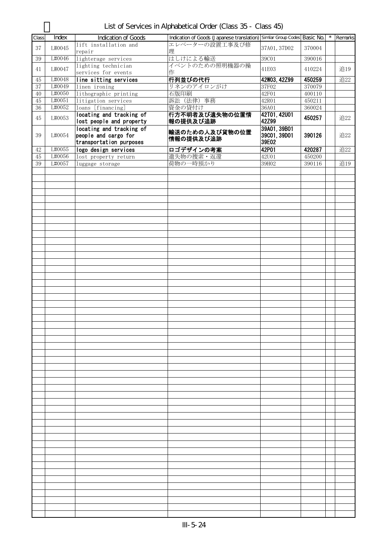| List of Services in Alphabetical Order (Class 35 - Class 45) |  |  |  |
|--------------------------------------------------------------|--|--|--|
|--------------------------------------------------------------|--|--|--|

| Class    | Index  | Indication of Goods                                  | Indication of Goods (Japanese translation) Similar Group Codes Basic No. |                       |        | $\star$ | Remarks |
|----------|--------|------------------------------------------------------|--------------------------------------------------------------------------|-----------------------|--------|---------|---------|
|          |        | lift installation and                                | エレベーターの設置工事及び修                                                           |                       |        |         |         |
| 37       | L#0045 | repair                                               | 理                                                                        | 37A01, 37D02          | 370004 |         |         |
| 39       | L#0046 | lighterage services                                  | はしけによる輸送                                                                 | 39C01                 | 390016 |         |         |
| 41       | L#0047 | lighting technician<br>services for events           | イベントのための照明機器の操<br>作                                                      | 41E03                 | 410224 |         | 追19     |
| 45       | L#0048 | line sitting services                                | 行列並びの代行                                                                  | 42W03, 42Z99          | 450259 |         | 追22     |
| 37       | L#0049 | linen ironing                                        | リネンのアイロンがけ                                                               | 37F02                 | 370079 |         |         |
| 40       | L#0050 | lithographic printing                                | 石版印刷                                                                     | 42F01                 | 400110 |         |         |
| 45       | L#0051 | litigation services                                  | 訴訟 (法律) 事務                                                               | 42R01                 | 450211 |         |         |
| $36\,$   | L#0052 | loans [financing]                                    | 資金の貸付け                                                                   | 36A01                 | 360024 |         |         |
| 45       | L#0053 | locating and tracking of                             | 行方不明者及び遺失物の位置情                                                           | 42T01, 42U01<br>42Z99 | 450257 |         | 追22     |
|          |        | lost people and property<br>locating and tracking of | 報の提供及び追跡                                                                 | 39A01, 39B01          |        |         |         |
| 39       | L#0054 | people and cargo for<br>transportation purposes      | 輸送のための人及び貨物の位置<br>情報の提供及び追跡                                              | 39C01, 39D01<br>39E02 | 390126 |         | 追22     |
|          | L#0055 |                                                      |                                                                          | 42P01                 | 420287 |         |         |
| 42       | L#0056 | logo design services                                 | ロゴデザインの考案                                                                |                       |        |         | 追22     |
| 45<br>39 | L#0057 | lost property return                                 | 遺失物の捜索・返還<br>荷物の一時預かり                                                    | <b>42U01</b><br>39H02 | 450200 |         | 追19     |
|          |        | luggage storage                                      |                                                                          |                       | 390116 |         |         |
|          |        |                                                      |                                                                          |                       |        |         |         |
|          |        |                                                      |                                                                          |                       |        |         |         |
|          |        |                                                      |                                                                          |                       |        |         |         |
|          |        |                                                      |                                                                          |                       |        |         |         |
|          |        |                                                      |                                                                          |                       |        |         |         |
|          |        |                                                      |                                                                          |                       |        |         |         |
|          |        |                                                      |                                                                          |                       |        |         |         |
|          |        |                                                      |                                                                          |                       |        |         |         |
|          |        |                                                      |                                                                          |                       |        |         |         |
|          |        |                                                      |                                                                          |                       |        |         |         |
|          |        |                                                      |                                                                          |                       |        |         |         |
|          |        |                                                      |                                                                          |                       |        |         |         |
|          |        |                                                      |                                                                          |                       |        |         |         |
|          |        |                                                      |                                                                          |                       |        |         |         |
|          |        |                                                      |                                                                          |                       |        |         |         |
|          |        |                                                      |                                                                          |                       |        |         |         |
|          |        |                                                      |                                                                          |                       |        |         |         |
|          |        |                                                      |                                                                          |                       |        |         |         |
|          |        |                                                      |                                                                          |                       |        |         |         |
|          |        |                                                      |                                                                          |                       |        |         |         |
|          |        |                                                      |                                                                          |                       |        |         |         |
|          |        |                                                      |                                                                          |                       |        |         |         |
|          |        |                                                      |                                                                          |                       |        |         |         |
|          |        |                                                      |                                                                          |                       |        |         |         |
|          |        |                                                      |                                                                          |                       |        |         |         |
|          |        |                                                      |                                                                          |                       |        |         |         |
|          |        |                                                      |                                                                          |                       |        |         |         |
|          |        |                                                      |                                                                          |                       |        |         |         |
|          |        |                                                      |                                                                          |                       |        |         |         |
|          |        |                                                      |                                                                          |                       |        |         |         |
|          |        |                                                      |                                                                          |                       |        |         |         |
|          |        |                                                      |                                                                          |                       |        |         |         |
|          |        |                                                      |                                                                          |                       |        |         |         |
|          |        |                                                      |                                                                          |                       |        |         |         |
|          |        |                                                      |                                                                          |                       |        |         |         |
|          |        |                                                      |                                                                          |                       |        |         |         |
|          |        |                                                      |                                                                          |                       |        |         |         |
|          |        |                                                      |                                                                          |                       |        |         |         |
|          |        |                                                      |                                                                          |                       |        |         |         |
|          |        |                                                      |                                                                          |                       |        |         |         |
|          |        |                                                      |                                                                          |                       |        |         |         |
|          |        |                                                      |                                                                          |                       |        |         |         |
|          |        |                                                      |                                                                          |                       |        |         |         |
|          |        |                                                      |                                                                          |                       |        |         |         |
|          |        |                                                      |                                                                          |                       |        |         |         |
|          |        |                                                      |                                                                          |                       |        |         |         |
|          |        |                                                      |                                                                          |                       |        |         |         |
|          |        |                                                      |                                                                          |                       |        |         |         |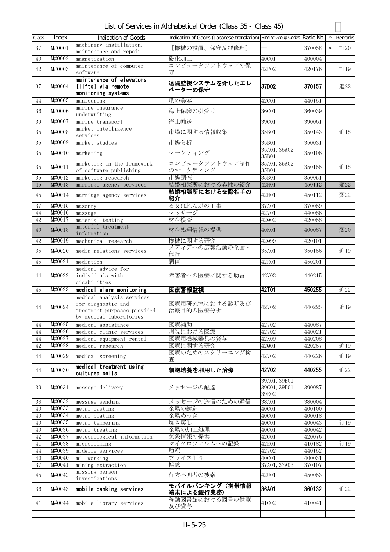List of Services in Alphabetical Order (Class 35 - Class 45)

| Class          | Index                       | <b>Indication of Goods</b>                                                                                | Indication of Goods (Japanese translation) Similar Group Codes Basic No. |                                       |                  |        | Remarks |
|----------------|-----------------------------|-----------------------------------------------------------------------------------------------------------|--------------------------------------------------------------------------|---------------------------------------|------------------|--------|---------|
| 37             | M#0001                      | machinery installation,                                                                                   | [機械の設置、保守及び修理]                                                           |                                       | 370058           | $\ast$ | 訂20     |
| 40             | M#0002                      | maintenance and repair                                                                                    | 磁化加工                                                                     | 40C01                                 | 400004           |        |         |
|                |                             | magnetization<br>maintenance of computer                                                                  | コンピュータソフトウェアの保                                                           |                                       |                  |        |         |
| 42             | M#0003                      | software                                                                                                  | 守                                                                        | 42P02                                 | 420176           |        | 訂19     |
| 37             | M#0004                      | maintenance of elevators<br>[lifts] via remote<br>monitoring systems                                      | 遠隔監視システムを介したエレ<br>ベーターの保守                                                | 37D02                                 | 370157           |        | 追22     |
| 44             | M#0005                      | manicuring                                                                                                | 爪の美容                                                                     | 42C01                                 | 440151           |        |         |
| 36             | M#0006                      | marine insurance<br>underwriting                                                                          | 海上保険の引受け                                                                 | 36C01                                 | 360039           |        |         |
| 39             | M#0007                      | marine transport                                                                                          | 海上輸送                                                                     | 39C01                                 | 390061           |        |         |
| 35             | M#0008                      | market intelligence<br>services                                                                           | 市場に関する情報収集                                                               | 35B01                                 | 350143           |        | 追18     |
| 35             | M#0009                      | market studies                                                                                            | 市場分析                                                                     | 35B01                                 | 350031           |        |         |
| 35             | M#0010                      | marketing                                                                                                 | マーケティング                                                                  | 35A01, 35A02<br>35B01                 | 350106           |        |         |
| 35             | M#0011                      | marketing in the framework<br>of software publishing                                                      | コンピュータソフトウェア制作<br>のマーケティング                                               | 35A01, 35A02<br>35B01                 | 350155           |        | 追18     |
| 35             | M#0012                      | marketing research                                                                                        | 市場調査                                                                     | 35B01                                 | 350051           |        |         |
| 45             | M#0013                      | marriage agency services                                                                                  | 結婚相談所における異性の紹介                                                           | 42H01                                 | 450112           |        | 変22     |
| 45             | M#0014                      | marriage agency services                                                                                  | 結婚相談所における交際相手の<br>紹介                                                     | 42H01                                 | 450112           |        | 変22     |
| 37             | M#0015<br>M#0016            | masonry                                                                                                   | 石又はれんがの工事                                                                | 37A01                                 | 370059           |        |         |
| $\rm 44$<br>42 | M#0017                      | massage<br>material testing                                                                               | マッサージ<br>材料検査                                                            | 42V01<br>42Q02                        | 440086<br>420058 |        |         |
|                |                             | material treatment                                                                                        |                                                                          |                                       |                  |        |         |
| 40             | M#0018                      | information                                                                                               | 材料処理情報の提供                                                                | 40K01                                 | 400087           |        | 変20     |
| 42             | M#0019                      | mechanical research                                                                                       | 機械に関する研究<br>メディアへの広報活動の企画・                                               | 42Q99                                 | 420101           |        |         |
| 35             | M#0020                      | media relations services                                                                                  | 代行                                                                       | 35A01                                 | 350156           |        | 追19     |
| 45             | M#0021                      | mediation                                                                                                 | 調停                                                                       | 42R01                                 | 450201           |        |         |
| 44             | M#0022                      | medical advice for<br>individuals with<br>disabilities                                                    | 障害者への医療に関する助言                                                            | 42V02                                 | 440215           |        |         |
| 45             | M#0023                      | medical alarm monitoring                                                                                  | 医療警報監視                                                                   | <b>42T01</b>                          | 450255           |        | 追22     |
| 44             | M#0024                      | medical analysis services<br>for diagnostic and<br>treatment purposes provided<br>by medical laboratories | 医療用研究室における診断及び<br>治療目的の医療分析                                              | 42V02                                 | 440225           |        | 追19     |
| $\rm 44$       | M#0025                      | medical assistance                                                                                        | 医療補助                                                                     | 42V02                                 | 440087           |        |         |
| 44             | M#0026                      | medical clinic services                                                                                   | 病院における医療                                                                 | 42V02                                 | 440021           |        |         |
| 44<br>42       | M#0027<br>M#0028            | medical equipment rental<br>medical research                                                              | 医療用機械器具の貸与                                                               | 42X09                                 | 440208           |        | 追19     |
| 44             | M#0029                      | medical screening                                                                                         | 医療に関する研究<br>医療のためのスクリーニング検<br>査                                          | 42Q01<br>42V02                        | 420257<br>440226 |        | 追19     |
| 44             | M#0030                      | medical treatment using<br>cultured cells                                                                 | 細胞培養を利用した治療                                                              | 42V02                                 | 440255           |        | 追22     |
| 39             | M#0031                      | message delivery                                                                                          | メッセージの配達                                                                 | 39A01, 39B01<br>39C01, 39D01<br>39E02 | 390087           |        |         |
| 38             | M#0032                      | message sending                                                                                           | メッセージの送信のための通信                                                           | 38A01                                 | 380004           |        |         |
| 40             | M#0033                      | metal casting                                                                                             | 金属の鋳造                                                                    | 40C01                                 | 400100           |        |         |
| 40             | M#0034                      | metal plating                                                                                             | 金属めっき                                                                    | 40C01                                 | 400018           |        |         |
| 40             | M#0035                      | metal tempering                                                                                           | 焼き戻し                                                                     | 40C01                                 | 400043           |        | 訂19     |
| 40             | M#0036<br>M#0037            | metal treating                                                                                            | 金属の加工処理<br>気象情報の提供                                                       | 40C01                                 | 400042           |        |         |
| 42<br>41       | M#0038                      | meteorological information<br>microfilming                                                                | マイクロフィルムへの記録                                                             | 42G01<br>42E01                        | 420076<br>410182 |        | 訂19     |
| 44             | M#0039                      | midwife services                                                                                          | 助産                                                                       | 42V02                                 | 440152           |        |         |
| 40             | $\overline{\text{M}}$ #0040 | millworking                                                                                               | フライス削り                                                                   | 40C01                                 | 400031           |        |         |
| 37             | M#0041                      | mining extraction                                                                                         | 採鉱                                                                       | 37A01, 37A03                          | 370107           |        |         |
| 45             | M#0042                      | missing person<br>investigations                                                                          | 行方不明者の捜索                                                                 | 42U01                                 | 450053           |        |         |
| 36             | M#0043                      | mobile banking services                                                                                   | モバイルバンキング(携帯情報<br>端末による銀行業務)                                             | 36A01                                 | 360132           |        | 追22     |
| 41             | M#0044                      | mobile library services                                                                                   | 移動図書館における図書の供覧<br>及び貸与                                                   | 41C02                                 | 410041           |        |         |
|                |                             |                                                                                                           |                                                                          |                                       |                  |        |         |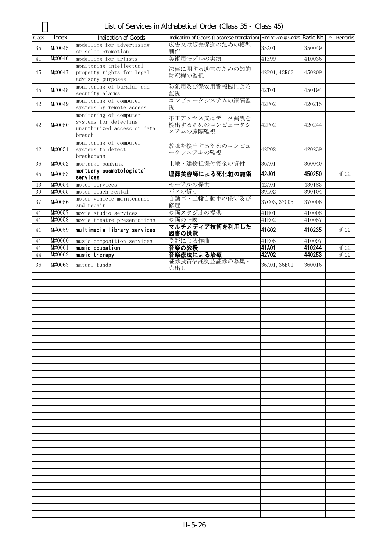List of Services in Alphabetical Order (Class 35 - Class 45)

| Class    | Index            | <b>Indication of Goods</b>                                                               | Indication of Goods (Japanese translation) Similar Group Codes Basic No. |                |                  | $\star$ | Remarks    |
|----------|------------------|------------------------------------------------------------------------------------------|--------------------------------------------------------------------------|----------------|------------------|---------|------------|
| 35       | M#0045           | modelling for advertising<br>or sales promotion                                          | 広告又は販売促進のための模型<br>制作                                                     | 35A01          | 350049           |         |            |
| 41       | M#0046           | modelling for artists                                                                    | 美術用モデルの実演                                                                | 41Z99          | 410036           |         |            |
| 45       | M#0047           | monitoring intellectual<br>property rights for legal<br>advisory purposes                | 法律に関する助言のための知的<br>財産権の監視                                                 | 42R01, 42R02   | 450209           |         |            |
| 45       | M#0048           | monitoring of burglar and<br>security alarms                                             | 防犯用及び保安用警報機による<br>監視                                                     | 42T01          | 450194           |         |            |
| 42       | M#0049           | monitoring of computer<br>systems by remote access                                       | コンピュータシステムの遠隔監<br>視                                                      | 42P02          | 420215           |         |            |
| 42       | M#0050           | monitoring of computer<br>systems for detecting<br>unauthorized access or data<br>breach | 不正アクセス又はデータ漏洩を<br>検出するためのコンピュータシ<br>ステムの遠隔監視                             | 42P02          | 420244           |         |            |
| 42       | M#0051           | monitoring of computer<br>systems to detect<br>breakdowns                                | 故障を検出するためのコンピュ<br>ータシステムの監視                                              | 42P02          | 420239           |         |            |
| 36       | M#0052           | mortgage banking                                                                         | 土地・建物担保付資金の貸付                                                            | 36A01          | 360040           |         |            |
| 45       | M#0053           | mortuary cosmetologists'<br>services                                                     | 埋葬美容師による死化粧の施術                                                           | 42J01          | 450250           |         | 追22        |
| 43       | M#0054           | motel services                                                                           | モーテルの提供                                                                  | 42A01          | 430183           |         |            |
| 39       | M#0055           | motor coach rental                                                                       | バスの貸与                                                                    | 39L02          | 390104           |         |            |
| 37       | M#0056           | motor vehicle maintenance<br>and repair                                                  | 自動車・二輪自動車の保守及び<br>修理                                                     | 37C03, 37C05   | 370006           |         |            |
| 41       | M#0057           | movie studio services                                                                    | 映画スタジオの提供                                                                | 41H01          | 410008           |         |            |
| 41       | M#0058           | movie theatre presentations                                                              | 映画の上映                                                                    | 41E02          | 410057           |         |            |
| 41       | M#0059           | multimedia library services                                                              | マルチメディア技術を利用した<br>図書の供覧                                                  | 41C02          | 410235           |         | 追22        |
| 41       | M#0060           | music composition services                                                               | 受託による作曲                                                                  | 41E05          | 410097           |         |            |
| 41<br>44 | M#0061<br>M#0062 | music education<br>music therapy                                                         | 音楽の教授<br>音楽療法による治療                                                       | 41A01<br>42V02 | 410244<br>440253 |         | 追22<br>追22 |
| 36       | M#0063           | mutual funds                                                                             | 証券投資信託受益証券の募集·                                                           | 36A01, 36B01   | 360016           |         |            |
|          |                  |                                                                                          | 売出し                                                                      |                |                  |         |            |
|          |                  |                                                                                          |                                                                          |                |                  |         |            |
|          |                  |                                                                                          |                                                                          |                |                  |         |            |
|          |                  |                                                                                          |                                                                          |                |                  |         |            |
|          |                  |                                                                                          |                                                                          |                |                  |         |            |
|          |                  |                                                                                          |                                                                          |                |                  |         |            |
|          |                  |                                                                                          |                                                                          |                |                  |         |            |
|          |                  |                                                                                          |                                                                          |                |                  |         |            |
|          |                  |                                                                                          |                                                                          |                |                  |         |            |
|          |                  |                                                                                          |                                                                          |                |                  |         |            |
|          |                  |                                                                                          |                                                                          |                |                  |         |            |
|          |                  |                                                                                          |                                                                          |                |                  |         |            |
|          |                  |                                                                                          |                                                                          |                |                  |         |            |
|          |                  |                                                                                          |                                                                          |                |                  |         |            |
|          |                  |                                                                                          |                                                                          |                |                  |         |            |
|          |                  |                                                                                          |                                                                          |                |                  |         |            |
|          |                  |                                                                                          |                                                                          |                |                  |         |            |
|          |                  |                                                                                          |                                                                          |                |                  |         |            |
|          |                  |                                                                                          |                                                                          |                |                  |         |            |
|          |                  |                                                                                          |                                                                          |                |                  |         |            |
|          |                  |                                                                                          |                                                                          |                |                  |         |            |
|          |                  |                                                                                          |                                                                          |                |                  |         |            |
|          |                  |                                                                                          |                                                                          |                |                  |         |            |
|          |                  |                                                                                          |                                                                          |                |                  |         |            |
|          |                  |                                                                                          |                                                                          |                |                  |         |            |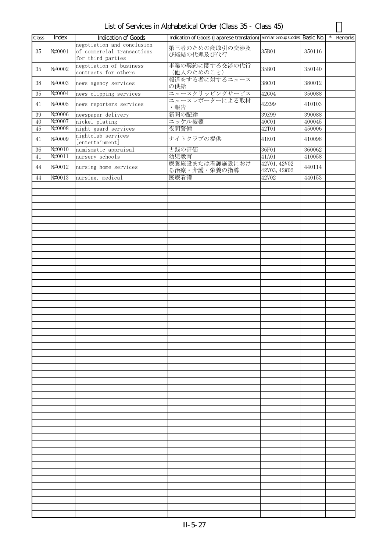List of Services in Alphabetical Order (Class 35 - Class 45)

| Class  | Index  | Indication of Goods        | Indication of Goods (Japanese translation) Similar Group Codes Basic No. |              |        | $\star$ | Remarks |
|--------|--------|----------------------------|--------------------------------------------------------------------------|--------------|--------|---------|---------|
|        |        | negotiation and conclusion |                                                                          |              |        |         |         |
| 35     | N#0001 | of commercial transactions | 第三者のための商取引の交渉及                                                           | 35B01        | 350116 |         |         |
|        |        | for third parties          | び締結の代理及び代行                                                               |              |        |         |         |
|        |        | negotiation of business    | 事業の契約に関する交渉の代行                                                           |              |        |         |         |
| 35     | N#0002 | contracts for others       | (他人のためのこと)                                                               | 35B01        | 350140 |         |         |
|        |        |                            | 報道をする者に対するニュース                                                           |              |        |         |         |
| 38     | N#0003 | news agency services       | の供給                                                                      | 38C01        | 380012 |         |         |
|        | N#0004 |                            | ニュースクリッピングサービス                                                           | 42G04        |        |         |         |
| 35     |        | news clipping services     | ニュースレポーターによる取材                                                           |              | 350088 |         |         |
| 41     | N#0005 | news reporters services    | ·報告                                                                      | 42Z99        | 410103 |         |         |
|        | N#0006 |                            |                                                                          |              |        |         |         |
| 39     | N#0007 | newspaper delivery         | 新聞の配達                                                                    | 39Z99        | 390088 |         |         |
| 40     | N#0008 | nickel plating             | ニッケル被覆<br>夜間警備                                                           | 40C01        | 400045 |         |         |
| $45\,$ |        | night guard services       |                                                                          | 42T01        | 450006 |         |         |
| 41     | N#0009 | nightclub services         | ナイトクラブの提供                                                                | 41K01        | 410098 |         |         |
|        |        | [entertainment]            |                                                                          |              |        |         |         |
| $36\,$ | N#0010 | numismatic appraisal       | 古銭の評価                                                                    | 36F01        | 360062 |         |         |
| 41     | N#0011 | nursery schools            | 幼児教育                                                                     | 41A01        | 410058 |         |         |
| 44     | N#0012 | nursing home services      | 療養施設または看護施設におけ                                                           | 42V01, 42V02 | 440114 |         |         |
|        |        |                            | る治療・介護・栄養の指導                                                             | 42V03, 42W02 |        |         |         |
| 44     | N#0013 | nursing, medical           | 医療看護                                                                     | 42V02        | 440153 |         |         |
|        |        |                            |                                                                          |              |        |         |         |
|        |        |                            |                                                                          |              |        |         |         |
|        |        |                            |                                                                          |              |        |         |         |
|        |        |                            |                                                                          |              |        |         |         |
|        |        |                            |                                                                          |              |        |         |         |
|        |        |                            |                                                                          |              |        |         |         |
|        |        |                            |                                                                          |              |        |         |         |
|        |        |                            |                                                                          |              |        |         |         |
|        |        |                            |                                                                          |              |        |         |         |
|        |        |                            |                                                                          |              |        |         |         |
|        |        |                            |                                                                          |              |        |         |         |
|        |        |                            |                                                                          |              |        |         |         |
|        |        |                            |                                                                          |              |        |         |         |
|        |        |                            |                                                                          |              |        |         |         |
|        |        |                            |                                                                          |              |        |         |         |
|        |        |                            |                                                                          |              |        |         |         |
|        |        |                            |                                                                          |              |        |         |         |
|        |        |                            |                                                                          |              |        |         |         |
|        |        |                            |                                                                          |              |        |         |         |
|        |        |                            |                                                                          |              |        |         |         |
|        |        |                            |                                                                          |              |        |         |         |
|        |        |                            |                                                                          |              |        |         |         |
|        |        |                            |                                                                          |              |        |         |         |
|        |        |                            |                                                                          |              |        |         |         |
|        |        |                            |                                                                          |              |        |         |         |
|        |        |                            |                                                                          |              |        |         |         |
|        |        |                            |                                                                          |              |        |         |         |
|        |        |                            |                                                                          |              |        |         |         |
|        |        |                            |                                                                          |              |        |         |         |
|        |        |                            |                                                                          |              |        |         |         |
|        |        |                            |                                                                          |              |        |         |         |
|        |        |                            |                                                                          |              |        |         |         |
|        |        |                            |                                                                          |              |        |         |         |
|        |        |                            |                                                                          |              |        |         |         |
|        |        |                            |                                                                          |              |        |         |         |
|        |        |                            |                                                                          |              |        |         |         |
|        |        |                            |                                                                          |              |        |         |         |
|        |        |                            |                                                                          |              |        |         |         |
|        |        |                            |                                                                          |              |        |         |         |
|        |        |                            |                                                                          |              |        |         |         |
|        |        |                            |                                                                          |              |        |         |         |
|        |        |                            |                                                                          |              |        |         |         |
|        |        |                            |                                                                          |              |        |         |         |
|        |        |                            |                                                                          |              |        |         |         |
|        |        |                            |                                                                          |              |        |         |         |
|        |        |                            |                                                                          |              |        |         |         |
|        |        |                            |                                                                          |              |        |         |         |
|        |        |                            |                                                                          |              |        |         |         |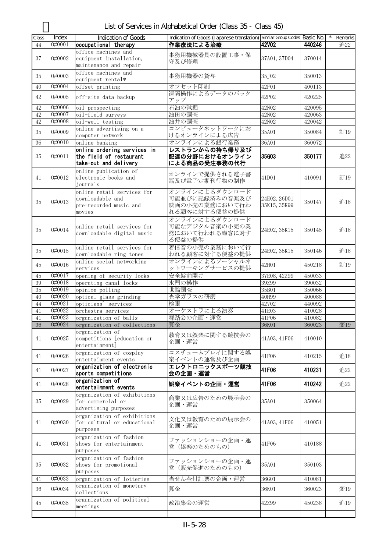List of Services in Alphabetical Order (Class 35 - Class 45)

| Class  | Index  | Indication of Goods         | Indication of Goods (Japanese translation) Similar Group Codes Basic No. |              |        | Remarks |
|--------|--------|-----------------------------|--------------------------------------------------------------------------|--------------|--------|---------|
| 44     | 0#0001 | occupational therapy        | 作業療法による治療                                                                | 42V02        | 440246 | 追22     |
|        |        | office machines and         |                                                                          |              |        |         |
| 37     | 0#0002 | equipment installation,     | 事務用機械器具の設置工事・保                                                           | 37A01, 37D04 | 370014 |         |
|        |        | maintenance and repair      | 守及び修理                                                                    |              |        |         |
|        |        | office machines and         |                                                                          |              |        |         |
| 35     | 0#0003 | equipment rental*           | 事務用機器の貸与                                                                 | 35J02        | 350013 |         |
| 40     | 0#0004 | offset printing             | オフセット印刷                                                                  | 42F01        | 400113 |         |
| 42     | 0#0005 | off-site data backup        | 遠隔操作によるデータのバック                                                           | 42P02        | 420225 |         |
|        |        |                             | アップ                                                                      |              |        |         |
| 42     | 0#0006 | oil prospecting             | 石油の試掘                                                                    | 42N02        | 420095 |         |
| 42     | 0#0007 | oil-field surveys           | 油田の調査                                                                    | 42N02        | 420063 |         |
| 42     | 0#0008 | oil-well testing            | 油井の調査                                                                    | 42N02        | 420042 |         |
| 35     | 0#0009 | online advertising on a     | コンピュータネットワークにお                                                           | 35A01        | 350084 | 訂19     |
|        |        | computer network            | けるオンラインによる広告                                                             |              |        |         |
| 36     | 0#0010 | online banking              | オンラインによる銀行業務                                                             | 36A01        | 360072 |         |
|        |        | online ordering services in | レストランからの持ち帰り及び                                                           |              |        |         |
| 35     | 0#0011 | the field of restaurant     | 配達の分野におけるオンライン                                                           | 35G03        | 350177 | 追22     |
|        |        | take-out and delivery       | による商品の受注事務の代行                                                            |              |        |         |
|        |        | online publication of       | オンラインで提供される電子書                                                           |              |        |         |
| 41     | 0#0012 | electronic books and        | 籍及び電子定期刊行物の制作                                                            | 41D01        | 410091 | 訂19     |
|        |        | iournals                    |                                                                          |              |        |         |
|        |        | online retail services for  | オンラインによるダウンロード                                                           |              |        |         |
| 35     | 0#0013 | downloadable and            | 可能並びに記録済みの音楽及び                                                           | 24E02, 26D01 | 350147 | 追18     |
|        |        | pre-recorded music and      | 映画の小売の業務において行わ                                                           | 35K15, 35K99 |        |         |
|        |        | movies                      | れる顧客に対する便益の提供                                                            |              |        |         |
|        |        |                             | オンラインによるダウンロード                                                           |              |        |         |
| 35     | 0#0014 | online retail services for  | 可能なデジタル音楽の小売の業                                                           | 24E02, 35K15 | 350145 | 追18     |
|        |        | downloadable digital music  | 務において行われる顧客に対す                                                           |              |        |         |
|        |        |                             | る便益の提供                                                                   |              |        |         |
| 35     | 0#0015 | online retail services for  | 着信音の小売の業務において行                                                           | 24E02, 35K15 | 350146 | 追18     |
|        |        | downloadable ring tones     | われる顧客に対する便益の提供                                                           |              |        |         |
| 45     | 0#0016 | online social networking    | オンラインによるソーシャルネ                                                           | 42H01        | 450218 | 訂19     |
|        |        | services                    | ットワーキングサービスの提供                                                           |              |        |         |
| 45     | 0#0017 | opening of security locks   | 安全錠前開け                                                                   | 37E08, 42Z99 | 450033 |         |
| $39\,$ | 0#0018 | operating canal locks       | 水門の操作                                                                    | 39Z99        | 390032 |         |
| 35     | 0#0019 | opinion polling             | 世論調査                                                                     | 35B01        | 350066 |         |
| 40     | 0#0020 | optical glass grinding      | 光学ガラスの研磨                                                                 | 40H99        | 400088 |         |
| 44     | 0#0021 | opticians' services         | 検眼                                                                       | 42V02        | 440092 |         |
| 41     | 0#0022 | orchestra services          | オーケストラによる演奏                                                              | 41E03        | 410028 |         |
| 41     | 0#0023 | organization of balls       | 舞踏会の企画・運営                                                                | 41F06        | 410082 |         |
| $36\,$ | 0#0024 | organization of collections | 募金                                                                       | 36K01        | 360023 | 変19     |
|        |        | organization of             | 教育又は娯楽に関する競技会の                                                           |              |        |         |
| 41     | 0#0025 | competitions [education or  | 企画・運営                                                                    | 41A03, 41F06 | 410010 |         |
|        |        | entertainment]              |                                                                          |              |        |         |
| 41     | 0#0026 | organization of cosplay     | コスチュームプレイに関する娯                                                           | 41F06        | 410215 | 追18     |
|        |        | entertainment events        | 楽イベントの運営及び企画                                                             |              |        |         |
| 41     | 0#0027 | organization of electronic  | エレクトロニックスポーツ競技                                                           | 41F06        | 410231 | 追22     |
|        |        | sports competitions         | 会の企画・運営                                                                  |              |        |         |
| 41     | 0#0028 | organization of             | 娯楽イベントの企画・運営                                                             | 41F06        | 410242 | 追22     |
|        |        | entertainment events        |                                                                          |              |        |         |
|        |        | organization of exhibitions | 商業又は広告のための展示会の                                                           |              |        |         |
| 35     | 0#0029 | for commercial or           | 企画・運営                                                                    | 35A01        | 350064 |         |
|        |        | advertising purposes        |                                                                          |              |        |         |
|        |        | organization of exhibitions | 文化又は教育のための展示会の                                                           |              |        |         |
| 41     | 0#0030 | for cultural or educational | 企画・運営                                                                    | 41A03, 41F06 | 410051 |         |
|        |        | purposes                    |                                                                          |              |        |         |
|        |        | organization of fashion     | ファッションショーの企画・運                                                           |              |        |         |
| 41     | 0#0031 | shows for entertainment     | 営 (娯楽のためのもの)                                                             | 41F06        | 410188 |         |
|        |        | purposes                    |                                                                          |              |        |         |
|        |        | organization of fashion     | ファッションショーの企画・運                                                           |              |        |         |
| 35     | 0#0032 | shows for promotional       | 営(販売促進のためのもの)                                                            | 35A01        | 350103 |         |
|        |        | purposes                    |                                                                          |              |        |         |
| 41     | 0#0033 | organization of lotteries   | 当せん金付証票の企画・運営                                                            | 36G01        | 410081 |         |
| 36     | 0#0034 | organization of monetary    | 募金                                                                       | 36K01        | 360023 | 変19     |
|        |        | collections                 |                                                                          |              |        |         |
| 45     | 0#0035 | organization of political   | 政治集会の運営                                                                  | 42Z99        | 450238 | 追19     |
|        |        | meetings                    |                                                                          |              |        |         |
|        |        |                             |                                                                          |              |        |         |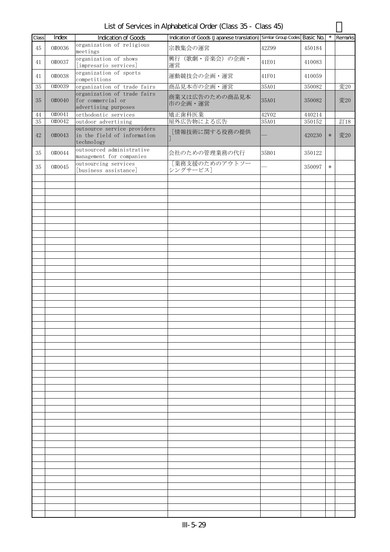List of Services in Alphabetical Order (Class 35 - Class 45)

| Class | Index  | Indication of Goods                                                      | Indication of Goods (Japanese translation) Similar Group Codes Basic No. |       |        | $\star$ | Remarks |
|-------|--------|--------------------------------------------------------------------------|--------------------------------------------------------------------------|-------|--------|---------|---------|
| 45    | 0#0036 | organization of religious<br>meetings                                    | 宗教集会の運営                                                                  | 42Z99 | 450184 |         |         |
| 41    | 0#0037 | organization of shows<br>[impresario services]                           | 興行 (歌劇・音楽会)の企画・<br>運営                                                    | 41E01 | 410083 |         |         |
| 41    | 0#0038 | organization of sports<br>competitions                                   | 運動競技会の企画・運営                                                              | 41F01 | 410059 |         |         |
| 35    | 0#0039 | organization of trade fairs                                              | 商品見本市の企画・運営                                                              | 35A01 | 350082 |         | 変20     |
| 35    | 0#0040 | organization of trade fairs<br>for commercial or<br>advertising purposes | 商業又は広告のための商品見本<br>市の企画・運営                                                | 35A01 | 350082 |         | 変20     |
| 44    | 0#0041 | orthodontic services                                                     | 矯正歯科医業                                                                   | 42V02 | 440214 |         |         |
| 35    | 0#0042 | outdoor advertising                                                      | 屋外広告物による広告                                                               | 35A01 | 350152 |         | 訂18     |
| 42    | 0#0043 | outsource service providers<br>in the field of information<br>technology | [情報技術に関する役務の提供                                                           |       | 420230 | $\ast$  | 変20     |
| 35    | 0#0044 | outsourced administrative<br>management for companies                    | 会社のための管理業務の代行                                                            | 35B01 | 350122 |         |         |
| 35    | 0#0045 | outsourcing services<br>[business assistance]                            | [業務支援のためのアウトソー<br>シングサービス]                                               |       | 350097 | $\ast$  |         |
|       |        |                                                                          |                                                                          |       |        |         |         |
|       |        |                                                                          |                                                                          |       |        |         |         |
|       |        |                                                                          |                                                                          |       |        |         |         |
|       |        |                                                                          |                                                                          |       |        |         |         |
|       |        |                                                                          |                                                                          |       |        |         |         |
|       |        |                                                                          |                                                                          |       |        |         |         |
|       |        |                                                                          |                                                                          |       |        |         |         |
|       |        |                                                                          |                                                                          |       |        |         |         |
|       |        |                                                                          |                                                                          |       |        |         |         |
|       |        |                                                                          |                                                                          |       |        |         |         |
|       |        |                                                                          |                                                                          |       |        |         |         |
|       |        |                                                                          |                                                                          |       |        |         |         |
|       |        |                                                                          |                                                                          |       |        |         |         |
|       |        |                                                                          |                                                                          |       |        |         |         |
|       |        |                                                                          |                                                                          |       |        |         |         |
|       |        |                                                                          |                                                                          |       |        |         |         |
|       |        |                                                                          |                                                                          |       |        |         |         |
|       |        |                                                                          |                                                                          |       |        |         |         |
|       |        |                                                                          |                                                                          |       |        |         |         |
|       |        |                                                                          |                                                                          |       |        |         |         |
|       |        |                                                                          |                                                                          |       |        |         |         |
|       |        |                                                                          |                                                                          |       |        |         |         |
|       |        |                                                                          |                                                                          |       |        |         |         |
|       |        |                                                                          |                                                                          |       |        |         |         |
|       |        |                                                                          |                                                                          |       |        |         |         |
|       |        |                                                                          |                                                                          |       |        |         |         |
|       |        |                                                                          |                                                                          |       |        |         |         |
|       |        |                                                                          |                                                                          |       |        |         |         |
|       |        |                                                                          |                                                                          |       |        |         |         |
|       |        |                                                                          |                                                                          |       |        |         |         |
|       |        |                                                                          |                                                                          |       |        |         |         |
|       |        |                                                                          |                                                                          |       |        |         |         |
|       |        |                                                                          |                                                                          |       |        |         |         |
|       |        |                                                                          |                                                                          |       |        |         |         |
|       |        |                                                                          |                                                                          |       |        |         |         |
|       |        |                                                                          |                                                                          |       |        |         |         |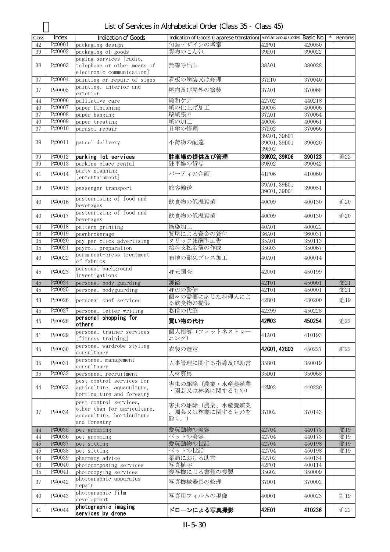| List of Services in Alphabetical Order (Class 35 - Class 45) |  |  |  |
|--------------------------------------------------------------|--|--|--|
|--------------------------------------------------------------|--|--|--|

|             | Index  |                                                  | Indication of Goods (Japanese translation) Similar Group Codes Basic No. |              |        | $\star$ |         |
|-------------|--------|--------------------------------------------------|--------------------------------------------------------------------------|--------------|--------|---------|---------|
| Class<br>42 | P#0001 | <b>Indication of Goods</b>                       | 包装デザインの考案                                                                | 42P01        | 420050 |         | Remarks |
|             | P#0002 | packaging design                                 |                                                                          |              |        |         |         |
| 39          |        | packaging of goods                               | 貨物のこん包                                                                   | 39E01        | 390022 |         |         |
|             |        | paging services [radio,                          |                                                                          |              |        |         |         |
| 38          | P#0003 | telephone or other means of                      | 無線呼出し                                                                    | 38A01        | 380028 |         |         |
|             |        | electronic communication]                        |                                                                          |              |        |         |         |
| 37          | P#0004 | painting or repair of signs                      | 看板の塗装又は修理                                                                | 37E10        | 370040 |         |         |
| 37          | P#0005 | painting, interior and                           | 屋内及び屋外の塗装                                                                | 37A01        | 370068 |         |         |
|             |        | exterior                                         |                                                                          |              |        |         |         |
| 44          | P#0006 | palliative care                                  | 緩和ケア                                                                     | 42V02        | 440218 |         |         |
| 40          | P#0007 | paper finishing                                  | 紙の仕上げ加工                                                                  | <b>40C05</b> | 400006 |         |         |
| 37          | P#0008 | paper hanging                                    | 壁紙張り                                                                     | 37A01        | 370064 |         |         |
| 40          | P#0009 | paper treating                                   | 紙の加工                                                                     | 40C05        | 400061 |         |         |
| 37          | P#0010 | parasol repair                                   | 日傘の修理                                                                    | 37E02        | 370066 |         |         |
|             |        |                                                  |                                                                          | 39A01, 39B01 |        |         |         |
| 39          | P#0011 | parcel delivery                                  | 小荷物の配達                                                                   | 39C01, 39D01 | 390020 |         |         |
|             |        |                                                  |                                                                          | 39E02        |        |         |         |
| 39          | P#0012 | parking lot services                             | 駐車場の提供及び管理                                                               | 39K02, 39K06 | 390123 |         | 追22     |
| 39          | P#0013 | parking place rental                             | 駐車場の貸与                                                                   | 39K02        | 390042 |         |         |
|             |        | party planning                                   |                                                                          |              |        |         |         |
| 41          | P#0014 | [entertainment]                                  | パーティの企画                                                                  | 41F06        | 410060 |         |         |
|             |        |                                                  |                                                                          | 39A01, 39B01 |        |         |         |
| 39          | P#0015 | passenger transport                              | 旅客輸送                                                                     | 39C01, 39D01 | 390051 |         |         |
|             |        |                                                  |                                                                          |              |        |         |         |
| 40          | P#0016 | pasteurising of food and                         | 飲食物の低温殺菌                                                                 | 40C09        | 400130 |         | 追20     |
|             |        | beverages                                        |                                                                          |              |        |         |         |
| 40          | P#0017 | pasteurizing of food and                         | 飲食物の低温殺菌                                                                 | 40C09        | 400130 |         | 追20     |
|             |        | beverages                                        |                                                                          |              |        |         |         |
| 40          | P#0018 | pattern printing                                 | 捺染加工                                                                     | 40A01        | 400022 |         |         |
| 36          | P#0019 | pawnbrokerage                                    | 質屋による資金の貸付                                                               | 36A01        | 360031 |         |         |
| 35          | P#0020 | pay per click advertising                        | クリック報酬型広告                                                                | 35A01        | 350113 |         |         |
| $35\,$      | P#0021 | payroll preparation                              | 給料支払名簿の作成                                                                | 35G03        | 350067 |         |         |
|             |        | permanent-press treatment                        |                                                                          |              |        |         |         |
| 40          | P#0022 | of fabrics                                       | 布地の耐久プレス加工                                                               | 40A01        | 400014 |         |         |
|             |        | personal background                              |                                                                          |              |        |         |         |
| 45          | P#0023 | investigations                                   | 身元調査                                                                     | 42U01        | 450199 |         |         |
| $45\,$      | P#0024 | personal body guarding                           | 護衛                                                                       | 42T01        | 450001 |         | 変21     |
| 45          | P#0025 | personal bodyguarding                            | 身辺の警備                                                                    | 42T01        | 450001 |         | 変21     |
|             |        |                                                  | 個々の需要に応じた料理人によ                                                           |              |        |         |         |
| 43          | P#0026 | personal chef services                           | る飲食物の提供                                                                  | 42B01        | 430200 |         | 追19     |
| 45          | P#0027 |                                                  | 私信の代筆                                                                    | 42Z99        | 450228 |         |         |
|             |        | personal letter writing<br>personal shopping for |                                                                          |              |        |         |         |
| 45          | P#0028 | others                                           | 買い物の代行                                                                   | <b>42W03</b> | 450254 |         | 追22     |
|             |        |                                                  | 個人指導(フィットネストレー                                                           |              |        |         |         |
| 41          | P#0029 | personal trainer services                        |                                                                          | 41A01        | 410193 |         |         |
|             |        | [fitness training]                               | ニング)                                                                     |              |        |         |         |
| 45          | P#0030 | personal wardrobe styling                        | 衣装の選定                                                                    | 42C01, 42G03 | 450227 |         | 群22     |
|             |        | consultancy                                      |                                                                          |              |        |         |         |
| 35          | P#0031 | personnel management                             | 人事管理に関する指導及び助言                                                           | 35B01        | 350019 |         |         |
|             |        | consultancy                                      |                                                                          |              |        |         |         |
| 35          | P#0032 | personnel recruitment                            | 人材募集                                                                     | 35D01        | 350068 |         |         |
|             |        | pest control services for                        | 害虫の駆除(農業・水産養殖業                                                           |              |        |         |         |
| 44          | P#0033 | agriculture, aquaculture,                        | ・園芸又は林業に関するもの)                                                           | 42M02        | 440220 |         |         |
|             |        | horticulture and forestry                        |                                                                          |              |        |         |         |
|             |        | pest control services,                           |                                                                          |              |        |         |         |
|             |        | other than for agriculture,                      | 害虫の駆除(農業、水産養殖業                                                           |              |        |         |         |
| 37          | P#0034 | aquaculture, horticulture                        | 園芸又は林業に関するものを                                                            | 37H02        | 370143 |         |         |
|             |        | and forestry                                     | 除く。)                                                                     |              |        |         |         |
| 44          | P#0035 |                                                  | 愛玩動物の美容                                                                  | 42V04        | 440173 |         | 変19     |
| 44          | P#0036 | pet grooming                                     | ペットの美容                                                                   | 42V04        | 440173 |         | 変19     |
|             | P#0037 | pet grooming                                     | 愛玩動物の世話                                                                  | 42V04        |        |         |         |
| 45          |        | pet sitting                                      |                                                                          |              | 450198 |         | 変19     |
| 45          | P#0038 | pet sitting                                      | ペットの世話                                                                   | 42V04        | 450198 |         | 変19     |
| 44          | P#0039 | pharmacy advice                                  | 薬局における助言                                                                 | 42V02        | 440154 |         |         |
| 40          | P#0040 | photocomposing services                          | 写真植字                                                                     | 42F01        | 400114 |         |         |
| $35\,$      | P#0041 | photocopying services                            | 複写機による書類の複製                                                              | 35G02        | 350009 |         |         |
| 37          | P#0042 | photographic apparatus                           | 写真機械器具の修理                                                                | 37D01        | 370002 |         |         |
|             |        | repair                                           |                                                                          |              |        |         |         |
| 40          | P#0043 | photographic film                                | 写真用フィルムの現像                                                               | 40D01        | 400023 |         | 訂19     |
|             |        | development                                      |                                                                          |              |        |         |         |
| 41          | P#0044 | photographic imaging                             | ドローンによる写真撮影                                                              | 42E01        | 410236 |         | 追22     |
|             |        | services by drone                                |                                                                          |              |        |         |         |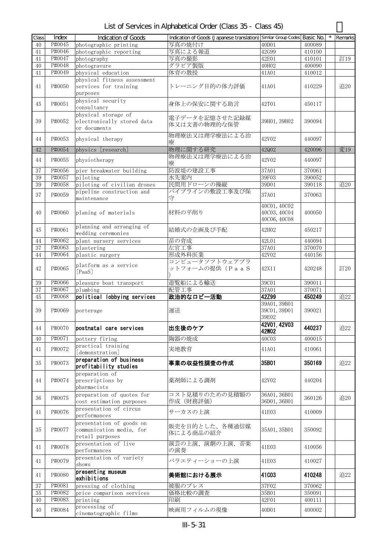List of Services in Alphabetical Order (Class 35 - Class 45)

| Class | Index  | <b>Indication of Goods</b>                                              | Indication of Goods (Japanese translation) Similar Group Codes Basic No. |                                              |        | Remarks |
|-------|--------|-------------------------------------------------------------------------|--------------------------------------------------------------------------|----------------------------------------------|--------|---------|
| 40    | P#0045 | photographic printing                                                   | 写真の焼付け                                                                   | 40D01                                        | 400089 |         |
| 41    | P#0046 | photographic reporting                                                  | 写真による報道                                                                  | 42G99                                        | 410100 |         |
| 41    | P#0047 | photography                                                             | 写真の撮影                                                                    | 42E01                                        | 410101 | 訂19     |
| 40    | P#0048 | photogravure                                                            | グラビア製版                                                                   | 40H02                                        | 400090 |         |
| 41    | P#0049 | physical education                                                      | 体育の教授                                                                    | 41A01                                        | 410012 |         |
| 41    | P#0050 | physical fitness assessment<br>services for training<br>purposes        | トレーニング目的の体力評価                                                            | 41A01                                        | 410229 | 追20     |
| 45    | P#0051 | physical security<br>consultancy                                        | 身体上の保安に関する助言                                                             | 42T01                                        | 450117 |         |
| 39    | P#0052 | physical storage of<br>electronically stored data<br>or documents       | 電子データを記憶させた記録媒<br>体又は文書の物理的な保管                                           | 39H01, 39H02                                 | 390094 |         |
| 44    | P#0053 | physical therapy                                                        | 物理療法又は理学療法による治<br>療                                                      | 42V02                                        | 440097 |         |
| 42    | P#0054 | physics [research]                                                      | 物理に関する研究                                                                 | 42Q02                                        | 420096 | 変19     |
| 44    | P#0055 | physiotherapy                                                           | 物理療法又は理学療法による治<br>療                                                      | 42V02                                        | 440097 |         |
| 37    | P#0056 | pier breakwater building                                                | 防波堤の建設工事                                                                 | 37A01                                        | 370061 |         |
| 39    | P#0057 | piloting                                                                | 水先案内                                                                     | 39F03                                        | 390052 |         |
| 39    | P#0058 | piloting of civilian drones                                             | 民間用ドローンの操縦                                                               | 39D01                                        | 390118 | 追20     |
| 37    | P#0059 | pipeline construction and<br>maintenance                                | パイプラインの敷設工事及び保<br>守                                                      | 37A01                                        | 370063 |         |
| 40    | P#0060 | planing of materials                                                    | 材料の平削り                                                                   | 40C01, 40C02<br>40C03, 40C04<br>40C06, 40C08 | 400050 |         |
| 45    | P#0061 | planning and arranging of<br>wedding ceremonies                         | 結婚式の企画及び手配                                                               | 42H02                                        | 450217 |         |
| 44    | P#0062 | plant nursery services                                                  | 苗の育成                                                                     | 42L01                                        | 440094 |         |
| 37    | P#0063 | plastering                                                              | 左官工事                                                                     | 37A01                                        | 370070 |         |
| 44    | P#0064 | plastic surgery                                                         | 形成外科医業                                                                   | 42V02                                        | 440156 |         |
| 42    | P#0065 | platform as a service<br>[PaaS]                                         | コンピュータソフトウェアプラ<br>ットフォームの提供 (PaaS                                        | 42X11                                        | 420248 | 訂20     |
| 39    | P#0066 | pleasure boat transport                                                 | 遊覧船による輸送                                                                 | 39C01                                        | 390011 |         |
| 37    | P#0067 | plumbing                                                                | 配管工事                                                                     | 37A01                                        | 370071 |         |
| 45    | P#0068 | political lobbying services                                             | 政治的なロビー活動                                                                | 42Z99                                        | 450249 | 追22     |
| 39    | P#0069 | porterage                                                               | 運送                                                                       | 39A01, 39B01<br>39C01, 39D01<br>39E02        | 390021 |         |
| 44    | P#0070 | postnatal care services                                                 | 出生後のケア                                                                   | 42V01, 42V03<br><b>42W02</b>                 | 440237 | 追22     |
| 40    | P#0071 | pottery firing                                                          | 陶器の焼成                                                                    | <b>40C03</b>                                 | 400015 |         |
| 41    | P#0072 | practical training<br>[demonstration]                                   | 実地教育                                                                     | 41A01                                        | 410061 |         |
| 35    | P#0073 | preparation of business<br>profitability studies                        | 事業の収益性調査の作成                                                              | 35B01                                        | 350169 | 追22     |
| 44    | P#0074 | preparation of<br>prescriptions by<br>pharmacists                       | 薬剤師による調剤                                                                 | 42V02                                        | 440204 |         |
| 36    | P#0075 | preparation of quotes for<br>cost estimation purposes                   | コスト見積りのための見積額の<br>作成 (財務評価)                                              | 36A01, 36B01<br>36D01, 36H01                 | 360126 | 追20     |
| 41    | P#0076 | presentation of circus<br>performances                                  | サーカスの上演                                                                  | 41E03                                        | 410009 |         |
| 35    | P#0077 | presentation of goods on<br>communication media, for<br>retail purposes | 販売を目的とした、各種通信媒<br>体による商品の紹介                                              | 35A01, 35B01                                 | 350092 |         |
| 41    | P#0078 | presentation of live<br>performances                                    | 演芸の上演、演劇の上演、音楽<br>の演奏                                                    | 41E03                                        | 410056 |         |
| 41    | P#0079 | presentation of variety<br>shows                                        | バラエティーショーの上演                                                             | 41E03                                        | 410027 |         |
| 41    | P#0080 | presenting museum<br>exhibitions                                        | 美術館における展示                                                                | 41C03                                        | 410248 | 追22     |
| 37    | P#0081 | pressing of clothing                                                    | 被服のプレス                                                                   | 37F02                                        | 370062 |         |
| 35    | P#0082 | price comparison services                                               | 価格比較の調査                                                                  | 35B01                                        | 350091 |         |
| 40    | P#0083 | printing                                                                | 印刷                                                                       | 42F01                                        | 400111 |         |
| 40    | P#0084 | processing of<br>cinematographic films                                  | 映画用フィルムの現像                                                               | 40D01                                        | 400002 |         |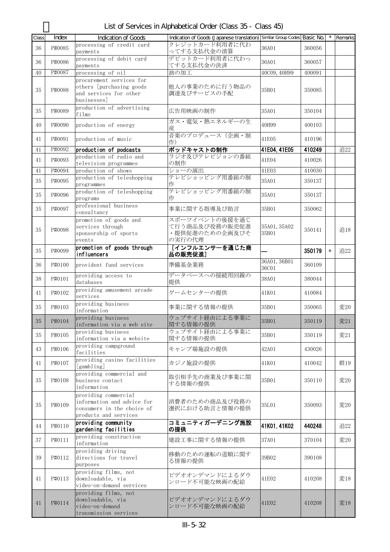List of Services in Alphabetical Order (Class 35 - Class 45)

| Class | Index  | Indication of Goods                                                                                       | Indication of Goods (Japanese translation) Similar Group Codes Basic No. |                       |        |        | Remarks |
|-------|--------|-----------------------------------------------------------------------------------------------------------|--------------------------------------------------------------------------|-----------------------|--------|--------|---------|
| 36    | P#0085 | processing of credit card<br>payments                                                                     | クレジットカード利用者に代わ<br>ってする支払代金の清算                                            | 36A01                 | 360056 |        |         |
| 36    | P#0086 | processing of debit card<br>payments                                                                      | デビットカード利用者に代わっ<br>てする支払代金の決済                                             | 36A01                 | 360057 |        |         |
| 40    | P#0087 | processing of oil                                                                                         | 油の加工                                                                     | 40C09, 40H99          | 400091 |        |         |
| 35    | P#0088 | procurement services for<br>others [purchasing goods<br>and services for other<br>businesses]             | 他人の事業のために行う物品の<br>調達及びサービスの手配                                            | 35B01                 | 350085 |        |         |
| 35    | P#0089 | production of advertising<br>films                                                                        | 広告用映画の制作                                                                 | 35A01                 | 350104 |        |         |
| 40    | P#0090 | production of energy                                                                                      | ガス・電気・熱エネルギーの生<br>産                                                      | 40H99                 | 400103 |        |         |
| 41    | P#0091 | production of music                                                                                       | 音楽のプロデュース (企画・制<br>作)                                                    | 41E05                 | 410196 |        |         |
| 41    | P#0092 | production of podcasts                                                                                    | ポッドキャストの制作                                                               | 41E04, 41E05          | 410249 |        | 追22     |
| 41    | P#0093 | production of radio and<br>television programmes                                                          | ラジオ及びテレビジョンの番組<br>の制作                                                    | 41E04                 | 410026 |        |         |
| 41    | P#0094 | production of shows                                                                                       | ショーの演出                                                                   | 41E03                 | 410030 |        |         |
| 35    | P#0095 | production of teleshopping<br>programmes                                                                  | テレビショッピング用番組の制<br>作                                                      | 35A01                 | 350137 |        |         |
| 35    | P#0096 | production of teleshopping<br>programs                                                                    | テレビショッピング用番組の制<br>作                                                      | 35A01                 | 350137 |        |         |
| 35    | P#0097 | professional business<br>consultancy                                                                      | 事業に関する指導及び助言                                                             | 35B01                 | 350062 |        |         |
| 35    | P#0098 | promotion of goods and<br>services through<br>sponsorship of sports<br>events                             | スポーツイベントの後援を通じ<br>て行う商品及び役務の販売促進<br>・提供促進のための企画及びそ<br>の実行の代理             | 35A01, 35A02<br>35B01 | 350141 |        | 追18     |
| 35    | P#0099 | promotion of goods through<br>influencers                                                                 | [インフルエンサーを通じた商<br>品の販売促進]                                                |                       | 350179 | $\ast$ | 追22     |
| 36    | P#0100 | provident fund services                                                                                   | 準備基金業務                                                                   | 36A01, 36B01<br>36C01 | 360109 |        |         |
| 38    | P#0101 | providing access to<br>databases                                                                          | データベースへの接続用回線の<br>提供                                                     | 38A01                 | 380044 |        |         |
| 41    | P#0102 | providing amusement arcade<br>services                                                                    | ゲームセンターの提供                                                               | 41K01                 | 410084 |        |         |
| 35    | P#0103 | providing business<br>information                                                                         | 事業に関する情報の提供                                                              | 35B01                 | 350065 |        | 変20     |
| 35    | P#0104 | providing business<br>information via a web site                                                          | ウェブサイト経由による事業に<br>関する情報の提供                                               | 35B01                 | 350119 |        | 変21     |
| 35    | P#0105 | providing business<br>information via a website                                                           | ウェブサイト経由による事業に<br>関する情報の提供                                               | 35B01                 | 350119 |        | 変21     |
| 43    | P#0106 | providing campground<br>facilities                                                                        | キャンプ場施設の提供                                                               | 42A01                 | 430026 |        |         |
| 41    | P#0107 | providing casino facilities<br>[gambling]                                                                 | カジノ施設の提供                                                                 | 41K01                 | 410042 |        | 群19     |
| 35    | P#0108 | providing commercial and<br>business contact<br>information                                               | 取引相手先の商業及び事業に関<br>する情報の提供                                                | 35B01                 | 350110 |        | 変20     |
| 35    | P#0109 | providing commercial<br>information and advice for<br>consumers in the choice of<br>products and services | 消費者のための商品及び役務の<br>選択における助言と情報の提供                                         | 35L01                 | 350093 |        | 変20     |
| 44    | P#0110 | providing community<br>gardening facilities                                                               | コミュニティガーデニング施設<br>の提供                                                    | 41K01, 41K02          | 440248 |        | 追22     |
| 37    | P#0111 | providing construction<br>information                                                                     | 建設工事に関する情報の提供                                                            | 37A01                 | 370104 |        | 変20     |
| 39    | P#0112 | providing driving<br>directions for travel<br>purposes                                                    | 移動のための運転の道順に関す<br>る情報の提供                                                 | 39B02                 | 390108 |        |         |
| 41    | P#0113 | providing films, not<br>downloadable, via<br>video-on-demand services                                     | ビデオオンデマンドによるダウ<br>ンロード不可能な映画の配給                                          | 41E02                 | 410208 |        | 変18     |
| 41    | P#0114 | providing films, not<br>downloadable, via<br>video-on-demand<br>transmission services                     | ビデオオンデマンドによるダウ<br>ンロード不可能な映画の配給                                          | 41E02                 | 410208 |        | 変18     |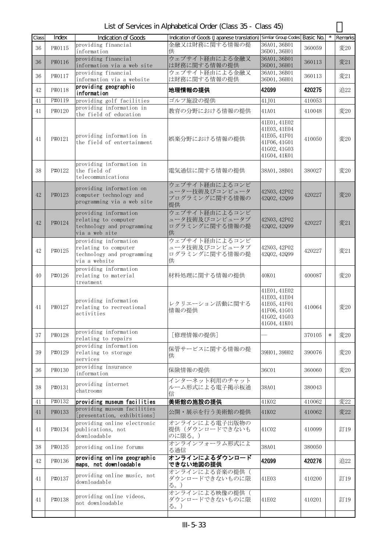List of Services in Alphabetical Order (Class 35 - Class 45)

| Class | Index  | <b>Indication of Goods</b>                                                                    | Indication of Goods (Japanese translation) Similar Group Codes |                                                                                              | Basic No. |        | Remarks |
|-------|--------|-----------------------------------------------------------------------------------------------|----------------------------------------------------------------|----------------------------------------------------------------------------------------------|-----------|--------|---------|
| 36    | P#0115 | providing financial<br>information                                                            | 金融又は財務に関する情報の提<br>供                                            | 36A01, 36B01<br>36D01, 36H01                                                                 | 360059    |        | 変20     |
| 36    | P#0116 | providing financial<br>information via a web site                                             | ウェブサイト経由による金融又<br>は財務に関する情報の提供                                 | 36A01, 36B01<br>36D01, 36H01                                                                 | 360113    |        | 変21     |
| 36    | P#0117 | providing financial<br>information via a website                                              | ウェブサイト経由による金融又<br>は財務に関する情報の提供                                 | 36A01, 36B01<br>36D01, 36H01                                                                 | 360113    |        | 変21     |
| 42    | P#0118 | providing geographic<br>information                                                           | 地理情報の提供                                                        | <b>42G99</b>                                                                                 | 420275    |        | 追22     |
| 41    | P#0119 | providing golf facilities                                                                     | ゴルフ施設の提供                                                       | 41J01                                                                                        | 410053    |        |         |
| 41    | P#0120 | providing information in<br>the field of education                                            | 教育の分野における情報の提供                                                 | 41A01                                                                                        | 410048    |        | 変20     |
| 41    | P#0121 | providing information in<br>the field of entertainment                                        | 娯楽分野における情報の提供                                                  | 41E01, 41E02<br>41E03, 41E04<br>41E05, 41F01<br>41F06, 41G01<br>41602, 41603<br>41G04, 41K01 | 410050    |        | 変20     |
| 38    | P#0122 | providing information in<br>the field of<br>telecommunications                                | 電気通信に関する情報の提供                                                  | 38A01, 38B01                                                                                 | 380027    |        | 変20     |
| 42    | P#0123 | providing information on<br>computer technology and<br>programming via a web site             | ウェブサイト経由によるコンピ<br>ューター技術及びコンピュータ<br>プログラミングに関する情報の<br>提供       | 42N03, 42P02<br>42002, 42099                                                                 | 420227    |        | 変20     |
| 42    | P#0124 | providing information<br>relating to computer<br>technology and programming<br>via a web site | ウェブサイト経由によるコンピ<br>ュータ技術及びコンピュータプ<br>ログラミングに関する情報の提<br>供        | 42N03, 42P02<br>42002, 42099                                                                 | 420227    |        | 変21     |
| 42    | P#0125 | providing information<br>relating to computer<br>technology and programming<br>via a website  | ウェブサイト経由によるコンピ<br>ュータ技術及びコンピュータプ<br>ログラミングに関する情報の提<br>供        | 42N03, 42P02<br>42002, 42099                                                                 | 420227    |        | 変21     |
| 40    | P#0126 | providing information<br>relating to material<br>treatment                                    | 材料処理に関する情報の提供                                                  | 40K01                                                                                        | 400087    |        | 変20     |
| 41    | P#0127 | providing information<br>relating to recreational<br>activities                               | レクリエーション活動に関する<br>情報の提供                                        | 41E01, 41E02<br>41E03, 41E04<br>41E05, 41F01<br>41F06, 41G01<br>41602, 41603<br>41G04, 41K01 | 410064    |        | 変20     |
| 37    | P#0128 | providing information<br>relating to repairs                                                  | [修理情報の提供]                                                      |                                                                                              | 370105    | $\ast$ | 変20     |
| 39    | P#0129 | providing information<br>relating to storage<br>services                                      | 保管サービスに関する情報の提<br>供                                            | 39H01, 39H02                                                                                 | 390076    |        | 変20     |
| 36    | P#0130 | providing insurance<br>information                                                            | 保険情報の提供                                                        | 36C01                                                                                        | 360060    |        | 変20     |
| 38    | P#0131 | providing internet<br>chatrooms                                                               | インターネット利用のチャット<br>ルーム形式による電子掲示板通<br>信                          | 38A01                                                                                        | 380043    |        |         |
| 41    | P#0132 | providing museum facilities                                                                   | 美術館の施設の提供                                                      | 41K02                                                                                        | 410062    |        | 変22     |
| 41    | P#0133 | providing museum facilities<br>[presentation, exhibitions]                                    | 公開・展示を行う美術館の提供                                                 | 41K02                                                                                        | 410062    |        | 変22     |
| 41    | P#0134 | providing online electronic<br>publications, not<br>downloadable                              | オンラインによる電子出版物の<br>提供(ダウンロードできないも<br>のに限る。)                     | 41C02                                                                                        | 410099    |        | 訂19     |
| 38    | P#0135 | providing online forums                                                                       | オンラインフォーラム形式によ<br>る通信                                          | 38A01                                                                                        | 380050    |        |         |
| 42    | P#0136 | providing online geographic<br>maps, not downloadable                                         | オンラインによるダウンロード<br>できない地図の提供                                    | 42G99                                                                                        | 420276    |        | 追22     |
| 41    | P#0137 | providing online music, not<br>downloadable                                                   | オンラインによる音楽の提供(<br>ダウンロードできないものに限<br>る。)                        | 41E03                                                                                        | 410200    |        | 訂19     |
| 41    | P#0138 | providing online videos,<br>not downloadable                                                  | オンラインによる映像の提供(<br>ダウンロードできないものに限<br>る。)                        | 41E02                                                                                        | 410201    |        | 訂19     |
|       |        |                                                                                               |                                                                |                                                                                              |           |        |         |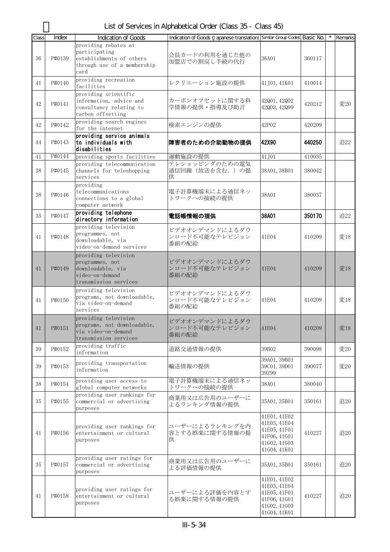List of Services in Alphabetical Order (Class 35 - Class 45)

| providing rebates at<br>participating<br>会員カードの利用を通じた他の<br>36<br>P#0139<br>establishments of others<br>36A01<br>360117<br>加盟店での割戻し手続の代行<br>through use of a membership<br>card<br>providing recreation<br>P#0140<br>レクリエーション施設の提供<br>41J01, 41K01<br>41<br>410014<br>facilities<br>providing scientific<br>information, advice and<br>カーボンオフセットに関する科<br>42001, 42002<br>変20<br>42<br>P#0141<br>420212<br>学情報の提供・指導及び助言<br>consultancy relating to<br>42003, 42099<br>carbon offsetting<br>providing search engines<br>検索エンジンの提供<br>42<br>P#0142<br>42P02<br>420209<br>for the internet<br>providing service animals<br>障害者のための介助動物の提供<br>42X90<br>440250<br>追22<br>P#0143<br>to individuals with<br>44<br>disabilities<br>P#0144<br>運動施設の提供<br>providing sports facilities<br>41J01<br>410035<br>41<br>テレショッピングのための電気<br>providing telecommunication<br>38<br>P#0145<br>channels for teleshopping<br>通信回線(放送を含む。)の提<br>38A01, 38B01<br>380042<br>services<br>供<br>providing<br>telecommunications<br>電子計算機端末による通信ネッ<br>38<br>P#0146<br>38A01<br>380037<br>トワークへの接続の提供<br>connections to a global<br>computer network<br>providing telephone<br>38A01<br>35<br>P#0147<br>電話帳情報の提供<br>350170<br>追22<br>directory information<br>providing television<br>ビデオオンデマンドによるダウ<br>programmes, not<br>ンロード不可能なテレビジョン<br>P#0148<br>41E04<br>変18<br>41<br>410209<br>downloadable, via<br>番組の配給<br>video-on-demand services<br>providing television<br>ビデオオンデマンドによるダウ<br>programmes, not<br>ンロード不可能なテレビジョン<br>downloadable, via<br>変18<br>41<br>P#0149<br>41E04<br>410209<br>video-on-demand<br>番組の配給<br>transmission services<br>providing television<br>ビデオオンデマンドによるダウ<br>programs, not downloadable,<br>ンロード不可能なテレビジョン<br>P#0150<br>変18<br>41<br>41E04<br>410209<br>via video-on-demand<br>番組の配給<br>services<br>providing television<br>ビデオオンデマンドによるダウ<br>programs, not downloadable,<br>P#0151<br>ンロード不可能なテレビジョン<br>41E04<br>410209<br>変18<br>41<br>via video-on-demand<br>番組の配給<br>transmission services<br>providing traffic<br>P#0152<br>39B02<br>変20<br>39<br>道路交通情報の提供<br>390098<br>information<br>39A01, 39B01<br>providing transportation<br>輸送情報の提供<br>変20<br>P#0153<br>39<br>39C01, 39D01<br>390077<br>information<br>39Z99<br>電子計算機端末による通信ネッ<br>providing user access to<br>38<br>P#0154<br>38A01<br>380040<br>トワークへの接続の提供<br>global computer networks<br>providing user rankings for<br>商業用又は広告用のユーザーに<br>35<br>P#0155<br>commercial or advertising<br>35A01, 35B01<br>追20<br>350161<br>よるランキング情報の提供<br>purposes<br>41E01, 41E02<br>41E03, 41E04<br>ユーザーによるランキングを内<br>providing user rankings for<br>41E05, 41F01<br>容とする娯楽に関する情報の提<br>追20<br>P#0156<br>410227<br>entertainment or cultural<br>41<br>41F06, 41G01<br>供<br>purposes<br>41602, 41603<br>41G04, 41K01<br>providing user ratings for<br>商業用又は広告用のユーザーに<br>追20<br>35<br>P#0157<br>35A01, 35B01<br>commercial or advertising<br>350161<br>よる評価情報の提供<br>purposes<br>41E01, 41E02<br>41E03, 41E04<br>providing user ratings for<br>ユーザーによる評価を内容とす<br>41E05, 41F01<br>追20<br>P#0158<br>410227<br>entertainment or cultural<br>41<br>る娯楽に関する情報の提供<br>41F06, 41G01<br>purposes<br>41602, 41603 | Class | Index | Indication of Goods | Indication of Goods (Japanese translation) Similar Group Codes Basic No. |              | Remarks |
|------------------------------------------------------------------------------------------------------------------------------------------------------------------------------------------------------------------------------------------------------------------------------------------------------------------------------------------------------------------------------------------------------------------------------------------------------------------------------------------------------------------------------------------------------------------------------------------------------------------------------------------------------------------------------------------------------------------------------------------------------------------------------------------------------------------------------------------------------------------------------------------------------------------------------------------------------------------------------------------------------------------------------------------------------------------------------------------------------------------------------------------------------------------------------------------------------------------------------------------------------------------------------------------------------------------------------------------------------------------------------------------------------------------------------------------------------------------------------------------------------------------------------------------------------------------------------------------------------------------------------------------------------------------------------------------------------------------------------------------------------------------------------------------------------------------------------------------------------------------------------------------------------------------------------------------------------------------------------------------------------------------------------------------------------------------------------------------------------------------------------------------------------------------------------------------------------------------------------------------------------------------------------------------------------------------------------------------------------------------------------------------------------------------------------------------------------------------------------------------------------------------------------------------------------------------------------------------------------------------------------------------------------------------------------------------------------------------------------------------------------------------------------------------------------------------------------------------------------------------------------------------------------------------------------------------------------------------------------------------------------------------------------------------------------------------------------------------------------------------------------------------------------|-------|-------|---------------------|--------------------------------------------------------------------------|--------------|---------|
|                                                                                                                                                                                                                                                                                                                                                                                                                                                                                                                                                                                                                                                                                                                                                                                                                                                                                                                                                                                                                                                                                                                                                                                                                                                                                                                                                                                                                                                                                                                                                                                                                                                                                                                                                                                                                                                                                                                                                                                                                                                                                                                                                                                                                                                                                                                                                                                                                                                                                                                                                                                                                                                                                                                                                                                                                                                                                                                                                                                                                                                                                                                                                      |       |       |                     |                                                                          |              |         |
|                                                                                                                                                                                                                                                                                                                                                                                                                                                                                                                                                                                                                                                                                                                                                                                                                                                                                                                                                                                                                                                                                                                                                                                                                                                                                                                                                                                                                                                                                                                                                                                                                                                                                                                                                                                                                                                                                                                                                                                                                                                                                                                                                                                                                                                                                                                                                                                                                                                                                                                                                                                                                                                                                                                                                                                                                                                                                                                                                                                                                                                                                                                                                      |       |       |                     |                                                                          |              |         |
|                                                                                                                                                                                                                                                                                                                                                                                                                                                                                                                                                                                                                                                                                                                                                                                                                                                                                                                                                                                                                                                                                                                                                                                                                                                                                                                                                                                                                                                                                                                                                                                                                                                                                                                                                                                                                                                                                                                                                                                                                                                                                                                                                                                                                                                                                                                                                                                                                                                                                                                                                                                                                                                                                                                                                                                                                                                                                                                                                                                                                                                                                                                                                      |       |       |                     |                                                                          |              |         |
|                                                                                                                                                                                                                                                                                                                                                                                                                                                                                                                                                                                                                                                                                                                                                                                                                                                                                                                                                                                                                                                                                                                                                                                                                                                                                                                                                                                                                                                                                                                                                                                                                                                                                                                                                                                                                                                                                                                                                                                                                                                                                                                                                                                                                                                                                                                                                                                                                                                                                                                                                                                                                                                                                                                                                                                                                                                                                                                                                                                                                                                                                                                                                      |       |       |                     |                                                                          |              |         |
|                                                                                                                                                                                                                                                                                                                                                                                                                                                                                                                                                                                                                                                                                                                                                                                                                                                                                                                                                                                                                                                                                                                                                                                                                                                                                                                                                                                                                                                                                                                                                                                                                                                                                                                                                                                                                                                                                                                                                                                                                                                                                                                                                                                                                                                                                                                                                                                                                                                                                                                                                                                                                                                                                                                                                                                                                                                                                                                                                                                                                                                                                                                                                      |       |       |                     |                                                                          |              |         |
|                                                                                                                                                                                                                                                                                                                                                                                                                                                                                                                                                                                                                                                                                                                                                                                                                                                                                                                                                                                                                                                                                                                                                                                                                                                                                                                                                                                                                                                                                                                                                                                                                                                                                                                                                                                                                                                                                                                                                                                                                                                                                                                                                                                                                                                                                                                                                                                                                                                                                                                                                                                                                                                                                                                                                                                                                                                                                                                                                                                                                                                                                                                                                      |       |       |                     |                                                                          |              |         |
|                                                                                                                                                                                                                                                                                                                                                                                                                                                                                                                                                                                                                                                                                                                                                                                                                                                                                                                                                                                                                                                                                                                                                                                                                                                                                                                                                                                                                                                                                                                                                                                                                                                                                                                                                                                                                                                                                                                                                                                                                                                                                                                                                                                                                                                                                                                                                                                                                                                                                                                                                                                                                                                                                                                                                                                                                                                                                                                                                                                                                                                                                                                                                      |       |       |                     |                                                                          |              |         |
|                                                                                                                                                                                                                                                                                                                                                                                                                                                                                                                                                                                                                                                                                                                                                                                                                                                                                                                                                                                                                                                                                                                                                                                                                                                                                                                                                                                                                                                                                                                                                                                                                                                                                                                                                                                                                                                                                                                                                                                                                                                                                                                                                                                                                                                                                                                                                                                                                                                                                                                                                                                                                                                                                                                                                                                                                                                                                                                                                                                                                                                                                                                                                      |       |       |                     |                                                                          |              |         |
|                                                                                                                                                                                                                                                                                                                                                                                                                                                                                                                                                                                                                                                                                                                                                                                                                                                                                                                                                                                                                                                                                                                                                                                                                                                                                                                                                                                                                                                                                                                                                                                                                                                                                                                                                                                                                                                                                                                                                                                                                                                                                                                                                                                                                                                                                                                                                                                                                                                                                                                                                                                                                                                                                                                                                                                                                                                                                                                                                                                                                                                                                                                                                      |       |       |                     |                                                                          |              |         |
|                                                                                                                                                                                                                                                                                                                                                                                                                                                                                                                                                                                                                                                                                                                                                                                                                                                                                                                                                                                                                                                                                                                                                                                                                                                                                                                                                                                                                                                                                                                                                                                                                                                                                                                                                                                                                                                                                                                                                                                                                                                                                                                                                                                                                                                                                                                                                                                                                                                                                                                                                                                                                                                                                                                                                                                                                                                                                                                                                                                                                                                                                                                                                      |       |       |                     |                                                                          |              |         |
|                                                                                                                                                                                                                                                                                                                                                                                                                                                                                                                                                                                                                                                                                                                                                                                                                                                                                                                                                                                                                                                                                                                                                                                                                                                                                                                                                                                                                                                                                                                                                                                                                                                                                                                                                                                                                                                                                                                                                                                                                                                                                                                                                                                                                                                                                                                                                                                                                                                                                                                                                                                                                                                                                                                                                                                                                                                                                                                                                                                                                                                                                                                                                      |       |       |                     |                                                                          |              |         |
|                                                                                                                                                                                                                                                                                                                                                                                                                                                                                                                                                                                                                                                                                                                                                                                                                                                                                                                                                                                                                                                                                                                                                                                                                                                                                                                                                                                                                                                                                                                                                                                                                                                                                                                                                                                                                                                                                                                                                                                                                                                                                                                                                                                                                                                                                                                                                                                                                                                                                                                                                                                                                                                                                                                                                                                                                                                                                                                                                                                                                                                                                                                                                      |       |       |                     |                                                                          |              |         |
|                                                                                                                                                                                                                                                                                                                                                                                                                                                                                                                                                                                                                                                                                                                                                                                                                                                                                                                                                                                                                                                                                                                                                                                                                                                                                                                                                                                                                                                                                                                                                                                                                                                                                                                                                                                                                                                                                                                                                                                                                                                                                                                                                                                                                                                                                                                                                                                                                                                                                                                                                                                                                                                                                                                                                                                                                                                                                                                                                                                                                                                                                                                                                      |       |       |                     |                                                                          |              |         |
|                                                                                                                                                                                                                                                                                                                                                                                                                                                                                                                                                                                                                                                                                                                                                                                                                                                                                                                                                                                                                                                                                                                                                                                                                                                                                                                                                                                                                                                                                                                                                                                                                                                                                                                                                                                                                                                                                                                                                                                                                                                                                                                                                                                                                                                                                                                                                                                                                                                                                                                                                                                                                                                                                                                                                                                                                                                                                                                                                                                                                                                                                                                                                      |       |       |                     |                                                                          |              |         |
|                                                                                                                                                                                                                                                                                                                                                                                                                                                                                                                                                                                                                                                                                                                                                                                                                                                                                                                                                                                                                                                                                                                                                                                                                                                                                                                                                                                                                                                                                                                                                                                                                                                                                                                                                                                                                                                                                                                                                                                                                                                                                                                                                                                                                                                                                                                                                                                                                                                                                                                                                                                                                                                                                                                                                                                                                                                                                                                                                                                                                                                                                                                                                      |       |       |                     |                                                                          |              |         |
|                                                                                                                                                                                                                                                                                                                                                                                                                                                                                                                                                                                                                                                                                                                                                                                                                                                                                                                                                                                                                                                                                                                                                                                                                                                                                                                                                                                                                                                                                                                                                                                                                                                                                                                                                                                                                                                                                                                                                                                                                                                                                                                                                                                                                                                                                                                                                                                                                                                                                                                                                                                                                                                                                                                                                                                                                                                                                                                                                                                                                                                                                                                                                      |       |       |                     |                                                                          |              |         |
|                                                                                                                                                                                                                                                                                                                                                                                                                                                                                                                                                                                                                                                                                                                                                                                                                                                                                                                                                                                                                                                                                                                                                                                                                                                                                                                                                                                                                                                                                                                                                                                                                                                                                                                                                                                                                                                                                                                                                                                                                                                                                                                                                                                                                                                                                                                                                                                                                                                                                                                                                                                                                                                                                                                                                                                                                                                                                                                                                                                                                                                                                                                                                      |       |       |                     |                                                                          |              |         |
|                                                                                                                                                                                                                                                                                                                                                                                                                                                                                                                                                                                                                                                                                                                                                                                                                                                                                                                                                                                                                                                                                                                                                                                                                                                                                                                                                                                                                                                                                                                                                                                                                                                                                                                                                                                                                                                                                                                                                                                                                                                                                                                                                                                                                                                                                                                                                                                                                                                                                                                                                                                                                                                                                                                                                                                                                                                                                                                                                                                                                                                                                                                                                      |       |       |                     |                                                                          |              |         |
|                                                                                                                                                                                                                                                                                                                                                                                                                                                                                                                                                                                                                                                                                                                                                                                                                                                                                                                                                                                                                                                                                                                                                                                                                                                                                                                                                                                                                                                                                                                                                                                                                                                                                                                                                                                                                                                                                                                                                                                                                                                                                                                                                                                                                                                                                                                                                                                                                                                                                                                                                                                                                                                                                                                                                                                                                                                                                                                                                                                                                                                                                                                                                      |       |       |                     |                                                                          |              |         |
|                                                                                                                                                                                                                                                                                                                                                                                                                                                                                                                                                                                                                                                                                                                                                                                                                                                                                                                                                                                                                                                                                                                                                                                                                                                                                                                                                                                                                                                                                                                                                                                                                                                                                                                                                                                                                                                                                                                                                                                                                                                                                                                                                                                                                                                                                                                                                                                                                                                                                                                                                                                                                                                                                                                                                                                                                                                                                                                                                                                                                                                                                                                                                      |       |       |                     |                                                                          |              |         |
|                                                                                                                                                                                                                                                                                                                                                                                                                                                                                                                                                                                                                                                                                                                                                                                                                                                                                                                                                                                                                                                                                                                                                                                                                                                                                                                                                                                                                                                                                                                                                                                                                                                                                                                                                                                                                                                                                                                                                                                                                                                                                                                                                                                                                                                                                                                                                                                                                                                                                                                                                                                                                                                                                                                                                                                                                                                                                                                                                                                                                                                                                                                                                      |       |       |                     |                                                                          |              |         |
|                                                                                                                                                                                                                                                                                                                                                                                                                                                                                                                                                                                                                                                                                                                                                                                                                                                                                                                                                                                                                                                                                                                                                                                                                                                                                                                                                                                                                                                                                                                                                                                                                                                                                                                                                                                                                                                                                                                                                                                                                                                                                                                                                                                                                                                                                                                                                                                                                                                                                                                                                                                                                                                                                                                                                                                                                                                                                                                                                                                                                                                                                                                                                      |       |       |                     |                                                                          |              |         |
|                                                                                                                                                                                                                                                                                                                                                                                                                                                                                                                                                                                                                                                                                                                                                                                                                                                                                                                                                                                                                                                                                                                                                                                                                                                                                                                                                                                                                                                                                                                                                                                                                                                                                                                                                                                                                                                                                                                                                                                                                                                                                                                                                                                                                                                                                                                                                                                                                                                                                                                                                                                                                                                                                                                                                                                                                                                                                                                                                                                                                                                                                                                                                      |       |       |                     |                                                                          |              |         |
|                                                                                                                                                                                                                                                                                                                                                                                                                                                                                                                                                                                                                                                                                                                                                                                                                                                                                                                                                                                                                                                                                                                                                                                                                                                                                                                                                                                                                                                                                                                                                                                                                                                                                                                                                                                                                                                                                                                                                                                                                                                                                                                                                                                                                                                                                                                                                                                                                                                                                                                                                                                                                                                                                                                                                                                                                                                                                                                                                                                                                                                                                                                                                      |       |       |                     |                                                                          |              |         |
|                                                                                                                                                                                                                                                                                                                                                                                                                                                                                                                                                                                                                                                                                                                                                                                                                                                                                                                                                                                                                                                                                                                                                                                                                                                                                                                                                                                                                                                                                                                                                                                                                                                                                                                                                                                                                                                                                                                                                                                                                                                                                                                                                                                                                                                                                                                                                                                                                                                                                                                                                                                                                                                                                                                                                                                                                                                                                                                                                                                                                                                                                                                                                      |       |       |                     |                                                                          |              |         |
|                                                                                                                                                                                                                                                                                                                                                                                                                                                                                                                                                                                                                                                                                                                                                                                                                                                                                                                                                                                                                                                                                                                                                                                                                                                                                                                                                                                                                                                                                                                                                                                                                                                                                                                                                                                                                                                                                                                                                                                                                                                                                                                                                                                                                                                                                                                                                                                                                                                                                                                                                                                                                                                                                                                                                                                                                                                                                                                                                                                                                                                                                                                                                      |       |       |                     |                                                                          |              |         |
|                                                                                                                                                                                                                                                                                                                                                                                                                                                                                                                                                                                                                                                                                                                                                                                                                                                                                                                                                                                                                                                                                                                                                                                                                                                                                                                                                                                                                                                                                                                                                                                                                                                                                                                                                                                                                                                                                                                                                                                                                                                                                                                                                                                                                                                                                                                                                                                                                                                                                                                                                                                                                                                                                                                                                                                                                                                                                                                                                                                                                                                                                                                                                      |       |       |                     |                                                                          |              |         |
|                                                                                                                                                                                                                                                                                                                                                                                                                                                                                                                                                                                                                                                                                                                                                                                                                                                                                                                                                                                                                                                                                                                                                                                                                                                                                                                                                                                                                                                                                                                                                                                                                                                                                                                                                                                                                                                                                                                                                                                                                                                                                                                                                                                                                                                                                                                                                                                                                                                                                                                                                                                                                                                                                                                                                                                                                                                                                                                                                                                                                                                                                                                                                      |       |       |                     |                                                                          |              |         |
|                                                                                                                                                                                                                                                                                                                                                                                                                                                                                                                                                                                                                                                                                                                                                                                                                                                                                                                                                                                                                                                                                                                                                                                                                                                                                                                                                                                                                                                                                                                                                                                                                                                                                                                                                                                                                                                                                                                                                                                                                                                                                                                                                                                                                                                                                                                                                                                                                                                                                                                                                                                                                                                                                                                                                                                                                                                                                                                                                                                                                                                                                                                                                      |       |       |                     |                                                                          |              |         |
|                                                                                                                                                                                                                                                                                                                                                                                                                                                                                                                                                                                                                                                                                                                                                                                                                                                                                                                                                                                                                                                                                                                                                                                                                                                                                                                                                                                                                                                                                                                                                                                                                                                                                                                                                                                                                                                                                                                                                                                                                                                                                                                                                                                                                                                                                                                                                                                                                                                                                                                                                                                                                                                                                                                                                                                                                                                                                                                                                                                                                                                                                                                                                      |       |       |                     |                                                                          |              |         |
|                                                                                                                                                                                                                                                                                                                                                                                                                                                                                                                                                                                                                                                                                                                                                                                                                                                                                                                                                                                                                                                                                                                                                                                                                                                                                                                                                                                                                                                                                                                                                                                                                                                                                                                                                                                                                                                                                                                                                                                                                                                                                                                                                                                                                                                                                                                                                                                                                                                                                                                                                                                                                                                                                                                                                                                                                                                                                                                                                                                                                                                                                                                                                      |       |       |                     |                                                                          |              |         |
|                                                                                                                                                                                                                                                                                                                                                                                                                                                                                                                                                                                                                                                                                                                                                                                                                                                                                                                                                                                                                                                                                                                                                                                                                                                                                                                                                                                                                                                                                                                                                                                                                                                                                                                                                                                                                                                                                                                                                                                                                                                                                                                                                                                                                                                                                                                                                                                                                                                                                                                                                                                                                                                                                                                                                                                                                                                                                                                                                                                                                                                                                                                                                      |       |       |                     |                                                                          |              |         |
|                                                                                                                                                                                                                                                                                                                                                                                                                                                                                                                                                                                                                                                                                                                                                                                                                                                                                                                                                                                                                                                                                                                                                                                                                                                                                                                                                                                                                                                                                                                                                                                                                                                                                                                                                                                                                                                                                                                                                                                                                                                                                                                                                                                                                                                                                                                                                                                                                                                                                                                                                                                                                                                                                                                                                                                                                                                                                                                                                                                                                                                                                                                                                      |       |       |                     |                                                                          |              |         |
|                                                                                                                                                                                                                                                                                                                                                                                                                                                                                                                                                                                                                                                                                                                                                                                                                                                                                                                                                                                                                                                                                                                                                                                                                                                                                                                                                                                                                                                                                                                                                                                                                                                                                                                                                                                                                                                                                                                                                                                                                                                                                                                                                                                                                                                                                                                                                                                                                                                                                                                                                                                                                                                                                                                                                                                                                                                                                                                                                                                                                                                                                                                                                      |       |       |                     |                                                                          |              |         |
|                                                                                                                                                                                                                                                                                                                                                                                                                                                                                                                                                                                                                                                                                                                                                                                                                                                                                                                                                                                                                                                                                                                                                                                                                                                                                                                                                                                                                                                                                                                                                                                                                                                                                                                                                                                                                                                                                                                                                                                                                                                                                                                                                                                                                                                                                                                                                                                                                                                                                                                                                                                                                                                                                                                                                                                                                                                                                                                                                                                                                                                                                                                                                      |       |       |                     |                                                                          |              |         |
|                                                                                                                                                                                                                                                                                                                                                                                                                                                                                                                                                                                                                                                                                                                                                                                                                                                                                                                                                                                                                                                                                                                                                                                                                                                                                                                                                                                                                                                                                                                                                                                                                                                                                                                                                                                                                                                                                                                                                                                                                                                                                                                                                                                                                                                                                                                                                                                                                                                                                                                                                                                                                                                                                                                                                                                                                                                                                                                                                                                                                                                                                                                                                      |       |       |                     |                                                                          |              |         |
|                                                                                                                                                                                                                                                                                                                                                                                                                                                                                                                                                                                                                                                                                                                                                                                                                                                                                                                                                                                                                                                                                                                                                                                                                                                                                                                                                                                                                                                                                                                                                                                                                                                                                                                                                                                                                                                                                                                                                                                                                                                                                                                                                                                                                                                                                                                                                                                                                                                                                                                                                                                                                                                                                                                                                                                                                                                                                                                                                                                                                                                                                                                                                      |       |       |                     |                                                                          |              |         |
|                                                                                                                                                                                                                                                                                                                                                                                                                                                                                                                                                                                                                                                                                                                                                                                                                                                                                                                                                                                                                                                                                                                                                                                                                                                                                                                                                                                                                                                                                                                                                                                                                                                                                                                                                                                                                                                                                                                                                                                                                                                                                                                                                                                                                                                                                                                                                                                                                                                                                                                                                                                                                                                                                                                                                                                                                                                                                                                                                                                                                                                                                                                                                      |       |       |                     |                                                                          |              |         |
|                                                                                                                                                                                                                                                                                                                                                                                                                                                                                                                                                                                                                                                                                                                                                                                                                                                                                                                                                                                                                                                                                                                                                                                                                                                                                                                                                                                                                                                                                                                                                                                                                                                                                                                                                                                                                                                                                                                                                                                                                                                                                                                                                                                                                                                                                                                                                                                                                                                                                                                                                                                                                                                                                                                                                                                                                                                                                                                                                                                                                                                                                                                                                      |       |       |                     |                                                                          |              |         |
|                                                                                                                                                                                                                                                                                                                                                                                                                                                                                                                                                                                                                                                                                                                                                                                                                                                                                                                                                                                                                                                                                                                                                                                                                                                                                                                                                                                                                                                                                                                                                                                                                                                                                                                                                                                                                                                                                                                                                                                                                                                                                                                                                                                                                                                                                                                                                                                                                                                                                                                                                                                                                                                                                                                                                                                                                                                                                                                                                                                                                                                                                                                                                      |       |       |                     |                                                                          |              |         |
|                                                                                                                                                                                                                                                                                                                                                                                                                                                                                                                                                                                                                                                                                                                                                                                                                                                                                                                                                                                                                                                                                                                                                                                                                                                                                                                                                                                                                                                                                                                                                                                                                                                                                                                                                                                                                                                                                                                                                                                                                                                                                                                                                                                                                                                                                                                                                                                                                                                                                                                                                                                                                                                                                                                                                                                                                                                                                                                                                                                                                                                                                                                                                      |       |       |                     |                                                                          |              |         |
|                                                                                                                                                                                                                                                                                                                                                                                                                                                                                                                                                                                                                                                                                                                                                                                                                                                                                                                                                                                                                                                                                                                                                                                                                                                                                                                                                                                                                                                                                                                                                                                                                                                                                                                                                                                                                                                                                                                                                                                                                                                                                                                                                                                                                                                                                                                                                                                                                                                                                                                                                                                                                                                                                                                                                                                                                                                                                                                                                                                                                                                                                                                                                      |       |       |                     |                                                                          |              |         |
|                                                                                                                                                                                                                                                                                                                                                                                                                                                                                                                                                                                                                                                                                                                                                                                                                                                                                                                                                                                                                                                                                                                                                                                                                                                                                                                                                                                                                                                                                                                                                                                                                                                                                                                                                                                                                                                                                                                                                                                                                                                                                                                                                                                                                                                                                                                                                                                                                                                                                                                                                                                                                                                                                                                                                                                                                                                                                                                                                                                                                                                                                                                                                      |       |       |                     |                                                                          |              |         |
|                                                                                                                                                                                                                                                                                                                                                                                                                                                                                                                                                                                                                                                                                                                                                                                                                                                                                                                                                                                                                                                                                                                                                                                                                                                                                                                                                                                                                                                                                                                                                                                                                                                                                                                                                                                                                                                                                                                                                                                                                                                                                                                                                                                                                                                                                                                                                                                                                                                                                                                                                                                                                                                                                                                                                                                                                                                                                                                                                                                                                                                                                                                                                      |       |       |                     |                                                                          |              |         |
|                                                                                                                                                                                                                                                                                                                                                                                                                                                                                                                                                                                                                                                                                                                                                                                                                                                                                                                                                                                                                                                                                                                                                                                                                                                                                                                                                                                                                                                                                                                                                                                                                                                                                                                                                                                                                                                                                                                                                                                                                                                                                                                                                                                                                                                                                                                                                                                                                                                                                                                                                                                                                                                                                                                                                                                                                                                                                                                                                                                                                                                                                                                                                      |       |       |                     |                                                                          |              |         |
|                                                                                                                                                                                                                                                                                                                                                                                                                                                                                                                                                                                                                                                                                                                                                                                                                                                                                                                                                                                                                                                                                                                                                                                                                                                                                                                                                                                                                                                                                                                                                                                                                                                                                                                                                                                                                                                                                                                                                                                                                                                                                                                                                                                                                                                                                                                                                                                                                                                                                                                                                                                                                                                                                                                                                                                                                                                                                                                                                                                                                                                                                                                                                      |       |       |                     |                                                                          |              |         |
|                                                                                                                                                                                                                                                                                                                                                                                                                                                                                                                                                                                                                                                                                                                                                                                                                                                                                                                                                                                                                                                                                                                                                                                                                                                                                                                                                                                                                                                                                                                                                                                                                                                                                                                                                                                                                                                                                                                                                                                                                                                                                                                                                                                                                                                                                                                                                                                                                                                                                                                                                                                                                                                                                                                                                                                                                                                                                                                                                                                                                                                                                                                                                      |       |       |                     |                                                                          |              |         |
|                                                                                                                                                                                                                                                                                                                                                                                                                                                                                                                                                                                                                                                                                                                                                                                                                                                                                                                                                                                                                                                                                                                                                                                                                                                                                                                                                                                                                                                                                                                                                                                                                                                                                                                                                                                                                                                                                                                                                                                                                                                                                                                                                                                                                                                                                                                                                                                                                                                                                                                                                                                                                                                                                                                                                                                                                                                                                                                                                                                                                                                                                                                                                      |       |       |                     |                                                                          |              |         |
|                                                                                                                                                                                                                                                                                                                                                                                                                                                                                                                                                                                                                                                                                                                                                                                                                                                                                                                                                                                                                                                                                                                                                                                                                                                                                                                                                                                                                                                                                                                                                                                                                                                                                                                                                                                                                                                                                                                                                                                                                                                                                                                                                                                                                                                                                                                                                                                                                                                                                                                                                                                                                                                                                                                                                                                                                                                                                                                                                                                                                                                                                                                                                      |       |       |                     |                                                                          |              |         |
|                                                                                                                                                                                                                                                                                                                                                                                                                                                                                                                                                                                                                                                                                                                                                                                                                                                                                                                                                                                                                                                                                                                                                                                                                                                                                                                                                                                                                                                                                                                                                                                                                                                                                                                                                                                                                                                                                                                                                                                                                                                                                                                                                                                                                                                                                                                                                                                                                                                                                                                                                                                                                                                                                                                                                                                                                                                                                                                                                                                                                                                                                                                                                      |       |       |                     |                                                                          |              |         |
|                                                                                                                                                                                                                                                                                                                                                                                                                                                                                                                                                                                                                                                                                                                                                                                                                                                                                                                                                                                                                                                                                                                                                                                                                                                                                                                                                                                                                                                                                                                                                                                                                                                                                                                                                                                                                                                                                                                                                                                                                                                                                                                                                                                                                                                                                                                                                                                                                                                                                                                                                                                                                                                                                                                                                                                                                                                                                                                                                                                                                                                                                                                                                      |       |       |                     |                                                                          |              |         |
|                                                                                                                                                                                                                                                                                                                                                                                                                                                                                                                                                                                                                                                                                                                                                                                                                                                                                                                                                                                                                                                                                                                                                                                                                                                                                                                                                                                                                                                                                                                                                                                                                                                                                                                                                                                                                                                                                                                                                                                                                                                                                                                                                                                                                                                                                                                                                                                                                                                                                                                                                                                                                                                                                                                                                                                                                                                                                                                                                                                                                                                                                                                                                      |       |       |                     |                                                                          |              |         |
|                                                                                                                                                                                                                                                                                                                                                                                                                                                                                                                                                                                                                                                                                                                                                                                                                                                                                                                                                                                                                                                                                                                                                                                                                                                                                                                                                                                                                                                                                                                                                                                                                                                                                                                                                                                                                                                                                                                                                                                                                                                                                                                                                                                                                                                                                                                                                                                                                                                                                                                                                                                                                                                                                                                                                                                                                                                                                                                                                                                                                                                                                                                                                      |       |       |                     |                                                                          |              |         |
|                                                                                                                                                                                                                                                                                                                                                                                                                                                                                                                                                                                                                                                                                                                                                                                                                                                                                                                                                                                                                                                                                                                                                                                                                                                                                                                                                                                                                                                                                                                                                                                                                                                                                                                                                                                                                                                                                                                                                                                                                                                                                                                                                                                                                                                                                                                                                                                                                                                                                                                                                                                                                                                                                                                                                                                                                                                                                                                                                                                                                                                                                                                                                      |       |       |                     |                                                                          |              |         |
|                                                                                                                                                                                                                                                                                                                                                                                                                                                                                                                                                                                                                                                                                                                                                                                                                                                                                                                                                                                                                                                                                                                                                                                                                                                                                                                                                                                                                                                                                                                                                                                                                                                                                                                                                                                                                                                                                                                                                                                                                                                                                                                                                                                                                                                                                                                                                                                                                                                                                                                                                                                                                                                                                                                                                                                                                                                                                                                                                                                                                                                                                                                                                      |       |       |                     |                                                                          |              |         |
|                                                                                                                                                                                                                                                                                                                                                                                                                                                                                                                                                                                                                                                                                                                                                                                                                                                                                                                                                                                                                                                                                                                                                                                                                                                                                                                                                                                                                                                                                                                                                                                                                                                                                                                                                                                                                                                                                                                                                                                                                                                                                                                                                                                                                                                                                                                                                                                                                                                                                                                                                                                                                                                                                                                                                                                                                                                                                                                                                                                                                                                                                                                                                      |       |       |                     |                                                                          |              |         |
|                                                                                                                                                                                                                                                                                                                                                                                                                                                                                                                                                                                                                                                                                                                                                                                                                                                                                                                                                                                                                                                                                                                                                                                                                                                                                                                                                                                                                                                                                                                                                                                                                                                                                                                                                                                                                                                                                                                                                                                                                                                                                                                                                                                                                                                                                                                                                                                                                                                                                                                                                                                                                                                                                                                                                                                                                                                                                                                                                                                                                                                                                                                                                      |       |       |                     |                                                                          |              |         |
|                                                                                                                                                                                                                                                                                                                                                                                                                                                                                                                                                                                                                                                                                                                                                                                                                                                                                                                                                                                                                                                                                                                                                                                                                                                                                                                                                                                                                                                                                                                                                                                                                                                                                                                                                                                                                                                                                                                                                                                                                                                                                                                                                                                                                                                                                                                                                                                                                                                                                                                                                                                                                                                                                                                                                                                                                                                                                                                                                                                                                                                                                                                                                      |       |       |                     |                                                                          |              |         |
|                                                                                                                                                                                                                                                                                                                                                                                                                                                                                                                                                                                                                                                                                                                                                                                                                                                                                                                                                                                                                                                                                                                                                                                                                                                                                                                                                                                                                                                                                                                                                                                                                                                                                                                                                                                                                                                                                                                                                                                                                                                                                                                                                                                                                                                                                                                                                                                                                                                                                                                                                                                                                                                                                                                                                                                                                                                                                                                                                                                                                                                                                                                                                      |       |       |                     |                                                                          |              |         |
|                                                                                                                                                                                                                                                                                                                                                                                                                                                                                                                                                                                                                                                                                                                                                                                                                                                                                                                                                                                                                                                                                                                                                                                                                                                                                                                                                                                                                                                                                                                                                                                                                                                                                                                                                                                                                                                                                                                                                                                                                                                                                                                                                                                                                                                                                                                                                                                                                                                                                                                                                                                                                                                                                                                                                                                                                                                                                                                                                                                                                                                                                                                                                      |       |       |                     |                                                                          |              |         |
|                                                                                                                                                                                                                                                                                                                                                                                                                                                                                                                                                                                                                                                                                                                                                                                                                                                                                                                                                                                                                                                                                                                                                                                                                                                                                                                                                                                                                                                                                                                                                                                                                                                                                                                                                                                                                                                                                                                                                                                                                                                                                                                                                                                                                                                                                                                                                                                                                                                                                                                                                                                                                                                                                                                                                                                                                                                                                                                                                                                                                                                                                                                                                      |       |       |                     |                                                                          |              |         |
|                                                                                                                                                                                                                                                                                                                                                                                                                                                                                                                                                                                                                                                                                                                                                                                                                                                                                                                                                                                                                                                                                                                                                                                                                                                                                                                                                                                                                                                                                                                                                                                                                                                                                                                                                                                                                                                                                                                                                                                                                                                                                                                                                                                                                                                                                                                                                                                                                                                                                                                                                                                                                                                                                                                                                                                                                                                                                                                                                                                                                                                                                                                                                      |       |       |                     |                                                                          | 41G04, 41K01 |         |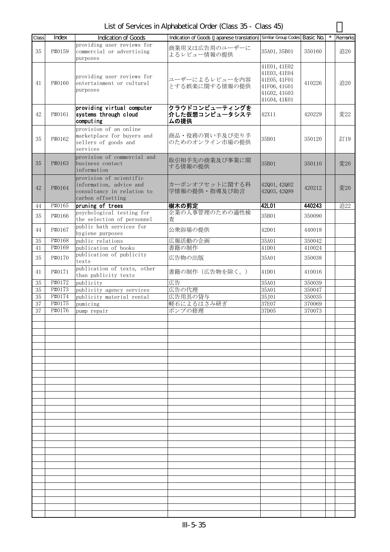List of Services in Alphabetical Order (Class 35 - Class 45)

| Class        | Index            | <b>Indication of Goods</b>                                                                            | Indication of Goods (Japanese translation) Similar Group Codes Basic No. |                                                                                              |                  | Remarks |
|--------------|------------------|-------------------------------------------------------------------------------------------------------|--------------------------------------------------------------------------|----------------------------------------------------------------------------------------------|------------------|---------|
| 35           | P#0159           | providing user reviews for<br>commercial or advertising<br>purposes                                   | 商業用又は広告用のユーザーに<br>よるレビュー情報の提供                                            | 35A01, 35B01                                                                                 | 350160           | 追20     |
| 41           | P#0160           | providing user reviews for<br>entertainment or cultural<br>purposes                                   | ユーザーによるレビューを内容<br>とする娯楽に関する情報の提供                                         | 41E01, 41E02<br>41E03, 41E04<br>41E05, 41F01<br>41F06, 41G01<br>41G02, 41G03<br>41G04, 41K01 | 410226           | 追20     |
| 42           | P#0161           | providing virtual computer<br>systems through cloud<br>computing                                      | クラウドコンピューティングを<br>介した仮想コンピュータシステ<br>ムの提供                                 | 42X11                                                                                        | 420229           | 変22     |
| 35           | P#0162           | provision of an online<br>marketplace for buyers and<br>sellers of goods and<br>services              | 商品・役務の買い手及び売り手<br>のためのオンライン市場の提供                                         | 35B01                                                                                        | 350120           | 訂19     |
| 35           | P#0163           | provision of commercial and<br>business contact<br>information                                        | 取引相手先の商業及び事業に関<br>する情報の提供                                                | 35B01                                                                                        | 350110           | 変20     |
| 42           | P#0164           | provision of scientific<br>information, advice and<br>consultancy in relation to<br>carbon offsetting | カーボンオフセットに関する科<br>学情報の提供・指導及び助言                                          | 42001, 42002<br>42Q03, 42Q99                                                                 | 420212           | 変20     |
| 44           | P#0165           | pruning of trees                                                                                      | 樹木の剪定                                                                    | 42L01                                                                                        | 440243           | 追22     |
| 35           | P#0166           | psychological testing for<br>the selection of personnel                                               | 企業の人事管理のための適性検<br>査                                                      | 35B01                                                                                        | 350090           |         |
| 44           | P#0167           | public bath services for<br>hygiene purposes                                                          | 公衆浴場の提供                                                                  | 42D01                                                                                        | 440018           |         |
| 35           | P#0168           | public relations                                                                                      | 広報活動の企画                                                                  | 35A01                                                                                        | 350042           |         |
| 41           | P#0169           | publication of books                                                                                  | 書籍の制作                                                                    | 41D01                                                                                        | 410024           |         |
| 35           | P#0170           | publication of publicity<br>texts                                                                     | 広告物の出版                                                                   | 35A01                                                                                        | 350038           |         |
| 41           | P#0171           | publication of texts, other<br>than publicity texts                                                   | 書籍の制作(広告物を除く。)                                                           | 41D01                                                                                        | 410016           |         |
| 35           | P#0172           | publicity                                                                                             | 広告                                                                       | 35A01                                                                                        | 350039           |         |
| $35\,$       | P#0173           | publicity agency services                                                                             | 広告の代理                                                                    | 35A01                                                                                        | 350047           |         |
| $35\,$       | P#0174<br>P#0175 | publicity material rental                                                                             | 広告用具の貸与                                                                  | 35J01                                                                                        | 350035<br>370069 |         |
| $37\,$<br>37 | P#0176           | pumicing<br>pump repair                                                                               | 軽石によるはさみ研ぎ<br>ポンプの修理                                                     | 37E07<br>37D05                                                                               | 370073           |         |
|              |                  |                                                                                                       |                                                                          |                                                                                              |                  |         |
|              |                  |                                                                                                       |                                                                          |                                                                                              |                  |         |
|              |                  |                                                                                                       |                                                                          |                                                                                              |                  |         |
|              |                  |                                                                                                       |                                                                          |                                                                                              |                  |         |
|              |                  |                                                                                                       |                                                                          |                                                                                              |                  |         |
|              |                  |                                                                                                       |                                                                          |                                                                                              |                  |         |
|              |                  |                                                                                                       |                                                                          |                                                                                              |                  |         |
|              |                  |                                                                                                       |                                                                          |                                                                                              |                  |         |
|              |                  |                                                                                                       |                                                                          |                                                                                              |                  |         |
|              |                  |                                                                                                       |                                                                          |                                                                                              |                  |         |
|              |                  |                                                                                                       |                                                                          |                                                                                              |                  |         |
|              |                  |                                                                                                       |                                                                          |                                                                                              |                  |         |
|              |                  |                                                                                                       |                                                                          |                                                                                              |                  |         |
|              |                  |                                                                                                       |                                                                          |                                                                                              |                  |         |
|              |                  |                                                                                                       |                                                                          |                                                                                              |                  |         |
|              |                  |                                                                                                       |                                                                          |                                                                                              |                  |         |
|              |                  |                                                                                                       |                                                                          |                                                                                              |                  |         |
|              |                  |                                                                                                       |                                                                          |                                                                                              |                  |         |
|              |                  |                                                                                                       |                                                                          |                                                                                              |                  |         |
|              |                  |                                                                                                       |                                                                          |                                                                                              |                  |         |
|              |                  |                                                                                                       |                                                                          |                                                                                              |                  |         |
|              |                  |                                                                                                       |                                                                          |                                                                                              |                  |         |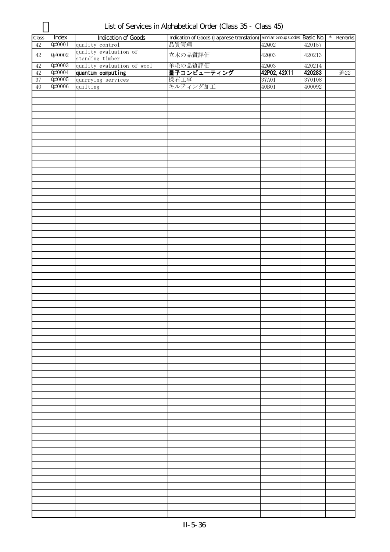| Class  | Index  | Indication of Goods        | Indication of Goods (Japanese translation) Similar Group Codes Basic No. |              |        | $\star$ | Remarks |
|--------|--------|----------------------------|--------------------------------------------------------------------------|--------------|--------|---------|---------|
| 42     | Q#0001 | quality control            | 品質管理                                                                     | 42Q02        | 420157 |         |         |
| $42\,$ | Q#0002 | quality evaluation of      | 立木の品質評価                                                                  | 42003        | 420213 |         |         |
|        |        | standing timber            |                                                                          |              |        |         |         |
| $42\,$ | Q#0003 | quality evaluation of wool |                                                                          | 42003        | 420214 |         |         |
| $42\,$ | Q#0004 | quantum computing          | 羊毛の品質評価 <br>  <b>量子コンピューティング </b><br> 採石工事                               | 42P02, 42X11 | 420283 |         | 追22     |
|        |        |                            |                                                                          |              |        |         |         |
| 37     | Q#0005 | quarrying services         |                                                                          | 37A01        | 370108 |         |         |
| $40\,$ | Q#0006 | quilting                   | キルティング加工                                                                 | 40B01        | 400092 |         |         |
|        |        |                            |                                                                          |              |        |         |         |
|        |        |                            |                                                                          |              |        |         |         |
|        |        |                            |                                                                          |              |        |         |         |
|        |        |                            |                                                                          |              |        |         |         |
|        |        |                            |                                                                          |              |        |         |         |
|        |        |                            |                                                                          |              |        |         |         |
|        |        |                            |                                                                          |              |        |         |         |
|        |        |                            |                                                                          |              |        |         |         |
|        |        |                            |                                                                          |              |        |         |         |
|        |        |                            |                                                                          |              |        |         |         |
|        |        |                            |                                                                          |              |        |         |         |
|        |        |                            |                                                                          |              |        |         |         |
|        |        |                            |                                                                          |              |        |         |         |
|        |        |                            |                                                                          |              |        |         |         |
|        |        |                            |                                                                          |              |        |         |         |
|        |        |                            |                                                                          |              |        |         |         |
|        |        |                            |                                                                          |              |        |         |         |
|        |        |                            |                                                                          |              |        |         |         |
|        |        |                            |                                                                          |              |        |         |         |
|        |        |                            |                                                                          |              |        |         |         |
|        |        |                            |                                                                          |              |        |         |         |
|        |        |                            |                                                                          |              |        |         |         |
|        |        |                            |                                                                          |              |        |         |         |
|        |        |                            |                                                                          |              |        |         |         |
|        |        |                            |                                                                          |              |        |         |         |
|        |        |                            |                                                                          |              |        |         |         |
|        |        |                            |                                                                          |              |        |         |         |
|        |        |                            |                                                                          |              |        |         |         |
|        |        |                            |                                                                          |              |        |         |         |
|        |        |                            |                                                                          |              |        |         |         |
|        |        |                            |                                                                          |              |        |         |         |
|        |        |                            |                                                                          |              |        |         |         |
|        |        |                            |                                                                          |              |        |         |         |
|        |        |                            |                                                                          |              |        |         |         |
|        |        |                            |                                                                          |              |        |         |         |
|        |        |                            |                                                                          |              |        |         |         |
|        |        |                            |                                                                          |              |        |         |         |
|        |        |                            |                                                                          |              |        |         |         |
|        |        |                            |                                                                          |              |        |         |         |
|        |        |                            |                                                                          |              |        |         |         |
|        |        |                            |                                                                          |              |        |         |         |
|        |        |                            |                                                                          |              |        |         |         |
|        |        |                            |                                                                          |              |        |         |         |
|        |        |                            |                                                                          |              |        |         |         |
|        |        |                            |                                                                          |              |        |         |         |
|        |        |                            |                                                                          |              |        |         |         |
|        |        |                            |                                                                          |              |        |         |         |
|        |        |                            |                                                                          |              |        |         |         |
|        |        |                            |                                                                          |              |        |         |         |
|        |        |                            |                                                                          |              |        |         |         |
|        |        |                            |                                                                          |              |        |         |         |
|        |        |                            |                                                                          |              |        |         |         |
|        |        |                            |                                                                          |              |        |         |         |
|        |        |                            |                                                                          |              |        |         |         |
|        |        |                            |                                                                          |              |        |         |         |
|        |        |                            |                                                                          |              |        |         |         |
|        |        |                            |                                                                          |              |        |         |         |
|        |        |                            |                                                                          |              |        |         |         |
|        |        |                            |                                                                          |              |        |         |         |
|        |        |                            |                                                                          |              |        |         |         |
|        |        |                            |                                                                          |              |        |         |         |
|        |        |                            |                                                                          |              |        |         |         |
|        |        |                            |                                                                          |              |        |         |         |
|        |        |                            |                                                                          |              |        |         |         |
|        |        |                            |                                                                          |              |        |         |         |
|        |        |                            |                                                                          |              |        |         |         |
|        |        |                            |                                                                          |              |        |         |         |
|        |        |                            |                                                                          |              |        |         |         |
|        |        |                            |                                                                          |              |        |         |         |
|        |        |                            |                                                                          |              |        |         |         |
|        |        |                            |                                                                          |              |        |         |         |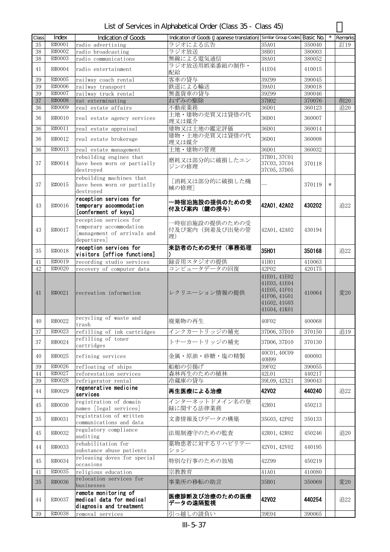| List of Services in Alphabetical Order (Class 35 - Class 45) |  |  |
|--------------------------------------------------------------|--|--|
|--------------------------------------------------------------|--|--|

| Class | Index  | <b>Indication of Goods</b>  | Indication of Goods (Japanese translation) Similar Group Codes Basic No. |              |        | $\star$ | Remarks |
|-------|--------|-----------------------------|--------------------------------------------------------------------------|--------------|--------|---------|---------|
| 35    | R#0001 | radio advertising           | ラジオによる広告                                                                 | 35A01        | 350040 |         | 訂19     |
| 38    | R#0002 | radio broadcasting          | ラジオ放送                                                                    | 38B01        | 380003 |         |         |
| 38    | R#0003 | radio communications        | 無線による電気通信                                                                | 38A01        | 380052 |         |         |
|       |        |                             | ラジオ放送用娯楽番組の制作・                                                           |              |        |         |         |
| 41    | R#0004 | radio entertainment         | 配給                                                                       | 41E04        | 410015 |         |         |
| 39    | R#0005 | railway coach rental        | 客車の貸与                                                                    | 39Z99        | 390045 |         |         |
| 39    | R#0006 | railway transport           | 鉄道による輸送                                                                  | 39A01        | 390018 |         |         |
| 39    | R#0007 | railway truck rental        | 無蓋貨車の貸与                                                                  | 39Z99        | 390046 |         |         |
| 37    | R#0008 | rat exterminating           | ねずみの駆除                                                                   | 37H02        | 370076 |         | 削20     |
| 36    | R#0009 | real estate affairs         | 不動産業務                                                                    | 36D01        | 360123 |         | 追20     |
|       |        |                             | 土地・建物の売買又は貸借の代                                                           |              |        |         |         |
| 36    | R#0010 | real estate agency services | 理又は媒介                                                                    | 36D01        | 360007 |         |         |
| 36    | R#0011 | real estate appraisal       | 建物又は土地の鑑定評価                                                              | 36D01        | 360014 |         |         |
|       |        |                             | 建物・土地の売買又は貸借の代                                                           |              |        |         |         |
| 36    | R#0012 | real estate brokerage       | 理又は媒介                                                                    | 36D01        | 360008 |         |         |
| 36    | R#0013 | real estate management      | 土地・建物の管理                                                                 | 36D01        | 360032 |         |         |
|       |        | rebuilding engines that     |                                                                          | 37B01, 37C01 |        |         |         |
| 37    | R#0014 | have been worn or partially | 磨耗又は部分的に破損したエン<br>ジンの修理                                                  | 37C03, 37C04 | 370118 |         |         |
|       |        | destroyed                   |                                                                          | 37C05, 37D05 |        |         |         |
|       |        | rebuilding machines that    |                                                                          |              |        |         |         |
| 37    | R#0015 | have been worn or partially | [消耗又は部分的に破損した機<br>械の修理]                                                  |              | 370119 | $\ast$  |         |
|       |        | destroyed                   |                                                                          |              |        |         |         |
|       |        | reception services for      | -時宿泊施設の提供のための受                                                           |              |        |         |         |
| 43    | R#0016 | temporary accommodation     | 付及び案内 (鍵の授与)                                                             | 42A01, 42A02 | 430202 |         | 追22     |
|       |        | [conferment of keys]        |                                                                          |              |        |         |         |
|       |        | reception services for      |                                                                          |              |        |         |         |
|       |        | temporary accommodation     | 一時宿泊施設の提供のための受                                                           |              |        |         |         |
| 43    | R#0017 | [management of arrivals and | 付及び案内(到着及び出発の管                                                           | 42A01, 42A02 | 430194 |         |         |
|       |        | departures]                 | 理)                                                                       |              |        |         |         |
|       |        | reception services for      | 来訪者のための受付(事務処理                                                           |              |        |         |         |
| 35    | R#0018 | visitors [office functions] |                                                                          | 35H01        | 350168 |         | 追22     |
| 41    | R#0019 | recording studio services   | 録音用スタジオの提供                                                               | 41H01        | 410063 |         |         |
| 42    | R#0020 | recovery of computer data   | コンピュータデータの回復                                                             | 42P02        | 420175 |         |         |
|       |        |                             |                                                                          | 41E01, 41E02 |        |         |         |
|       |        |                             |                                                                          | 41E03, 41E04 |        |         |         |
|       |        |                             |                                                                          | 41E05, 41F01 |        |         |         |
| 41    | R#0021 | recreation information      | レクリエーション情報の提供                                                            | 41F06, 41G01 | 410064 |         | 変20     |
|       |        |                             |                                                                          | 41602, 41603 |        |         |         |
|       |        |                             |                                                                          | 41G04, 41K01 |        |         |         |
|       |        | recycling of waste and      |                                                                          |              |        |         |         |
| 40    | R#0022 | trash                       | 廃棄物の再生                                                                   | 40F02        | 400068 |         |         |
| 37    | R#0023 | refilling of ink cartridges | インクカートリッジの補充                                                             | 37D06, 37D10 | 370150 |         | 追19     |
| 37    | R#0024 | refilling of toner          | トナーカートリッジの補充                                                             | 37D06, 37D10 | 370130 |         |         |
|       |        | cartridges                  |                                                                          |              |        |         |         |
| 40    | R#0025 | refining services           | 金属・原油・砂糖・塩の精製                                                            | 40C01, 40C09 | 400093 |         |         |
|       |        |                             |                                                                          | 40H99        |        |         |         |
| 39    | R#0026 | refloating of ships         | 船舶の引揚げ                                                                   | 39F02        | 390055 |         |         |
| 44    | R#0027 | reforestation services      | 森林再生のための植林                                                               | 42L01        | 440217 |         |         |
| 39    | R#0028 | refrigerator rental         | 冷蔵庫の貸与                                                                   | 39L09, 42X21 | 390043 |         |         |
| 44    | R#0029 | regenerative medicine       | 再生医療による治療                                                                | 42V02        | 440240 |         | 追22     |
|       |        | services                    |                                                                          |              |        |         |         |
| 45    | R#0030 | registration of domain      | インターネットドメイン名の登                                                           | 42R01        | 450213 |         |         |
|       |        | names [legal services]      | 録に関する法律業務                                                                |              |        |         |         |
| 35    | R#0031 | registration of written     | 文書情報及びデータの構築                                                             | 35G03, 42P02 | 350133 |         |         |
|       |        | communications and data     |                                                                          |              |        |         |         |
| 45    | R#0032 | regulatory compliance       | 法規制遵守のための監査                                                              | 42R01, 42R02 | 450246 |         | 追20     |
|       |        | auditing                    |                                                                          |              |        |         |         |
| 44    | R#0033 | rehabilitation for          | 薬物患者に対するリハビリテー                                                           | 42V01, 42V02 | 440195 |         |         |
|       |        | substance abuse patients    | ション                                                                      |              |        |         |         |
| 45    | R#0034 | releasing doves for special | 特別な行事のための放鳩                                                              | 42Z99        | 450219 |         |         |
|       |        | occasions                   |                                                                          |              |        |         |         |
| 41    | R#0035 | religious education         | 宗教教育                                                                     | 41A01        | 410080 |         |         |
| 35    | R#0036 | relocation services for     | 事業所の移転の助言                                                                | 35B01        | 350069 |         | 変20     |
|       |        | businesses                  |                                                                          |              |        |         |         |
|       |        | remote monitoring of        | 医療診断及び治療のための医療                                                           |              |        |         |         |
| 44    | R#0037 | medical data for medical    | データの遠隔監視                                                                 | 42V02        | 440254 |         | 追22     |
|       |        | diagnosis and treatment     |                                                                          |              |        |         |         |
| 39    | R#0038 | removal services            | 引っ越しの請負い                                                                 | 39E04        | 390065 |         |         |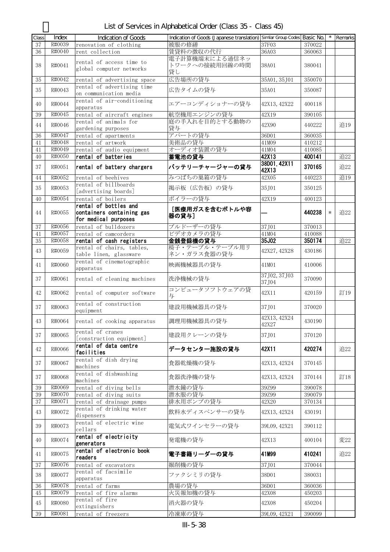List of Services in Alphabetical Order (Class 35 - Class 45)

| Class | Index  | <b>Indication of Goods</b>              | Indication of Goods (Japanese translation) Similar Group Codes Basic No. |                |        | $\star$ | Remarks |
|-------|--------|-----------------------------------------|--------------------------------------------------------------------------|----------------|--------|---------|---------|
| 37    | R#0039 | renovation of clothing                  | 被服の修繕                                                                    | 37F03          | 370022 |         |         |
| 36    | R#0040 | rent collection                         | 賃貸料の徴収の代行                                                                | 36A03          | 360063 |         |         |
|       |        |                                         | 電子計算機端末による通信ネッ                                                           |                |        |         |         |
| 38    | R#0041 | rental of access time to                | トワークへの接続用回線の時間                                                           | 38A01          | 380041 |         |         |
|       |        | global computer networks                | 貸し                                                                       |                |        |         |         |
| 35    | R#0042 | rental of advertising space             | 広告場所の貸与                                                                  | 35A01, 35J01   | 350070 |         |         |
|       |        | rental of advertising time              |                                                                          |                |        |         |         |
| 35    | R#0043 | on communication media                  | 広告タイムの貸与                                                                 | 35A01          | 350087 |         |         |
|       |        | rental of air-conditioning              |                                                                          |                |        |         |         |
| 40    | R#0044 | apparatus                               | エアーコンディショナーの貸与                                                           | 42X13, 42X22   | 400118 |         |         |
| 39    | R#0045 | rental of aircraft engines              | 航空機用エンジンの貸与                                                              | 42X19          | 390105 |         |         |
|       |        | rental of animals for                   | 庭の手入れを目的とする動物の                                                           |                |        |         |         |
| 44    | R#0046 | gardening purposes                      | 貸与                                                                       | 42X90          | 440222 |         | 追19     |
| 36    | R#0047 | rental of apartments                    | アパートの貸与                                                                  | 36D01          | 360035 |         |         |
| 41    | R#0048 | rental of artwork                       | 美術品の貸与                                                                   | 41M09          | 410212 |         |         |
| 41    | R#0049 | rental of audio equipment               | オーディオ装置の貸与                                                               | 41M04          | 410085 |         |         |
| 40    | R#0050 | rental of batteries                     | 蓄電池の貸与                                                                   | 42X13          | 400141 |         | 追22     |
|       |        |                                         |                                                                          | 38D01, 42X11   |        |         |         |
| 37    | R#0051 | rental of battery chargers              | バッテリーチャージャーの貸与                                                           | 42X13          | 370165 |         | 追22     |
| 44    | R#0052 | rental of beehives                      | みつばちの巣箱の貸与                                                               | 42X05          | 440223 |         | 追19     |
|       |        | rental of billboards                    |                                                                          |                |        |         |         |
| 35    | R#0053 | [advertising boards]                    | 掲示板 (広告板)の貸与                                                             | 35J01          | 350125 |         |         |
| 40    | R#0054 | rental of boilers                       | ボイラーの貸与                                                                  | 42X19          | 400123 |         |         |
|       |        | rental of bottles and                   |                                                                          |                |        |         |         |
| 44    | R#0055 | containers containing gas               | [医療用ガスを含むボトルや容                                                           |                | 440238 | $\ast$  | 追22     |
|       |        | for medical purposes                    | 器の貸与]                                                                    |                |        |         |         |
| 37    | R#0056 | rental of bulldozers                    | ブルドーザーの貸与                                                                | 37J01          | 370013 |         |         |
| 41    | R#0057 | rental of camcorders                    | ビデオカメラの貸与                                                                | 41M04          | 410088 |         |         |
| 35    | R#0058 | rental of cash registers                | 金銭登録機の貸与                                                                 | 35J02          | 350174 |         | 追22     |
|       |        | rental of chairs, tables,               | 椅子・テーブル・テーブル用リ                                                           |                |        |         |         |
| 43    | R#0059 | table linen, glassware                  | ネン・ガラス食器の貸与                                                              | 42X27, 42X28   | 430186 |         |         |
|       |        | rental of cinematographic               |                                                                          |                |        |         |         |
| 41    | R#0060 | apparatus                               | 映画機械器具の貸与                                                                | 41M01          | 410006 |         |         |
|       |        |                                         |                                                                          | 37J02, 37J03   |        |         |         |
| 37    | R#0061 | rental of cleaning machines             | 洗浄機械の貸与                                                                  | 37J04          | 370090 |         |         |
|       |        |                                         | コンピュータソフトウェアの貸                                                           |                |        |         |         |
| 42    | R#0062 | rental of computer software             | 与                                                                        | 42X11          | 420159 |         | 訂19     |
| 37    | R#0063 | rental of construction                  | 建設用機械器具の貸与                                                               |                |        |         |         |
|       |        | equipment                               |                                                                          | 37J01          | 370020 |         |         |
| 43    | R#0064 | rental of cooking apparatus             | 調理用機械器具の貸与                                                               | 42X13, 42X24   | 430190 |         |         |
|       |        |                                         |                                                                          | 42X27          |        |         |         |
| 37    | R#0065 | rental of cranes                        | 建設用クレーンの貸与                                                               | 37, J01        | 370120 |         |         |
|       |        | [construction equipment]                |                                                                          |                |        |         |         |
| 42    | R#0066 | rental of data centre                   | データセンター施設の貸与                                                             | 42X11          | 420274 |         | 追22     |
|       |        | facilities                              |                                                                          |                |        |         |         |
| 37    | R#0067 | rental of dish drying                   | 食器乾燥機の貸与                                                                 | 42X13, 42X24   | 370145 |         |         |
|       |        | machines                                |                                                                          |                |        |         |         |
| 37    | R#0068 | rental of dishwashing                   | 食器洗浄機の貸与                                                                 | 42X13, 42X24   | 370144 |         | 訂18     |
|       |        | machines                                |                                                                          |                |        |         |         |
| 39    | R#0069 | rental of diving bells                  | 潜水鐘の貸与                                                                   | 39Z99          | 390078 |         |         |
| 39    | R#0070 | rental of diving suits                  | 潜水服の貸与                                                                   | 39Z99          | 390079 |         |         |
| 37    | R#0071 | rental of drainage pumps                | 排水用ポンプの貸与                                                                | 42X20          | 370134 |         |         |
| 43    | R#0072 | rental of drinking water                | 飲料水ディスペンサーの貸与                                                            | 42X13, 42X24   | 430191 |         |         |
|       |        | dispensers                              |                                                                          |                |        |         |         |
| 39    | R#0073 | rental of electric wine                 | 電気式ワインセラーの貸与                                                             | 39L09, 42X21   | 390112 |         |         |
|       |        | cellars                                 |                                                                          |                |        |         |         |
| 40    | R#0074 | rental of electricity                   | 発電機の貸与                                                                   | 42X13          | 400104 |         | 変22     |
|       |        | generators                              |                                                                          |                |        |         |         |
| 41    | R#0075 | rental of electronic book               | 電子書籍リーダーの貸与                                                              | 41M99          | 410241 |         | 追22     |
|       |        | readers                                 |                                                                          |                |        |         |         |
| 37    | R#0076 | rental of excavators                    | 掘削機の貸与                                                                   | 37J01          | 370044 |         |         |
| 38    | R#0077 | rental of facsimile                     | ファクシミリの貸与                                                                | 38D01          | 380031 |         |         |
|       | R#0078 | apparatus                               | 農場の貸与                                                                    |                |        |         |         |
| 36    | R#0079 | rental of farms                         | 火災報知機の貸与                                                                 | 36D01<br>42X08 | 360036 |         |         |
| 45    |        | rental of fire alarms<br>rental of fire |                                                                          |                | 450203 |         |         |
| 45    | R#0080 | extinguishers                           | 消火器の貸与                                                                   | 42X08          | 450204 |         |         |
|       | R#0081 |                                         | 冷凍庫の貸与                                                                   |                |        |         |         |
| 39    |        | rental of freezers                      |                                                                          | 39L09, 42X21   | 390099 |         |         |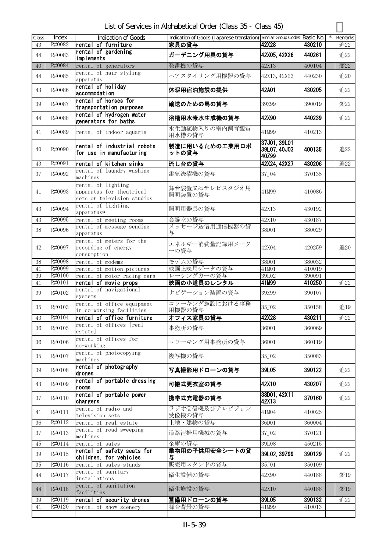List of Services in Alphabetical Order (Class 35 - Class 45)

| Class<br>43 | Index<br>R#0082  | Indication of Goods<br>rental of furniture                                   | Indication of Goods (Japanese translation) Similar Group Codes Basic No.<br>家具の貸与 | 42X28                                 | 430210           | Remarks<br>追22 |
|-------------|------------------|------------------------------------------------------------------------------|-----------------------------------------------------------------------------------|---------------------------------------|------------------|----------------|
| 44          | R#0083           | rental of gardening<br>implements                                            | ガーデニング用具の貸与                                                                       | 42X05, 42X26                          | 440261           | 追22            |
| 40          | R#0084           | rental of generators                                                         | 発電機の貸与                                                                            | 42X13                                 | 400104           | 変22            |
| 44          | R#0085           | rental of hair styling<br>apparatus                                          | ヘアスタイリング用機器の貸与                                                                    | 42X13, 42X23                          | 440230           | 追20            |
| 43          | R#0086           | rental of holiday<br>accommodation                                           | 休暇用宿泊施設の提供                                                                        | 42A01                                 | 430205           | 追22            |
| 39          | R#0087           | rental of horses for<br>transportation purposes                              | 輸送のための馬の貸与                                                                        | 39Z99                                 | 390019           | 変22            |
| 44          | R#0088           | rental of hydrogen water<br>generators for baths                             | 浴槽用水素水生成機の貸与                                                                      | 42X90                                 | 440239           | 追22            |
| 41          | R#0089           | rental of indoor aquaria                                                     | 水生動植物入りの室内飼育観賞<br>用水槽の貸与                                                          | 41M99                                 | 410213           |                |
| 40          | R#0090           | rental of industrial robots<br>for use in manufacturing                      | 製造に用いるための工業用ロボ<br>ットの貸与                                                           | 37J01, 39L01<br>39L07, 40J03<br>40Z99 | 400135           | 追22            |
| 43          | R#0091           | rental of kitchen sinks                                                      | 流し台の貸与                                                                            | 42X24, 42X27                          | 430206           | 追22            |
| 37          | R#0092           | rental of laundry washing<br>machines                                        | 電気洗濯機の貸与                                                                          | 37J04                                 | 370135           |                |
| 41          | R#0093           | rental of lighting<br>apparatus for theatrical<br>sets or television studios | 舞台装置又はテレビスタジオ用<br>照明装置の貸与                                                         | 41M99                                 | 410086           |                |
| 43          | R#0094           | rental of lighting<br>apparatus*                                             | 照明用器具の貸与                                                                          | 42X13                                 | 430192           |                |
| 43          | R#0095           | rental of meeting rooms                                                      | 会議室の貸与                                                                            | 42X10                                 | 430187           |                |
| 38          | R#0096           | rental of message sending<br>apparatus                                       | メッセージ送信用通信機器の貸<br>与                                                               | 38D01                                 | 380029           |                |
| 42          | R#0097           | rental of meters for the<br>recording of energy<br>consumption               | エネルギー消費量記録用メータ<br>ーの貸与                                                            | 42X04                                 | 420259           | 追20            |
| 38          | R#0098           | rental of modems                                                             | モデムの貸与                                                                            | 38D01                                 | 380032           |                |
| 41          | R#0099           | rental of motion pictures                                                    | 映画上映用データの貸与                                                                       | 41M01                                 | 410019           |                |
| 39          | R#0100           | rental of motor racing cars                                                  | レーシングカーの貸与                                                                        | 39L02                                 | 390091           |                |
| 41<br>39    | R#0101<br>R#0102 | rental of movie props<br>rental of navigational<br>systems                   | 映画の小道具のレンタル<br>ナビゲーション装置の貸与                                                       | 41M99<br>39Z99                        | 410250<br>390107 | 追22            |
| 35          | R#0103           | rental of office equipment<br>in co-working facilities                       | コワーキング施設における事務<br>用機器の貸与                                                          | 35J02                                 | 350158           | 追19            |
| 43          | R#0104           | rental of office furniture                                                   | オフィス家具の貸与                                                                         | 42X28                                 | 430211           | 追22            |
| 36          | R#0105           | rental of offices [real<br>estate                                            | 事務所の貸与                                                                            | 36D01                                 | 360069           |                |
| 36          | R#0106           | rental of offices for<br>co-working                                          | コワーキング用事務所の貸与                                                                     | 36D01                                 | 360119           |                |
| 35          | R#0107           | rental of photocopying<br>machines                                           | 複写機の貸与                                                                            | 35J02                                 | 350083           |                |
| 39          | R#0108           | rental of photography<br>drones                                              | 写真撮影用ドローンの貸与                                                                      | 39L05                                 | 390122           | 追22            |
| 43          | R#0109           | rental of portable dressing<br>rooms                                         | 可搬式更衣室の貸与                                                                         | 42X10                                 | 430207           | 追22            |
| 37          | R#0110           | rental of portable power<br>chargers                                         | 携帯式充電器の貸与                                                                         | 38D01, 42X11<br>42X13                 | 370160           | 追22            |
| 41          | R#0111           | rental of radio and<br>television sets                                       | ラジオ受信機及びテレビジョン<br>受像機の貸与                                                          | 41M04                                 | 410025           |                |
| 36          | R#0112           | rental of real estate                                                        | 土地・建物の貸与                                                                          | 36D01                                 | 360004           |                |
| 37          | R#0113           | rental of road sweeping<br>machines                                          | 道路清掃用機械の貸与                                                                        | 37, J02                               | 370121           |                |
| 45          | R#0114           | rental of safes                                                              | 金庫の貸与                                                                             | 39L08                                 | 450215           |                |
| 39          | R#0115           | rental of safety seats for<br>children, for vehicles                         | 乗物用の子供用安全シートの貸<br>与                                                               | 39L02, 39Z99                          | 390129           | 追22            |
| 35          | R#0116           | rental of sales stands                                                       | 販売用スタンドの貸与                                                                        | 35J01                                 | 350109           |                |
| 44          | R#0117           | rental of sanitary<br>installations                                          | 衛生設備の貸与                                                                           | 42X90                                 | 440188           | 変19            |
| 44          | R#0118           | rental of sanitation<br>facilities                                           | 衛生施設の貸与                                                                           | 42X10                                 | 440188           | 変19            |
| 39<br>41    | R#0119<br>R#0120 | rental of security drones<br>rental of show scenery                          | 警備用ドローンの貸与<br>舞台背景の貸与                                                             | 39L05<br>41M99                        | 390132<br>410013 | 追22            |
|             |                  |                                                                              |                                                                                   |                                       |                  |                |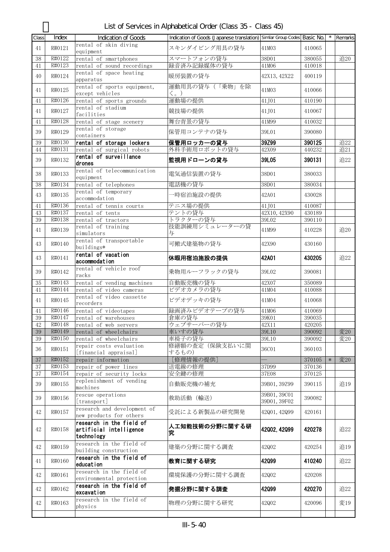List of Services in Alphabetical Order (Class 35 - Class 45)

| Class        | Index            | <b>Indication of Goods</b>                            | Indication of Goods (Japanese translation) Similar Group Codes Basic No. |                              |                  |        | Remarks    |
|--------------|------------------|-------------------------------------------------------|--------------------------------------------------------------------------|------------------------------|------------------|--------|------------|
| 41           | R#0121           | rental of skin diving<br>equipment                    | スキンダイビング用具の貸与                                                            | 41M03                        | 410065           |        |            |
| 38<br>41     | R#0122<br>R#0123 | rental of smartphones<br>rental of sound recordings   | スマートフォンの貸与<br>録音済み記録媒体の貸与                                                | 38D01<br>41M06               | 380055<br>410018 |        | 追20        |
| 40           | R#0124           | rental of space heating<br>apparatus                  | 暖房装置の貸与                                                                  | 42X13, 42X22                 | 400119           |        |            |
| 41           | R#0125           | rental of sports equipment,                           | 運動用具の貸与(「乗物」を除                                                           | 41M03                        | 410066           |        |            |
| 41           | R#0126           | except vehicles<br>rental of sports grounds           | く。)<br>運動場の提供                                                            | 41J01                        | 410190           |        |            |
| 41           | R#0127           | rental of stadium<br>facilities                       | 競技場の提供                                                                   | 41J01                        | 410067           |        |            |
| 41           | R#0128           | rental of stage scenery                               | 舞台背景の貸与                                                                  | 41M99                        | 410032           |        |            |
| 39           | R#0129           | rental of storage<br>containers                       | 保管用コンテナの貸与                                                               | 39L01                        | 390080           |        |            |
| 39           | R#0130           | rental of storage lockers                             | 保管用ロッカーの貸与                                                               | 39Z99                        | 390125           |        | 追22        |
| 44<br>39     | R#0131<br>R#0132 | rental of surgical robots<br>rental of surveillance   | 外科手術用ロボットの貸与<br>監視用ドローンの貸与                                               | 42X09<br>39L05               | 440232<br>390131 |        | 追21<br>追22 |
|              |                  | drones<br>rental of telecommunication                 |                                                                          |                              |                  |        |            |
| 38           | R#0133           | equipment                                             | 電気通信装置の貸与                                                                | 38D01                        | 380033           |        |            |
| 38           | R#0134           | rental of telephones<br>rental of temporary           | 電話機の貸与                                                                   | 38D01                        | 380034           |        |            |
| 43           | R#0135           | accommodation                                         | ·時宿泊施設の提供                                                                | 42A01                        | 430028           |        |            |
| 41           | R#0136           | rental of tennis courts                               | テニス場の提供                                                                  | 41J01                        | 410087           |        |            |
| 43<br>39     | R#0137<br>R#0138 | rental of tents<br>rental of tractors                 | テントの貸与<br>トラクターの貸与                                                       | 42X10, 42X90<br>39L02        | 430189<br>390110 |        |            |
| 41           | R#0139           | rental of training<br>simulators                      | 技能訓練用シミュレーターの貸                                                           | 41M99                        | 410228           |        | 追20        |
| 43           | R#0140           | rental of transportable<br>buildings*                 | 与<br>可搬式建築物の貸与                                                           | 42X90                        | 430160           |        |            |
| 43           | R#0141           | rental of vacation                                    | 休暇用宿泊施設の提供                                                               | 42A01                        | 430205           |        | 追22        |
|              |                  | accommodation<br>rental of vehicle roof               |                                                                          |                              |                  |        |            |
| 39           | R#0142           | racks                                                 | 乗物用ルーフラックの貸与                                                             | 39L02                        | 390081           |        |            |
| 35<br>41     | R#0143<br>R#0144 | rental of vending machines<br>rental of video cameras | 自動販売機の貸与<br>ビデオカメラの貸与                                                    | 42X07<br>41M04               | 350089<br>410088 |        |            |
| 41           | R#0145           | rental of video cassette<br>recorders                 | ビデオデッキの貸与                                                                | 41M04                        | 410068           |        |            |
| 41           | R#0146           | rental of videotapes                                  | 録画済みビデオテープの貸与                                                            | 41M06                        | 410069           |        |            |
| 39<br>$42\,$ | R#0147<br>R#0148 | rental of warehouses<br>rental of web servers         | 倉庫の貸与<br>ウェブサーバーの貸与                                                      | 39K01<br>42X11               | 390035<br>420205 |        |            |
| 39           | R#0149           | rental of wheelchairs                                 | 車いすの貸与                                                                   | 39L10                        | 390092           |        | 変20        |
| 39           | R#0150           | rental of wheelchairs                                 | 車椅子の貸与                                                                   | 39L10                        | 390092           |        | 変20        |
| 36           | R#0151           | repair costs evaluation<br>[financial appraisal]      | 修繕額の査定(保険支払いに関<br>するもの)                                                  | 36C01                        | 360103           |        |            |
| $37\,$       | R#0152           | repair information                                    | [修理情報の提供]                                                                |                              | 370105           | $\ast$ | 変20        |
| 37<br>37     | R#0153<br>R#0154 | repair of power lines                                 | 送電線の修理<br>安全鍵の修理                                                         | 37D99<br>37E08               | 370136           |        |            |
| 39           | R#0155           | repair of security locks<br>replenishment of vending  | 自動販売機の補充                                                                 | 39B01, 39Z99                 | 370125<br>390115 |        | 追19        |
| 39           | R#0156           | machines<br>rescue operations                         | 救助活動 (輸送)                                                                | 39B01, 39C01                 | 390082           |        |            |
| 42           | R#0157           | [transport]<br>research and development of            | 受託による新製品の研究開発                                                            | 39D01, 39F02<br>42001, 42099 | 420161           |        |            |
|              |                  | new products for others<br>research in the field of   |                                                                          |                              |                  |        |            |
| 42           | R#0158           | artificial intelligence<br>technology                 | 人工知能技術の分野に関する研<br>究                                                      | 42002, 42099                 | 420278           |        | 追22        |
| 42           | R#0159           | research in the field of<br>building construction     | 建築の分野に関する調査                                                              | 42Q02                        | 420254           |        | 追19        |
| 41           | R#0160           | research in the field of<br>education                 | 教育に関する研究                                                                 | 42099                        | 410240           |        | 追22        |
| 42           | R#0161           | research in the field of<br>environmental protection  | 環境保護の分野に関する調査                                                            | 42Q02                        | 420208           |        |            |
| 42           | R#0162           | research in the field of<br>excavation                | 発掘分野に関する調査                                                               | 42099                        | 420270           |        | 追22        |
| $42\,$       | R#0163           | research in the field of<br>physics                   | 物理の分野に関する研究                                                              | 42Q02                        | 420096           |        | 変19        |
|              |                  |                                                       |                                                                          |                              |                  |        |            |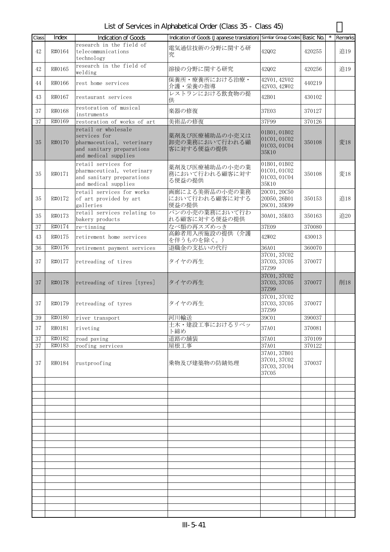List of Services in Alphabetical Order (Class 35 - Class 45)

| Class  | Index  | <b>Indication of Goods</b>                                                                                             | Indication of Goods (Japanese translation) Similar Group Codes Basic No. |                                                       |        | Remarks |
|--------|--------|------------------------------------------------------------------------------------------------------------------------|--------------------------------------------------------------------------|-------------------------------------------------------|--------|---------|
| 42     | R#0164 | research in the field of<br>telecommunications<br>technology                                                           | 電気通信技術の分野に関する研<br>究                                                      | 42Q02                                                 | 420255 | 追19     |
| 42     | R#0165 | research in the field of<br>welding                                                                                    | 溶接の分野に関する研究                                                              | 42Q02                                                 | 420256 | 追19     |
| 44     | R#0166 | rest home services                                                                                                     | 保養所・療養所における治療・<br>介護・栄養の指導                                               | 42V01, 42V02<br>42V03, 42W02                          | 440219 |         |
| 43     | R#0167 | restaurant services                                                                                                    | レストランにおける飲食物の提<br>供                                                      | 42B01                                                 | 430102 |         |
| 37     | R#0168 | restoration of musical<br>instruments                                                                                  | 楽器の修復                                                                    | 37E03                                                 | 370127 |         |
| 37     | R#0169 | restoration of works of art                                                                                            | 美術品の修復                                                                   | 37F99                                                 | 370126 |         |
| 35     | R#0170 | retail or wholesale<br>services for<br>pharmaceutical, veterinary<br>and sanitary preparations<br>and medical supplies | 薬剤及び医療補助品の小売又は<br>卸売の業務において行われる顧<br>客に対する便益の提供                           | 01B01, 01B02<br>01C01, 01C02<br>01C03, 01C04<br>35K10 | 350108 | 変18     |
| 35     | R#0171 | retail services for<br>pharmaceutical, veterinary<br>and sanitary preparations<br>and medical supplies                 | 薬剤及び医療補助品の小売の業<br>務において行われる顧客に対す<br>る便益の提供                               | 01B01, 01B02<br>01C01, 01C02<br>01C03, 01C04<br>35K10 | 350108 | 変18     |
| 35     | R#0172 | retail services for works<br>of art provided by art<br>galleries                                                       | 画廊による美術品の小売の業務<br>において行われる顧客に対する<br>便益の提供                                | 20C01, 20C50<br>20D50, 26B01<br>26C01, 35K99          | 350153 | 追18     |
| 35     | R#0173 | retail services relating to<br>bakery products                                                                         | パンの小売の業務において行わ<br>れる顧客に対する便益の提供                                          | 30A01, 35K03                                          | 350163 | 追20     |
| 37     | R#0174 | re-tinning                                                                                                             | なべ類の再スズめっき                                                               | 37E09                                                 | 370080 |         |
| 43     | R#0175 | retirement home services                                                                                               | 高齢者用入所施設の提供(介護<br>を伴うものを除く。)                                             | 42W02                                                 | 430013 |         |
| 36     | R#0176 | retirement payment services                                                                                            | 退職金の支払いの代行                                                               | 36A01                                                 | 360070 |         |
| 37     | R#0177 | retreading of tires                                                                                                    | タイヤの再生                                                                   | 37C01, 37C02<br>37C03, 37C05<br>37Z99                 | 370077 |         |
| 37     | R#0178 | retreading of tires [tyres]                                                                                            | タイヤの再生                                                                   | 37C01, 37C02<br>37C03, 37C05<br>37Z99                 | 370077 | 削18     |
| 37     | R#0179 | retreading of tyres                                                                                                    | タイヤの再生                                                                   | 37C01, 37C02<br>37C03, 37C05<br>37Z99                 | 370077 |         |
| $39\,$ | R#0180 | river transport                                                                                                        | 河川輸送                                                                     | 39C01                                                 | 390037 |         |
| 37     | R#0181 | riveting                                                                                                               | 土木・建設工事におけるリベッ<br>ト締め                                                    | 37A01                                                 | 370081 |         |
| 37     | R#0182 | road paving                                                                                                            | 道路の舗装                                                                    | 37A01                                                 | 370109 |         |
| 37     | R#0183 | roofing services                                                                                                       | 屋根工事                                                                     | 37A01                                                 | 370122 |         |
| 37     | R#0184 | rustproofing                                                                                                           | 乗物及び建築物の防錆処理                                                             | 37A01, 37B01<br>37C01, 37C02<br>37C03, 37C04<br>37C05 | 370037 |         |
|        |        |                                                                                                                        |                                                                          |                                                       |        |         |
|        |        |                                                                                                                        |                                                                          |                                                       |        |         |
|        |        |                                                                                                                        |                                                                          |                                                       |        |         |
|        |        |                                                                                                                        |                                                                          |                                                       |        |         |
|        |        |                                                                                                                        |                                                                          |                                                       |        |         |
|        |        |                                                                                                                        |                                                                          |                                                       |        |         |
|        |        |                                                                                                                        |                                                                          |                                                       |        |         |
|        |        |                                                                                                                        |                                                                          |                                                       |        |         |
|        |        |                                                                                                                        |                                                                          |                                                       |        |         |
|        |        |                                                                                                                        |                                                                          |                                                       |        |         |
|        |        |                                                                                                                        |                                                                          |                                                       |        |         |
|        |        |                                                                                                                        |                                                                          |                                                       |        |         |
|        |        |                                                                                                                        |                                                                          |                                                       |        |         |
|        |        |                                                                                                                        |                                                                          |                                                       |        |         |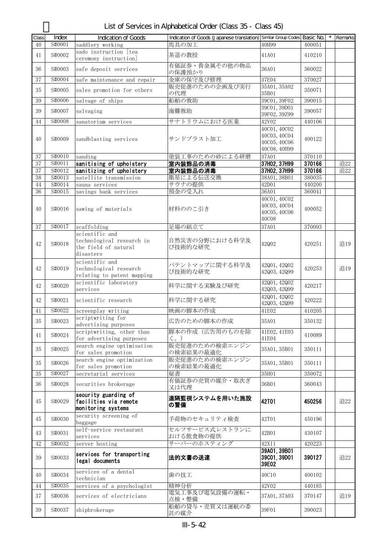| Class  | Index   | <b>Indication of Goods</b>                                             | Indication of Goods (Japanese translation) Similar Group Codes Basic No. |                                                              |        | Remarks |
|--------|---------|------------------------------------------------------------------------|--------------------------------------------------------------------------|--------------------------------------------------------------|--------|---------|
| 40     | S#0001  | saddlery working                                                       | 馬具の加工                                                                    | 40H99                                                        | 400051 |         |
| 41     | S#0002  | sado instruction [tea<br>ceremony instruction]                         | 茶道の教授                                                                    | 41A01                                                        | 410210 |         |
| 36     | S#0003  | safe deposit services                                                  | 有価証券・貴金属その他の物品<br>の保護預かり                                                 | 36A01                                                        | 360022 |         |
| 37     | S#0004  | safe maintenance and repair                                            | 金庫の保守及び修理                                                                | 37E04                                                        | 370027 |         |
| 35     | S#0005  | sales promotion for others                                             | 販売促進のための企画及び実行<br>の代理                                                    | 35A01, 35A02<br>35B01                                        | 350071 |         |
| 39     | S#0006  | salvage of ships                                                       | 船舶の救助                                                                    | 39C01, 39F02                                                 | 390015 |         |
| 39     | S#0007  | salvaging                                                              | 海難救助                                                                     | 39C01, 39D01<br>39F02, 39Z99                                 | 390057 |         |
| 44     | S#0008  | sanatorium services                                                    | サナトリウムにおける医業                                                             | 42V02                                                        | 440106 |         |
| 40     | S#0009  | sandblasting services                                                  | サンドブラスト加工                                                                | 40C01, 40C02<br>40C03, 40C04<br>40C05, 40C06<br>40C08, 40H99 | 400122 |         |
| 37     | S#0010  | sanding                                                                | 塗装工事のための砂による研磨                                                           | 37A01                                                        | 370110 |         |
| 37     | \$#0011 | sanitising of upholstery                                               | 室内装飾品の消毒                                                                 | 37H02, 37H99                                                 | 370166 | 追22     |
| 37     | S#0012  | sanitizing of upholstery                                               | 室内装飾品の消毒                                                                 | 37H02, 37H99                                                 | 370166 | 追22     |
| 38     | S#0013  | satellite transmission                                                 | 衛星による伝送交換                                                                | 38A01, 38B01                                                 | 380035 |         |
| 44     | S#0014  | sauna services                                                         | サウナの提供                                                                   | 42D01                                                        | 440200 |         |
| 36     | S#0015  | savings bank services                                                  | 預金の受入れ                                                                   | 36A01                                                        | 360041 |         |
| 40     | S#0016  | sawing of materials                                                    | 材料ののこ引き                                                                  | 40C01, 40C02<br>40C03, 40C04<br>40C05, 40C06<br><b>40C08</b> | 400052 |         |
| 37     | S#0017  | scaffolding<br>scientific and                                          | 足場の組立て                                                                   | 37A01                                                        | 370093 |         |
| 42     | S#0018  | technological research in<br>the field of natural<br>disasters         | 自然災害の分野における科学及<br>び技術的な研究                                                | 42Q02                                                        | 420251 | 追19     |
| 42     | S#0019  | scientific and<br>technological research<br>relating to patent mapping | パテントマップに関する科学及<br>び技術的な研究                                                | 42001, 42002<br>42Q03, 42Q99                                 | 420253 | 追19     |
| 42     | S#0020  | scientific laboratory<br>services                                      | 科学に関する実験及び研究                                                             | 42Q01, 42Q02<br>42Q03, 42Q99                                 | 420217 |         |
| 42     | S#0021  | scientific research                                                    | 科学に関する研究                                                                 | 42001, 42002<br>42Q03, 42Q99                                 | 420222 |         |
| 41     | S#0022  | screenplay writing                                                     | 映画の脚本の作成                                                                 | 41E02                                                        | 410205 |         |
| 35     | S#0023  | scriptwriting for<br>advertising purposes                              | 広告のための脚本の作成                                                              | 35A01                                                        | 350132 |         |
| 41     | S#0024  | scriptwriting, other than<br>for advertising purposes                  | 脚本の作成(広告用のものを除<br>$\langle \, \rangle$                                   | 41E02, 41E03<br>41E04                                        | 410089 |         |
| 35     | S#0025  | search engine optimisation<br>for sales promotion                      | 販売促進のための検索エンジン<br>の検索結果の最適化                                              | 35A01, 35B01                                                 | 350111 |         |
| 35     | S#0026  | search engine optimization<br>for sales promotion                      | 販売促進のための検索エンジン<br>の検索結果の最適化                                              | 35A01, 35B01                                                 | 350111 |         |
| $35\,$ | S#0027  | secretarial services                                                   | 秘書                                                                       | 35H01                                                        | 350072 |         |
| 36     | S#0028  | securities brokerage                                                   | 有価証券の売買の媒介・取次ぎ<br>又は代理                                                   | 36B01                                                        | 360043 |         |
| 45     | S#0029  | security guarding of<br>facilities via remote<br>monitoring systems    | 遠隔監視システムを用いた施設<br>の警備                                                    | 42T01                                                        | 450256 | 追22     |
| 45     | S#0030  | security screening of<br>baggage                                       | 手荷物のセキュリティ検査                                                             | 42T01                                                        | 450196 |         |
| 43     | S#0031  | self-service restaurant<br>services                                    | セルフサービス式レストランに<br>おける飲食物の提供                                              | 42B01                                                        | 430107 |         |
| 42     | S#0032  | server hosting                                                         | サーバーのホスティング                                                              | 42X11                                                        | 420223 |         |
| 39     | S#0033  | services for transporting<br>legal documents                           | 法的文書の送達                                                                  | 39A01, 39B01<br>39C01, 39D01<br>39E02                        | 390127 | 追22     |
| 40     | S#0034  | services of a dental<br>technician                                     | 歯の技工                                                                     | 40C10                                                        | 400102 |         |
| 44     | S#0035  | services of a psychologist                                             | 精神分析                                                                     | 42V02                                                        | 440185 |         |
| 37     | S#0036  | services of electricians                                               | 電気工事及び電気設備の運転・<br>点検・整備                                                  | 37A01, 37A03                                                 | 370147 | 追19     |
| 39     | S#0037  | shipbrokerage                                                          | 船舶の貸与・売買又は運航の委<br>託の媒介                                                   | 39F01                                                        | 390023 |         |

| List of Services in Alphabetical Order (Class 35 - Class 45) |  |
|--------------------------------------------------------------|--|
|--------------------------------------------------------------|--|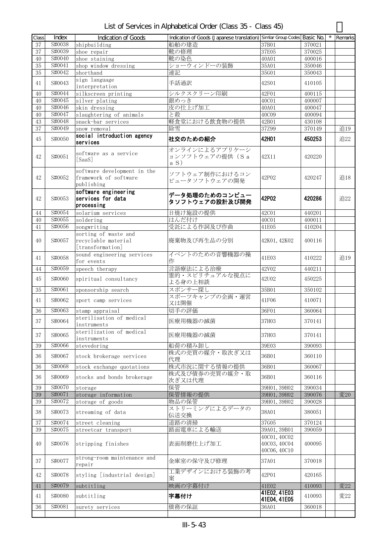| List of Services in Alphabetical Order (Class 35 - Class 45) |
|--------------------------------------------------------------|
|--------------------------------------------------------------|

| Class           | Index            | Indication of Goods                           | Indication of Goods (Japanese translation) Similar Group Codes Basic No. |                              |                  | Remarks |
|-----------------|------------------|-----------------------------------------------|--------------------------------------------------------------------------|------------------------------|------------------|---------|
| 37              | S#0038           | shipbuilding                                  | 船舶の建造                                                                    | 37B01                        | 370021           |         |
| 37              | S#0039           | shoe repair                                   | 靴の修理                                                                     | 37E05                        | 370025           |         |
| 40              | S#0040           | shoe staining                                 | 靴の染色                                                                     | 40A01                        | 400016           |         |
| $\overline{35}$ | S#0041           | shop window dressing                          | ショーウィンドーの装飾                                                              | 35A01                        | 350046           |         |
| 35              | S#0042           | shorthand                                     | 速記                                                                       | 35G01                        | 350043           |         |
| 41              | S#0043           | sign language                                 | 手話通訳                                                                     | 42S01                        | 410105           |         |
|                 |                  | interpretation                                |                                                                          |                              |                  |         |
| 40              | S#0044           | silkscreen printing                           | シルクスクリーン印刷                                                               | 42F01                        | 400115           |         |
| 40              | S#0045           | silver plating                                | 銀めっき                                                                     | 40C01                        | 400007           |         |
| 40              | S#0046<br>S#0047 | skin dressing                                 | 皮の仕上げ加工                                                                  | 40A01                        | 400047           |         |
| 40<br>43        | S#0048           | slaughtering of animals<br>snack-bar services | と殺<br>軽食堂における飲食物の提供                                                      | 40C09<br>42B01               | 400094<br>430108 |         |
| 37              | S#0049           | snow removal                                  | 除雪                                                                       | 37Z99                        | 370149           | 追19     |
|                 |                  | social introduction agency                    |                                                                          |                              |                  |         |
| 45              | S#0050           | services                                      | 社交のための紹介                                                                 | 42H01                        | 450253           | 追22     |
|                 |                  |                                               | オンラインによるアプリケーシ                                                           |                              |                  |         |
| 42              | S#0051           | software as a service<br>[SaaS]               | ョンソフトウェアの提供 (Sa                                                          | 42X11                        | 420220           |         |
|                 |                  |                                               | a S)                                                                     |                              |                  |         |
|                 |                  | software development in the                   | ソフトウェア制作におけるコン                                                           |                              |                  |         |
| 42              | S#0052           | framework of software                         | ピュータソフトウェアの開発                                                            | 42P02                        | 420247           | 追18     |
|                 |                  | publishing                                    |                                                                          |                              |                  |         |
|                 |                  | software engineering                          | データ処理のためのコンピュー                                                           |                              |                  |         |
| 42              | S#0053           | services for data                             | タソフトウェアの設計及び開発                                                           | 42P02                        | 420286           | 追22     |
|                 | S#0054           | processing                                    | 日焼け施設の提供                                                                 |                              |                  |         |
| 44<br>40        | S#0055           | solarium services<br>soldering                | はんだ付け                                                                    | 42C01<br>40C01               | 440201<br>400011 |         |
| 41              | S#0056           | songwriting                                   | 受託による作詞及び作曲                                                              | 41E05                        | 410204           |         |
|                 |                  | sorting of waste and                          |                                                                          |                              |                  |         |
| 40              | S#0057           | recyclable material                           | 廃棄物及び再生品の分別                                                              | 42K01, 42K02                 | 400116           |         |
|                 |                  | [transformation]                              |                                                                          |                              |                  |         |
| 41              | S#0058           | sound engineering services                    | イベントのための音響機器の操                                                           | 41E03                        | 410222           | 追19     |
|                 |                  | for events                                    | 作                                                                        |                              |                  |         |
| 44              | S#0059           | speech therapy                                | 言語療法による治療                                                                | 42V02                        | 440211           |         |
| 45              | S#0060           | spiritual consultancy                         | 霊的・スピリチュアルな視点に                                                           | 42U02                        | 450225           |         |
|                 | S#0061           |                                               | よる身の上相談<br>スポンサー探し                                                       |                              |                  |         |
| 35              |                  | sponsorship search                            | スポーツキャンプの企画・運営                                                           | 35B01                        | 350102           |         |
| 41              | S#0062           | sport camp services                           | 又は開催                                                                     | 41F06                        | 410071           |         |
| 36              | S#0063           | stamp appraisal                               | 切手の評価                                                                    | 36F01                        | 360064           |         |
|                 |                  | sterilisation of medical                      | 医療用機器の滅菌                                                                 |                              | 370141           |         |
| 37              | S#0064           | instruments                                   |                                                                          | 37H03                        |                  |         |
| 37              | S#0065           | sterilization of medical                      | 医療用機器の滅菌                                                                 | 37H03                        | 370141           |         |
|                 |                  | instruments                                   |                                                                          |                              |                  |         |
| 39              | S#0066           | stevedoring                                   | 船荷の積み卸し                                                                  | 39E03                        | 390093           |         |
| 36              | S#0067           | stock brokerage services                      | 株式の売買の媒介・取次ぎ又は                                                           | 36B01                        | 360110           |         |
|                 |                  |                                               | 代理                                                                       |                              |                  |         |
| 36              | S#0068           | stock exchange quotations                     | 株式市況に関する情報の提供<br>株式及び債券の売買の媒介・取                                          | 36B01                        | 360067           |         |
| 36              | S#0069           | stocks and bonds brokerage                    | 次ぎ又は代理                                                                   | 36B01                        | 360116           |         |
| 39              | S#0070           | storage                                       | 保管                                                                       | 39H01, 39H02                 | 390034           |         |
| 39              | S#0071           | storage information                           | 保管情報の提供                                                                  | 39H01, 39H02                 | 390076           | 変20     |
| 39              | S#0072           | storage of goods                              | 物品の保管                                                                    | 39H01, 39H02                 | 390028           |         |
| 38              | S#0073           |                                               | ストリーミングによるデータの                                                           | 38A01                        | 380051           |         |
|                 |                  | streaming of data                             | 伝送交換                                                                     |                              |                  |         |
| 37              | S#0074           | street cleaning                               | 道路の清掃                                                                    | 37G05                        | 370124           |         |
| 39              | S#0075           | streetcar transport                           | 路面電車による輸送                                                                | 39A01, 39B01                 | 390059           |         |
|                 |                  |                                               |                                                                          | 40C01, 40C02                 |                  |         |
| 40              | S#0076           | stripping finishes                            | 表面削磨仕上げ加工                                                                | 40C03, 40C04<br>40C06, 40C10 | 400095           |         |
|                 |                  |                                               |                                                                          |                              |                  |         |
| 37              | S#0077           | strong-room maintenance and<br>repair         | 金庫室の保守及び修理                                                               | 37A01                        | 370018           |         |
|                 |                  |                                               | 工業デザインにおける装飾の考                                                           |                              |                  |         |
| 42              | S#0078           | styling [industrial design]                   | 案                                                                        | 42P01                        | 420165           |         |
| $41\,$          | S#0079           | subtitling                                    | 映画の字幕付け                                                                  | 41E02                        | 410093           | 変22     |
|                 |                  |                                               |                                                                          | 41E02, 41E03                 |                  |         |
| 41              | S#0080           | subtitling                                    | 字幕付け                                                                     | 41E04, 41E05                 | 410093           | 変22     |
| 36              | S#0081           | surety services                               | 債務の保証                                                                    | 36A01                        | 360018           |         |
|                 |                  |                                               |                                                                          |                              |                  |         |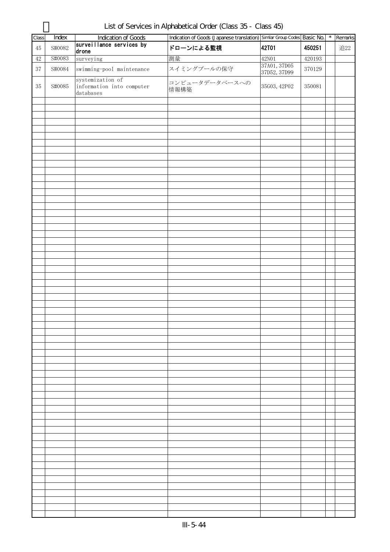| Class  | Index  | <b>Indication of Goods</b>                                 | Indication of Goods (Japanese translation) Similar Group Codes Basic No. |                              |        | $^{\star}$ | Remarks |
|--------|--------|------------------------------------------------------------|--------------------------------------------------------------------------|------------------------------|--------|------------|---------|
| $45\,$ | S#0082 | surveillance services by<br>drone                          | ドローンによる監視                                                                | <b>42T01</b>                 | 450251 |            | 追22     |
| $42\,$ | S#0083 | surveying                                                  | 測量                                                                       | $42\mathrm{N}01$             | 420193 |            |         |
| 37     | S#0084 | swimming-pool maintenance                                  | スイミングプールの保守                                                              | 37A01, 37D05<br>37D52, 37D99 | 370129 |            |         |
| $35\,$ | S#0085 | systemization of<br>information into computer<br>databases | コンピュータデータベースへの<br>情報構築                                                   | 35G03, 42P02                 | 350081 |            |         |
|        |        |                                                            |                                                                          |                              |        |            |         |
|        |        |                                                            |                                                                          |                              |        |            |         |
|        |        |                                                            |                                                                          |                              |        |            |         |
|        |        |                                                            |                                                                          |                              |        |            |         |
|        |        |                                                            |                                                                          |                              |        |            |         |
|        |        |                                                            |                                                                          |                              |        |            |         |
|        |        |                                                            |                                                                          |                              |        |            |         |
|        |        |                                                            |                                                                          |                              |        |            |         |
|        |        |                                                            |                                                                          |                              |        |            |         |
|        |        |                                                            |                                                                          |                              |        |            |         |
|        |        |                                                            |                                                                          |                              |        |            |         |
|        |        |                                                            |                                                                          |                              |        |            |         |
|        |        |                                                            |                                                                          |                              |        |            |         |
|        |        |                                                            |                                                                          |                              |        |            |         |
|        |        |                                                            |                                                                          |                              |        |            |         |
|        |        |                                                            |                                                                          |                              |        |            |         |
|        |        |                                                            |                                                                          |                              |        |            |         |
|        |        |                                                            |                                                                          |                              |        |            |         |
|        |        |                                                            |                                                                          |                              |        |            |         |
|        |        |                                                            |                                                                          |                              |        |            |         |
|        |        |                                                            |                                                                          |                              |        |            |         |
|        |        |                                                            |                                                                          |                              |        |            |         |
|        |        |                                                            |                                                                          |                              |        |            |         |
|        |        |                                                            |                                                                          |                              |        |            |         |
|        |        |                                                            |                                                                          |                              |        |            |         |
|        |        |                                                            |                                                                          |                              |        |            |         |
|        |        |                                                            |                                                                          |                              |        |            |         |
|        |        |                                                            |                                                                          |                              |        |            |         |
|        |        |                                                            |                                                                          |                              |        |            |         |
|        |        |                                                            |                                                                          |                              |        |            |         |
|        |        |                                                            |                                                                          |                              |        |            |         |
|        |        |                                                            |                                                                          |                              |        |            |         |
|        |        |                                                            |                                                                          |                              |        |            |         |
|        |        |                                                            |                                                                          |                              |        |            |         |
|        |        |                                                            |                                                                          |                              |        |            |         |
|        |        |                                                            |                                                                          |                              |        |            |         |
|        |        |                                                            |                                                                          |                              |        |            |         |
|        |        |                                                            |                                                                          |                              |        |            |         |
|        |        |                                                            |                                                                          |                              |        |            |         |
|        |        |                                                            |                                                                          |                              |        |            |         |

List of Services in Alphabetical Order (Class 35 - Class 45)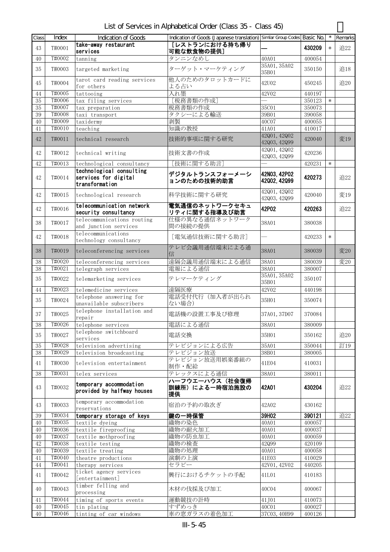| Class    | Index            | Indication of Goods                                                | Indication of Goods (Japanese translation) Similar Group Codes Basic No. |                              |                  |        | Remarks |
|----------|------------------|--------------------------------------------------------------------|--------------------------------------------------------------------------|------------------------------|------------------|--------|---------|
| 43       | T#0001           | take-away restaurant<br>services                                   | [レストランにおける持ち帰り<br>可能な飲食物の提供]                                             |                              | 430209           | $\ast$ | 追22     |
| 40       | T#0002           | tanning                                                            | タンニンなめし                                                                  | 40A01                        | 400054           |        |         |
| 35       | T#0003           | targeted marketing                                                 | ターゲット・マーケティング                                                            | 35A01, 35A02<br>35B01        | 350150           |        | 追18     |
| 45       | T#0004           | tarot card reading services<br>for others                          | 他人のためのタロットカードに<br>よる占い                                                   | 42U02                        | 450245           |        | 追20     |
| 44       | T#0005           | tattooing                                                          | 入れ墨                                                                      | 42V02                        | 440197           |        |         |
| 35       | T#0006           | tax filing services                                                | [税務書類の作成]                                                                |                              | 350123           | $\ast$ |         |
| 35       | T#0007           | tax preparation                                                    | 税務書類の作成                                                                  | 35C01                        | 350073           |        |         |
| 39       | T#0008           | taxi transport                                                     | タクシーによる輸送                                                                | 39B01                        | 390058           |        |         |
| 40       | T#0009           | taxidermy                                                          | 剥製                                                                       | 40C07                        | 400055           |        |         |
| 41       | T#0010           | teaching                                                           | 知識の教授                                                                    | 41A01<br>42Q01, 42Q02        | 410017           |        |         |
| 42       | T#0011           | technical research                                                 | 技術的事項に関する研究                                                              | 42Q03, 42Q99                 | 420040           |        | 変19     |
| 42       | T#0012           | technical writing                                                  | 技術文書の作成                                                                  | 42001, 42002<br>42Q03, 42Q99 | 420236           |        |         |
| 42       | T#0013           | technological consultancy                                          | [技術に関する助言]                                                               |                              | 420231           | $\ast$ |         |
| 42       | T#0014           | technological consulting<br>services for digital<br>transformation | デジタルトランスフォーメーシ<br>ョンのための技術的助言                                            | 42N03.42P02<br>42002, 42099  | 420273           |        | 追22     |
| 42       | T#0015           | technological research                                             | 科学技術に関する研究                                                               | 42Q01, 42Q02<br>42Q03, 42Q99 | 420040           |        | 変19     |
| 42       | T#0016           | telecommunication network<br>security consultancy                  | 電気通信のネットワークセキュ<br>リティに関する指導及び助言                                          | 42P02                        | 420263           |        | 追22     |
| 38       | T#0017           | telecommunications routing<br>and junction services                | 仕様の異なる通信ネットワーク<br>間の接続の提供                                                | 38A01                        | 380038           |        |         |
| 42       | T#0018           | telecommunications<br>technology consultancy                       | [電気通信技術に関する助言]                                                           |                              | 420233           | $\ast$ |         |
| 38       | T#0019           | teleconferencing services                                          | テレビ会議用通信端末による通<br>信                                                      | 38A01                        | 380039           |        | 変20     |
| 38       | T#0020           | teleconferencing services                                          | 遠隔会議用通信端末による通信                                                           | 38A01                        | 380039           |        | 変20     |
| 38       | T#0021           | telegraph services                                                 | 電報による通信                                                                  | 38A01                        | 380007           |        |         |
| 35       | T#0022           | telemarketing services                                             | テレマーケティング                                                                | 35A01, 35A02<br>35B01        | 350107           |        |         |
| 44       | T#0023           | telemedicine services                                              | 遠隔医療                                                                     | 42V02                        | 440198           |        |         |
| 35       | T#0024           | telephone answering for<br>unavailable subscribers                 | 電話受付代行(加入者が出られ<br>ない場合)                                                  | 35H01                        | 350074           |        |         |
| 37       | T#0025           | telephone installation and<br>repair                               | 電話機の設置工事及び修理                                                             | 37A01, 37D07                 | 370084           |        |         |
| $38\,$   | T#0026           | telephone services                                                 | 電話による通信                                                                  | 38A01                        | 380009           |        |         |
| 35       | T#0027           | telephone switchboard<br>services                                  | 電話交換                                                                     | 35H01                        | 350162           |        | 追20     |
| $35\,$   | T#0028           | television advertising                                             | テレビジョンによる広告                                                              | 35A01                        | 350044           |        | 訂19     |
| 38       | T#0029           | television broadcasting                                            | テレビジョン放送                                                                 | 38B01                        | 380005           |        |         |
| 41       | T#0030           | television entertainment                                           | テレビジョン放送用娯楽番組の<br>制作・配給                                                  | 41E04                        | 410031           |        |         |
| 38       | T#0031           | telex services                                                     | テレックスによる通信                                                               | 38A01                        | 380011           |        |         |
| 43       | T#0032           | temporary accommodation<br>provided by halfway houses              | ハーフウエーハウス(社会復帰<br>訓練所)による一時宿泊施設の<br>提供                                   | 42A01                        | 430204           |        | 追22     |
| 43       | T#0033           | temporary accommodation<br>reservations                            | 宿泊の予約の取次ぎ                                                                | 42A02                        | 430162           |        |         |
| 39       | T#0034           | temporary storage of keys                                          | 鍵の一時保管                                                                   | 39H02                        | 390121           |        | 追22     |
| 40       | T#0035           | textile dyeing                                                     | 織物の染色                                                                    | 40A01                        | 400057           |        |         |
| 40       | T#0036           | textile fireproofing                                               | 織物の耐火加工                                                                  | 40A01                        | 400037           |        |         |
| 40       | T#0037           | textile mothproofing                                               | 織物の防虫加工                                                                  | 40A01                        | 400059           |        |         |
| 42       | T#0038           | textile testing                                                    | 織物の検査                                                                    | 42Q99                        | 420109           |        |         |
| 40       | T#0039<br>T#0040 | textile treating                                                   | 織物の処理                                                                    | 40A01                        | 400058           |        |         |
| 41<br>44 | T#0041           | theatre productions<br>therapy services                            | 演劇の上演<br>セラピー                                                            | 41E03<br>42V01, 42V02        | 410029<br>440205 |        |         |
| 41       | T#0042           | ticket agency services<br>[entertainment]                          | 興行におけるチケットの手配                                                            | 41L01                        | 410183           |        |         |
| 40       | T#0043           | timber felling and<br>processing                                   | 木材の伐採及び加工                                                                | 40C04                        | 400067           |        |         |
| 41       | T#0044           | timing of sports events                                            | 運動競技の計時                                                                  | 41J01                        | 410073           |        |         |
| 40       | T#0045           | tin plating                                                        | すずめっき                                                                    | 40C01                        | 400027           |        |         |
| 40       | T#0046           | tinting of car windows                                             | 車の窓ガラスの着色加工                                                              | 37C03, 40H99                 | 400126           |        |         |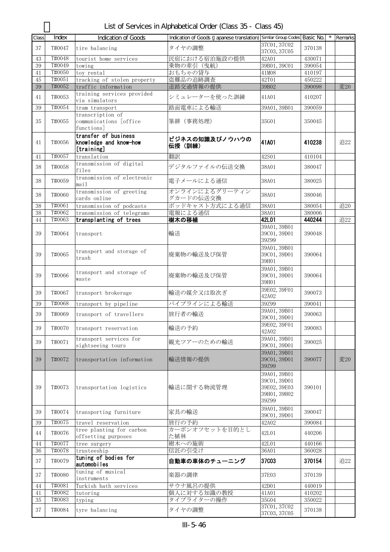| Class  | Index  | <b>Indication of Goods</b>                                   | Indication of Goods (Japanese translation) Similar Group Codes Basic No. |                                                                       |        | * Remarks |
|--------|--------|--------------------------------------------------------------|--------------------------------------------------------------------------|-----------------------------------------------------------------------|--------|-----------|
| 37     | T#0047 | tire balancing                                               | タイヤの調整                                                                   | 37C01, 37C02<br>37C03, 37C05                                          | 370138 |           |
| 43     | T#0048 | tourist home services                                        | 民宿における宿泊施設の提供                                                            | 42A01                                                                 | 430071 |           |
| 39     | T#0049 | towing                                                       | 乗物の牽引 (曳航)                                                               | 39B01, 39C01                                                          | 390054 |           |
| 41     | T#0050 | toy rental                                                   | おもちゃの貸与                                                                  | 41M08                                                                 | 410197 |           |
| 45     | T#0051 | tracking of stolen property                                  | 盗難品の追跡調査                                                                 | 42T01                                                                 | 450222 |           |
| 39     | T#0052 | traffic information                                          | 道路交通情報の提供                                                                | 39B02                                                                 | 390098 | 変20       |
| 41     | T#0053 | training services provided<br>via simulators                 | シミュレーターを使った訓練                                                            | 41A01                                                                 | 410207 |           |
| $39\,$ | T#0054 | tram transport<br>transcription of                           | 路面電車による輸送                                                                | 39A01, 39B01                                                          | 390059 |           |
| 35     | T#0055 | communications [office]<br>functions]                        | 筆耕 (事務処理)                                                                | 35G01                                                                 | 350045 |           |
| 41     | T#0056 | transfer of business<br>knowledge and know-how<br>[training] | ビジネスの知識及びノウハウの<br>伝授 (訓練)                                                | 41A01                                                                 | 410238 | 追22       |
| 41     | T#0057 | translation                                                  | 翻訳                                                                       | 42S01                                                                 | 410104 |           |
| 38     | T#0058 | transmission of digital<br>files                             | デジタルファイルの伝送交換                                                            | 38A01                                                                 | 380047 |           |
| 38     | T#0059 | transmission of electronic<br>mail                           | 電子メールによる通信                                                               | 38A01                                                                 | 380025 |           |
| 38     | T#0060 | transmission of greeting<br>cards online                     | オンラインによるグリーティン<br>グカードの伝送交換                                              | 38A01                                                                 | 380046 |           |
| $38\,$ | T#0061 | transmission of podcasts                                     | ポッドキャスト方式による通信                                                           | 38A01                                                                 | 380054 | 追20       |
| $38\,$ | T#0062 | transmission of telegrams                                    | 電報による通信                                                                  | 38A01                                                                 | 380006 |           |
| 44     | T#0063 | transplanting of trees                                       | 樹木の移植                                                                    | 42L01                                                                 | 440244 | 追22       |
| 39     | T#0064 | transport                                                    | 輸送                                                                       | 39A01, 39B01<br>39C01, 39D01<br>39Z99                                 | 390048 |           |
| 39     | T#0065 | transport and storage of<br>trash                            | 廃棄物の輸送及び保管                                                               | 39A01, 39B01<br>39C01, 39D01<br>39H01                                 | 390064 |           |
| 39     | T#0066 | transport and storage of<br>waste                            | 廃棄物の輸送及び保管                                                               | 39A01, 39B01<br>39C01, 39D01<br>39H01                                 | 390064 |           |
| 39     | T#0067 | transport brokerage                                          | 輸送の媒介又は取次ぎ                                                               | 39E02, 39F01<br>42A02                                                 | 390073 |           |
| 39     | T#0068 | transport by pipeline                                        | パイプラインによる輸送                                                              | 39Z99                                                                 | 390041 |           |
| 39     | T#0069 | transport of travellers                                      | 旅行者の輸送                                                                   | 39A01, 39B01<br>39C01, 39D01                                          | 390063 |           |
| $39\,$ | T#0070 | transport reservation                                        | 輸送の予約                                                                    | 39E02, 39F01<br>42A02                                                 | 390083 |           |
| 39     | T#0071 | transport services for<br>sightseeing tours                  | 観光ツアーのための輸送                                                              | 39A01, 39B01<br>39C01, 39D01                                          | 390025 |           |
| 39     | T#0072 | transportation information                                   | 輸送情報の提供                                                                  | 39A01, 39B01<br>39C01, 39D01<br>39Z99                                 | 390077 | 変20       |
| 39     | T#0073 | transportation logistics                                     | 輸送に関する物流管理                                                               | 39A01, 39B01<br>39C01, 39D01<br>39E02, 39E03<br>39H01, 39H02<br>39Z99 | 390101 |           |
| 39     | T#0074 | transporting furniture                                       | 家具の輸送                                                                    | 39A01, 39B01<br>39C01, 39D01                                          | 390047 |           |
| 39     | T#0075 | travel reservation                                           | 旅行の予約                                                                    | 42A02                                                                 | 390084 |           |
| 44     | T#0076 | tree planting for carbon<br>offsetting purposes              | カーボンオフセットを目的とし<br>た植林                                                    | 42L01                                                                 | 440206 |           |
| 44     | T#0077 | tree surgery                                                 | 樹木への施術                                                                   | 42L01                                                                 | 440166 |           |
| 36     | T#0078 | trusteeship                                                  | 信託の引受け                                                                   | 36A01                                                                 | 360028 |           |
| 37     | T#0079 | tuning of bodies for<br>automobiles                          | 自動車の車体のチューニング                                                            | 37C03                                                                 | 370154 | 追22       |
| 37     | T#0080 | tuning of musical<br>instruments                             | 楽器の調律                                                                    | 37E03                                                                 | 370139 |           |
| 44     | T#0081 | Turkish bath services                                        | サウナ風呂の提供                                                                 | 42D01                                                                 | 440019 |           |
| 41     | T#0082 | tutoring                                                     | 個人に対する知識の教授                                                              | 41A01                                                                 | 410202 |           |
| $35\,$ | T#0083 | typing                                                       | タイプライターの操作                                                               | 35G04                                                                 | 350022 |           |
| 37     | T#0084 | tyre balancing                                               | タイヤの調整                                                                   | 37C01, 37C02<br>37C03, 37C05                                          | 370138 |           |

## List of Services in Alphabetical Order (Class 35 - Class 45)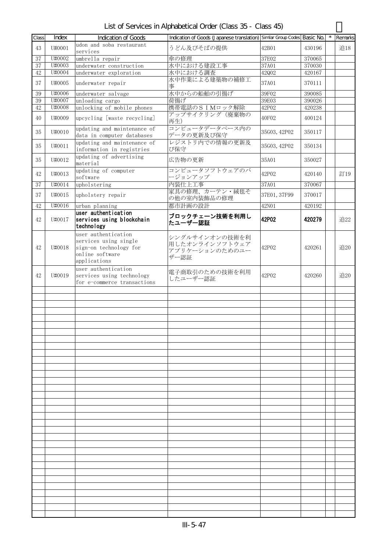List of Services in Alphabetical Order (Class 35 - Class 45)

| Class  | Index  | <b>Indication of Goods</b>                                                                                | Indication of Goods (Japanese translation) Similar Group Codes Basic No. |              |        | Remarks |
|--------|--------|-----------------------------------------------------------------------------------------------------------|--------------------------------------------------------------------------|--------------|--------|---------|
| 43     | U#0001 | udon and soba restaurant<br>services                                                                      | うどん及びそばの提供                                                               | 42B01        | 430196 | 追18     |
| 37     | U#0002 | umbrella repair                                                                                           | 傘の修理                                                                     | 37E02        | 370065 |         |
| 37     | U#0003 | underwater construction                                                                                   | 水中における建設工事                                                               | 37A01        | 370030 |         |
| 42     | U#0004 | underwater exploration                                                                                    | 水中における調査                                                                 | 42Q02        | 420167 |         |
| 37     | U#0005 | underwater repair                                                                                         | 水中作業による建築物の補修工<br>事                                                      | 37A01        | 370111 |         |
| $39\,$ | U#0006 | underwater salvage                                                                                        | 水中からの船舶の引揚げ                                                              | 39F02        | 390085 |         |
| 39     | U#0007 | unloading cargo                                                                                           | 荷揚げ                                                                      | 39E03        | 390026 |         |
| 42     | U#0008 | unlocking of mobile phones                                                                                | 携帯電話のSIMロック解除                                                            | 42P02        | 420238 |         |
| 40     | U#0009 | upcycling [waste recycling]                                                                               | アップサイクリング(廃棄物の<br>再生)                                                    | 40F02        | 400124 |         |
| 35     | U#0010 | updating and maintenance of<br>data in computer databases                                                 | コンピュータデータベース内の<br>データの更新及び保守                                             | 35G03, 42P02 | 350117 |         |
| 35     | U#0011 | updating and maintenance of<br>information in registries                                                  | レジストリ内での情報の更新及<br>び保守                                                    | 35G03, 42P02 | 350134 |         |
| 35     | U#0012 | updating of advertising<br>material                                                                       | 広告物の更新                                                                   | 35A01        | 350027 |         |
| 42     | U#0013 | updating of computer<br>software                                                                          | コンピュータソフトウェアのバ<br>ージョンアップ                                                | 42P02        | 420140 | 訂19     |
| 37     | U#0014 | upholstering                                                                                              | 内装仕上工事                                                                   | 37A01        | 370067 |         |
| 37     | U#0015 | upholstery repair                                                                                         | 家具の修理、カーテン・絨毯そ<br>の他の室内装飾品の修理                                            | 37E01, 37F99 | 370017 |         |
| 42     | U#0016 | urban planning                                                                                            | 都市計画の設計                                                                  | 42N01        | 420192 |         |
| 42     | U#0017 | user authentication<br>services using blockchain<br>technology                                            | ブロックチェーン技術を利用し<br>たユーザー認証                                                | 42P02        | 420279 | 追22     |
| 42     | U#0018 | user authentication<br>services using single<br>sign-on technology for<br>online software<br>applications | シングルサインオンの技術を利<br>用したオンラインソフトウェア<br>アプリケーションのためのユー<br>ザー認証               | 42P02        | 420261 | 追20     |
| 42     | U#0019 | user authentication<br>services using technology<br>for e-commerce transactions                           | 電子商取引のための技術を利用<br>したユーザー認証                                               | 42P02        | 420260 | 追20     |
|        |        |                                                                                                           |                                                                          |              |        |         |
|        |        |                                                                                                           |                                                                          |              |        |         |
|        |        |                                                                                                           |                                                                          |              |        |         |
|        |        |                                                                                                           |                                                                          |              |        |         |
|        |        |                                                                                                           |                                                                          |              |        |         |
|        |        |                                                                                                           |                                                                          |              |        |         |
|        |        |                                                                                                           |                                                                          |              |        |         |
|        |        |                                                                                                           |                                                                          |              |        |         |
|        |        |                                                                                                           |                                                                          |              |        |         |
|        |        |                                                                                                           |                                                                          |              |        |         |
|        |        |                                                                                                           |                                                                          |              |        |         |
|        |        |                                                                                                           |                                                                          |              |        |         |
|        |        |                                                                                                           |                                                                          |              |        |         |
|        |        |                                                                                                           |                                                                          |              |        |         |
|        |        |                                                                                                           |                                                                          |              |        |         |
|        |        |                                                                                                           |                                                                          |              |        |         |
|        |        |                                                                                                           |                                                                          |              |        |         |
|        |        |                                                                                                           |                                                                          |              |        |         |
|        |        |                                                                                                           |                                                                          |              |        |         |
|        |        |                                                                                                           |                                                                          |              |        |         |
|        |        |                                                                                                           |                                                                          |              |        |         |
|        |        |                                                                                                           |                                                                          |              |        |         |
|        |        |                                                                                                           |                                                                          |              |        |         |
|        |        |                                                                                                           |                                                                          |              |        |         |
|        |        |                                                                                                           |                                                                          |              |        |         |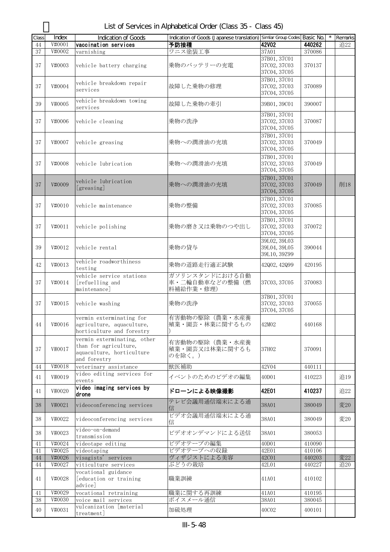| Class  | Index  | <b>Indication of Goods</b>  | Indication of Goods (Japanese translation) Similar Group Codes Basic No. |              |        | Remarks |
|--------|--------|-----------------------------|--------------------------------------------------------------------------|--------------|--------|---------|
| 44     | V#0001 | vaccination services        | 予防接種                                                                     | <b>42V02</b> | 440262 | 追22     |
| 37     | V#0002 | varnishing                  | ワニス塗装工事                                                                  | 37A01        | 370086 |         |
|        |        |                             |                                                                          | 37B01, 37C01 |        |         |
|        |        |                             |                                                                          |              |        |         |
| 37     | V#0003 | vehicle battery charging    | 乗物のバッテリーの充電                                                              | 37C02, 37C03 | 370137 |         |
|        |        |                             |                                                                          | 37C04, 37C05 |        |         |
|        |        |                             |                                                                          | 37B01, 37C01 |        |         |
| 37     | V#0004 | vehicle breakdown repair    | 故障した乗物の修理                                                                | 37C02, 37C03 | 370089 |         |
|        |        | services                    |                                                                          | 37C04, 37C05 |        |         |
|        |        | vehicle breakdown towing    |                                                                          |              |        |         |
| 39     | V#0005 |                             | 故障した乗物の牽引                                                                | 39B01, 39C01 | 390007 |         |
|        |        | services                    |                                                                          |              |        |         |
|        |        |                             |                                                                          | 37B01, 37C01 |        |         |
| 37     | V#0006 | vehicle cleaning            | 乗物の洗浄                                                                    | 37C02, 37C03 | 370087 |         |
|        |        |                             |                                                                          | 37C04, 37C05 |        |         |
|        |        |                             |                                                                          | 37B01, 37C01 |        |         |
| 37     | V#0007 | vehicle greasing            | 乗物への潤滑油の充填                                                               | 37C02, 37C03 | 370049 |         |
|        |        |                             |                                                                          | 37C04, 37C05 |        |         |
|        |        |                             |                                                                          |              |        |         |
|        |        |                             |                                                                          | 37B01, 37C01 |        |         |
| 37     | V#0008 | vehicle lubrication         | 乗物への潤滑油の充填                                                               | 37C02, 37C03 | 370049 |         |
|        |        |                             |                                                                          | 37C04, 37C05 |        |         |
|        |        |                             |                                                                          | 37B01, 37C01 |        |         |
| 37     | V#0009 | vehicle lubrication         | 乗物への潤滑油の充填                                                               | 37C02, 37C03 | 370049 | 削18     |
|        |        | [greasing]                  |                                                                          | 37C04, 37C05 |        |         |
|        |        |                             |                                                                          |              |        |         |
|        |        |                             |                                                                          | 37B01, 37C01 |        |         |
| 37     | V#0010 | vehicle maintenance         | 乗物の整備                                                                    | 37C02, 37C03 | 370085 |         |
|        |        |                             |                                                                          | 37C04, 37C05 |        |         |
|        |        |                             |                                                                          | 37B01, 37C01 |        |         |
| 37     | V#0011 | vehicle polishing           | 乗物の磨き又は乗物のつや出し                                                           | 37C02, 37C03 | 370072 |         |
|        |        |                             |                                                                          | 37C04, 37C05 |        |         |
|        |        |                             |                                                                          | 39L02, 39L03 |        |         |
|        |        |                             |                                                                          |              |        |         |
| 39     | V#0012 | vehicle rental              | 乗物の貸与                                                                    | 39L04, 39L05 | 390044 |         |
|        |        |                             |                                                                          | 39L10, 39Z99 |        |         |
| 42     | V#0013 | vehicle roadworthiness      | 乗物の道路走行適正試験                                                              | 42002, 42099 | 420195 |         |
|        |        | testing                     |                                                                          |              |        |         |
|        |        | vehicle service stations    | ガソリンスタンドにおける自動                                                           |              |        |         |
| 37     | V#0014 | [refuelling and             | 車・二輪自動車などの整備(燃                                                           | 37C03, 37C05 | 370083 |         |
|        |        | maintenance]                | 料補給作業·修理)                                                                |              |        |         |
|        |        |                             |                                                                          | 37B01, 37C01 |        |         |
| 37     |        |                             |                                                                          |              | 370055 |         |
|        | V#0015 | vehicle washing             | 乗物の洗浄                                                                    | 37C02, 37C03 |        |         |
|        |        |                             |                                                                          | 37C04, 37C05 |        |         |
|        |        | vermin exterminating for    | 有害動物の駆除(農業・水産養                                                           |              |        |         |
| 44     | V#0016 | agriculture, aquaculture,   | 殖業・園芸・林業に関するもの                                                           | 42M02        | 440168 |         |
|        |        | horticulture and forestry   |                                                                          |              |        |         |
|        |        | vermin exterminating, other |                                                                          |              |        |         |
|        |        | than for agriculture,       | 有害動物の駆除(農業・水産養                                                           |              |        |         |
| 37     | V#0017 | aquaculture, horticulture   | 殖業・園芸又は林業に関するも                                                           | 37H02        | 370091 |         |
|        |        | and forestry                | のを除く。)                                                                   |              |        |         |
|        |        |                             |                                                                          |              |        |         |
| 44     | V#0018 | veterinary assistance       | 獣医補助                                                                     | 42V04        | 440111 |         |
| 41     | V#0019 | video editing services for  | イベントのためのビデオの編集                                                           | 40D01        | 410223 | 追19     |
|        |        | events                      |                                                                          |              |        |         |
| 41     | V#0020 | video imaging services by   | ドローンによる映像撮影                                                              | 42E01        | 410237 | 追22     |
|        |        | drone                       |                                                                          |              |        |         |
|        |        |                             | テレビ会議用通信端末による通                                                           |              |        |         |
| 38     | V#0021 | videoconferencing services  | 信                                                                        | 38A01        | 380049 | 変20     |
|        |        |                             | ビデオ会議用通信端末による通                                                           |              |        |         |
| 38     | V#0022 | videoconferencing services  | 信                                                                        | 38A01        | 380049 | 変20     |
|        |        |                             |                                                                          |              |        |         |
| 38     | V#0023 | video-on-demand             | ビデオオンデマンドによる送信                                                           | 38A01        | 380053 |         |
|        |        | transmission                |                                                                          |              |        |         |
| 41     | V#0024 | videotape editing           | ビデオテープの編集                                                                | 40D01        | 410090 |         |
| 41     | V#0025 | videotaping                 | ビデオテープへの収録                                                               | 42E01        | 410106 |         |
| 44     | V#0026 | visagists' services         | ヴィザジストによる美容                                                              | 42C01        | 440203 | 変22     |
| 44     | V#0027 | viticulture services        | ぶどうの栽培                                                                   | 42L01        | 440227 | 追20     |
|        |        |                             |                                                                          |              |        |         |
|        |        | vocational guidance         |                                                                          |              |        |         |
| 41     | V#0028 | [education or training      | 職業訓練                                                                     | 41A01        | 410102 |         |
|        |        | advice]                     |                                                                          |              |        |         |
| 41     | V#0029 | vocational retraining       | 職業に関する再訓練                                                                | 41A01        | 410195 |         |
| $38\,$ | V#0030 | voice mail services         | ボイスメール通信                                                                 | 38A01        | 380045 |         |
|        |        | vulcanization [material     |                                                                          |              |        |         |
| 40     | V#0031 | treatment]                  | 加硫処理                                                                     | 40C02        | 400101 |         |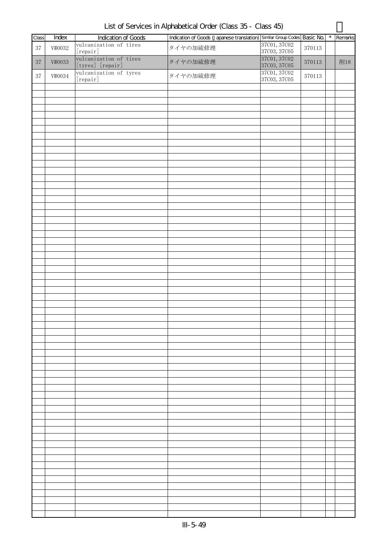| Class  | Index                   | <b>Indication of Goods</b>                 | Indication of Goods (Japanese translation) Similar Group Codes Basic No. |                              |            | $\star$ | Remarks |
|--------|-------------------------|--------------------------------------------|--------------------------------------------------------------------------|------------------------------|------------|---------|---------|
| $37\,$ | V#0032                  | vulcanization of tires                     | タイヤの加硫修理                                                                 | 37C01, 37C02                 | 370113     |         |         |
|        |                         | [repair]                                   |                                                                          | 37C03, 37C05                 |            |         |         |
| $37\,$ | $\mathtt{V}\sharp 0033$ | vulcanization of tires<br>[tyres] [repair] | タイヤの加硫修理                                                                 | 37C01, 37C02<br>37C03, 37C05 | $370113\,$ |         | 削18     |
| $37\,$ | V#0034                  | vulcanization of tyres                     | タイヤの加硫修理                                                                 | 37C01, 37C02                 | $370113\,$ |         |         |
|        |                         | [repair]                                   |                                                                          | 37C03, 37C05                 |            |         |         |
|        |                         |                                            |                                                                          |                              |            |         |         |
|        |                         |                                            |                                                                          |                              |            |         |         |
|        |                         |                                            |                                                                          |                              |            |         |         |
|        |                         |                                            |                                                                          |                              |            |         |         |
|        |                         |                                            |                                                                          |                              |            |         |         |
|        |                         |                                            |                                                                          |                              |            |         |         |
|        |                         |                                            |                                                                          |                              |            |         |         |
|        |                         |                                            |                                                                          |                              |            |         |         |
|        |                         |                                            |                                                                          |                              |            |         |         |
|        |                         |                                            |                                                                          |                              |            |         |         |
|        |                         |                                            |                                                                          |                              |            |         |         |
|        |                         |                                            |                                                                          |                              |            |         |         |
|        |                         |                                            |                                                                          |                              |            |         |         |
|        |                         |                                            |                                                                          |                              |            |         |         |
|        |                         |                                            |                                                                          |                              |            |         |         |
|        |                         |                                            |                                                                          |                              |            |         |         |
|        |                         |                                            |                                                                          |                              |            |         |         |
|        |                         |                                            |                                                                          |                              |            |         |         |
|        |                         |                                            |                                                                          |                              |            |         |         |
|        |                         |                                            |                                                                          |                              |            |         |         |
|        |                         |                                            |                                                                          |                              |            |         |         |
|        |                         |                                            |                                                                          |                              |            |         |         |
|        |                         |                                            |                                                                          |                              |            |         |         |
|        |                         |                                            |                                                                          |                              |            |         |         |
|        |                         |                                            |                                                                          |                              |            |         |         |
|        |                         |                                            |                                                                          |                              |            |         |         |
|        |                         |                                            |                                                                          |                              |            |         |         |
|        |                         |                                            |                                                                          |                              |            |         |         |
|        |                         |                                            |                                                                          |                              |            |         |         |
|        |                         |                                            |                                                                          |                              |            |         |         |
|        |                         |                                            |                                                                          |                              |            |         |         |
|        |                         |                                            |                                                                          |                              |            |         |         |
|        |                         |                                            |                                                                          |                              |            |         |         |
|        |                         |                                            |                                                                          |                              |            |         |         |
|        |                         |                                            |                                                                          |                              |            |         |         |
|        |                         |                                            |                                                                          |                              |            |         |         |
|        |                         |                                            |                                                                          |                              |            |         |         |
|        |                         |                                            |                                                                          |                              |            |         |         |
|        |                         |                                            |                                                                          |                              |            |         |         |
|        |                         |                                            |                                                                          |                              |            |         |         |
|        |                         |                                            |                                                                          |                              |            |         |         |
|        |                         |                                            |                                                                          |                              |            |         |         |
|        |                         |                                            |                                                                          |                              |            |         |         |
|        |                         |                                            |                                                                          |                              |            |         |         |
|        |                         |                                            |                                                                          |                              |            |         |         |
|        |                         |                                            |                                                                          |                              |            |         |         |
|        |                         |                                            |                                                                          |                              |            |         |         |
|        |                         |                                            |                                                                          |                              |            |         |         |
|        |                         |                                            |                                                                          |                              |            |         |         |
|        |                         |                                            |                                                                          |                              |            |         |         |
|        |                         |                                            |                                                                          |                              |            |         |         |
|        |                         |                                            |                                                                          |                              |            |         |         |
|        |                         |                                            |                                                                          |                              |            |         |         |
|        |                         |                                            |                                                                          |                              |            |         |         |
|        |                         |                                            |                                                                          |                              |            |         |         |

List of Services in Alphabetical Order (Class 35 - Class 45)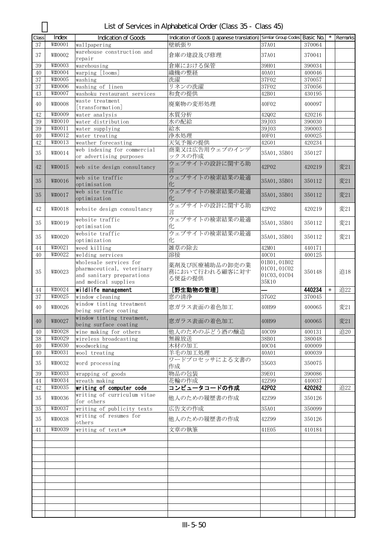| Class           | Index                       | <b>Indication of Goods</b>                         | Indication of Goods (Japanese translation) Similar Group Codes Basic No. |                       |                  |        | Remarks |
|-----------------|-----------------------------|----------------------------------------------------|--------------------------------------------------------------------------|-----------------------|------------------|--------|---------|
| $\overline{37}$ | W#0001                      | wallpapering                                       | 壁紙張り                                                                     | 37A01                 | 370064           |        |         |
|                 |                             | warehouse construction and                         |                                                                          |                       |                  |        |         |
| 37              | W#0002                      | repair                                             | 倉庫の建設及び修理                                                                | 37A01                 | 370041           |        |         |
| 39              | $W\sharp0003$               | warehousing                                        | 倉庫における保管                                                                 | 39H01                 | 390034           |        |         |
| 40              | $W\sharp0004$               | warping [looms]                                    | 織機の整経                                                                    | 40A01                 | 400046           |        |         |
| 37              | W#0005                      | washing                                            | 洗濯                                                                       | 37F02                 | 370057           |        |         |
| 37              | W#0006                      | washing of linen                                   | リネンの洗濯                                                                   | 37F02                 | 370056           |        |         |
| 43              | W#0007                      | washoku restaurant services                        | 和食の提供                                                                    | 42B01                 | 430195           |        |         |
|                 |                             | waste treatment                                    |                                                                          |                       |                  |        |         |
| 40              | W#0008                      | [transformation]                                   | 廃棄物の変形処理                                                                 | 40F02                 | 400097           |        |         |
| 42              | W#0009                      | water analysis                                     | 水質分析                                                                     | 42Q02                 | 420216           |        |         |
| 39              | W#0010                      | water distribution                                 | 水の配給                                                                     | 39J03                 | 390030           |        |         |
| 39              | W#0011                      | water supplying                                    | 給水                                                                       | 39J03                 | 390003           |        |         |
| 40              | W#0012                      | water treating                                     | 浄水処理                                                                     | 40F01                 | 400025           |        |         |
| 42              | W#0013                      | weather forecasting                                | 天気予報の提供                                                                  | 42G01                 | 420234           |        |         |
|                 |                             | web indexing for commercial                        | 商業又は広告用ウェブのインデ                                                           |                       |                  |        |         |
| 35              | W#0014                      | or advertising purposes                            | ックスの作成                                                                   | 35A01, 35B01          | 350127           |        |         |
| 42              | W#0015                      | web site design consultancy                        | ウェブサイトの設計に関する助                                                           | 42P02                 | 420219           |        | 変21     |
|                 |                             | web site traffic                                   | ウェブサイトの検索結果の最適                                                           |                       |                  |        |         |
| 35              | W#0016                      | optimisation                                       | 化                                                                        | 35A01, 35B01          | 350112           |        | 変21     |
| 35              | W#0017                      | web site traffic                                   | ウェブサイトの検索結果の最適                                                           | 35A01, 35B01          | 350112           |        | 変21     |
|                 |                             | optimization                                       | 化                                                                        |                       |                  |        |         |
| 42              | W#0018                      | website design consultancy                         | ウェブサイトの設計に関する助                                                           | 42P02                 | 420219           |        | 変21     |
|                 |                             |                                                    | 言                                                                        |                       |                  |        |         |
| 35              | W#0019                      | website traffic                                    | ウェブサイトの検索結果の最適                                                           | 35A01, 35B01          | 350112           |        | 変21     |
|                 |                             | optimisation                                       | 化                                                                        |                       |                  |        |         |
| 35              | W#0020                      | website traffic                                    | ウェブサイトの検索結果の最適                                                           | 35A01, 35B01          | 350112           |        | 変21     |
|                 |                             | optimization                                       | łŁ.                                                                      |                       |                  |        |         |
| 44              | W#0021                      | weed killing                                       | 雑草の除去                                                                    | 42M01                 | 440171           |        |         |
| 40              | W#0022                      | welding services                                   | 溶接                                                                       | 40C01                 | 400125           |        |         |
|                 |                             | wholesale services for                             | 薬剤及び医療補助品の卸売の業                                                           | 01B01, 01B02          |                  |        |         |
| 35              | W#0023                      | pharmaceutical, veterinary                         | 務において行われる顧客に対す                                                           | 01C01, 01C02          | 350148           |        | 追18     |
|                 |                             | and sanitary preparations                          | る便益の提供                                                                   | 01C03, 01C04<br>35K10 |                  |        |         |
|                 |                             | and medical supplies                               |                                                                          |                       |                  |        |         |
| 44              | $\overline{\text{W}}$ #0024 | wildlife management                                | [野生動物の管理]                                                                |                       | 440234           | $\ast$ | 追22     |
| 37              | W#0025                      | window cleaning                                    | 窓の清浄                                                                     | 37G02                 | 370045           |        |         |
| 40              | W#0026                      | window tinting treatment                           | 窓ガラス表面の着色加工                                                              | 40H99                 | 400065           |        | 変21     |
|                 |                             | being surface coating                              |                                                                          |                       |                  |        |         |
| 40              | W#0027                      | window tinting treatment,<br>being surface coating | 窓ガラス表面の着色加工                                                              | 40H99                 | 400065           |        | 変21     |
| 40              | W#0028                      | wine making for others                             | 他人のためのぶどう酒の醸造                                                            | 40C09                 | 400131           |        | 追20     |
| $38\,$          | W#0029                      | wireless broadcasting                              | 無線放送                                                                     | 38B01                 | 380048           |        |         |
|                 | W#0030                      |                                                    | 木材の加工                                                                    |                       |                  |        |         |
| 40<br>40        | W#0031                      | woodworking<br>wool treating                       | 羊毛の加工処理                                                                  | 40C04<br>40A01        | 400009<br>400039 |        |         |
|                 |                             |                                                    | ワードプロセッサによる文書の                                                           |                       |                  |        |         |
| 35              | W#0032                      | word processing                                    | 作成                                                                       | 35G03                 | 350075           |        |         |
| 39              | W#0033                      | wrapping of goods                                  | 物品の包装                                                                    | 39E01                 | 390086           |        |         |
| 44              | W#0034                      | wreath making                                      | 花輪の作成                                                                    | 42Z99                 | 440037           |        |         |
| 42              | W#0035                      | writing of computer code                           | コンピュータコードの作成                                                             | 42P02                 | 420262           |        | 追22     |
| 35              | W#0036                      | writing of curriculum vitae                        | 他人のための履歴書の作成                                                             | 42Z99                 | 350126           |        |         |
| 35              | W#0037                      | for others<br>writing of publicity texts           | 広告文の作成                                                                   | 35A01                 | 350099           |        |         |
| 35              | W#0038                      | writing of resumes for                             | 他人のための履歴書の作成                                                             | 42Z99                 | 350126           |        |         |
|                 |                             | others                                             |                                                                          |                       |                  |        |         |
| 41              | W#0039                      | writing of texts*                                  | 文章の執筆                                                                    | 41E05                 | 410184           |        |         |
|                 |                             |                                                    |                                                                          |                       |                  |        |         |
|                 |                             |                                                    |                                                                          |                       |                  |        |         |
|                 |                             |                                                    |                                                                          |                       |                  |        |         |
|                 |                             |                                                    |                                                                          |                       |                  |        |         |
|                 |                             |                                                    |                                                                          |                       |                  |        |         |
|                 |                             |                                                    |                                                                          |                       |                  |        |         |
|                 |                             |                                                    |                                                                          |                       |                  |        |         |
|                 |                             |                                                    |                                                                          |                       |                  |        |         |
|                 |                             |                                                    |                                                                          |                       |                  |        |         |